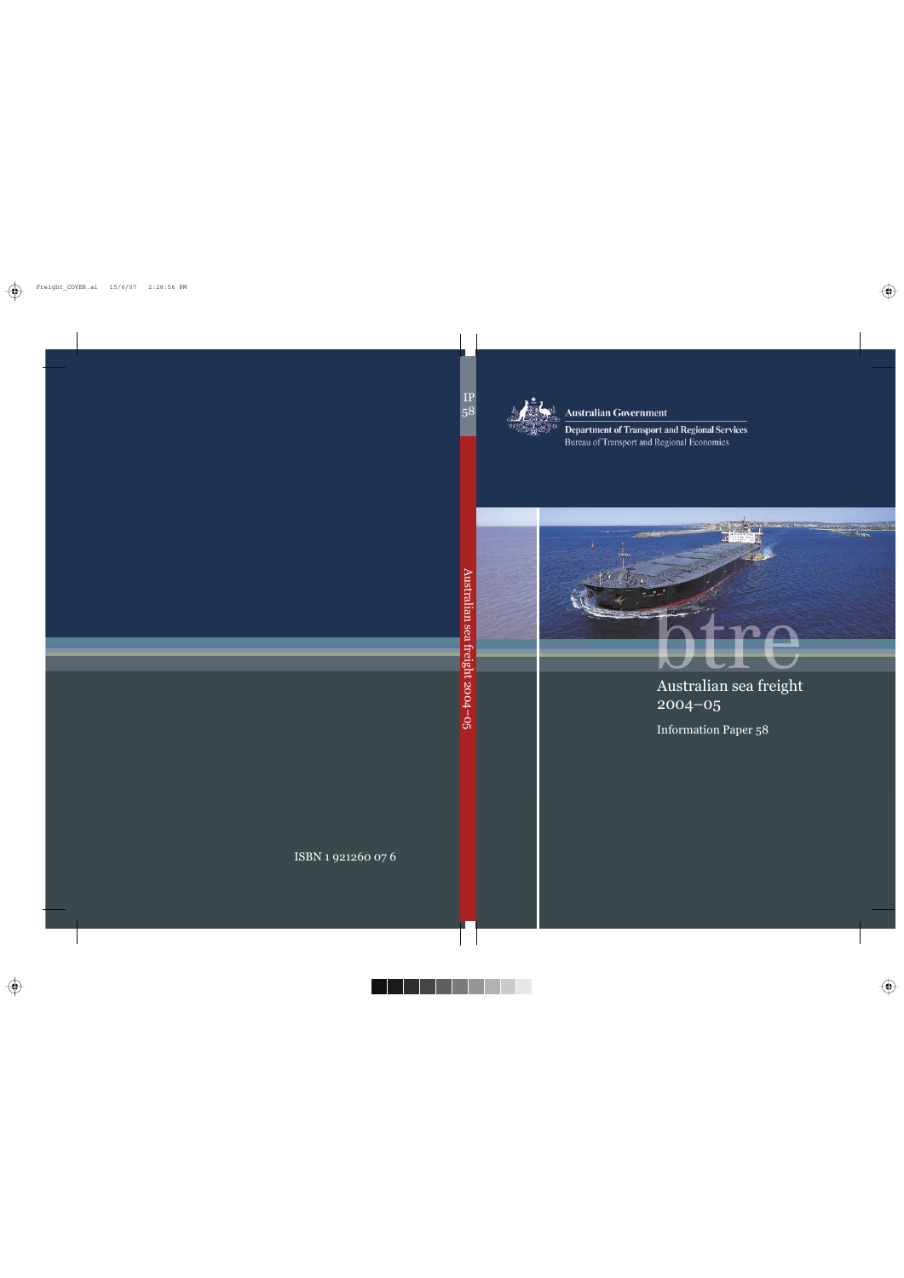

**Australian Government** 

**Department of Transport and Regional Services** Bureau of Transport and Regional Economics

## Australian sea freight 2004–05

Information Paper 58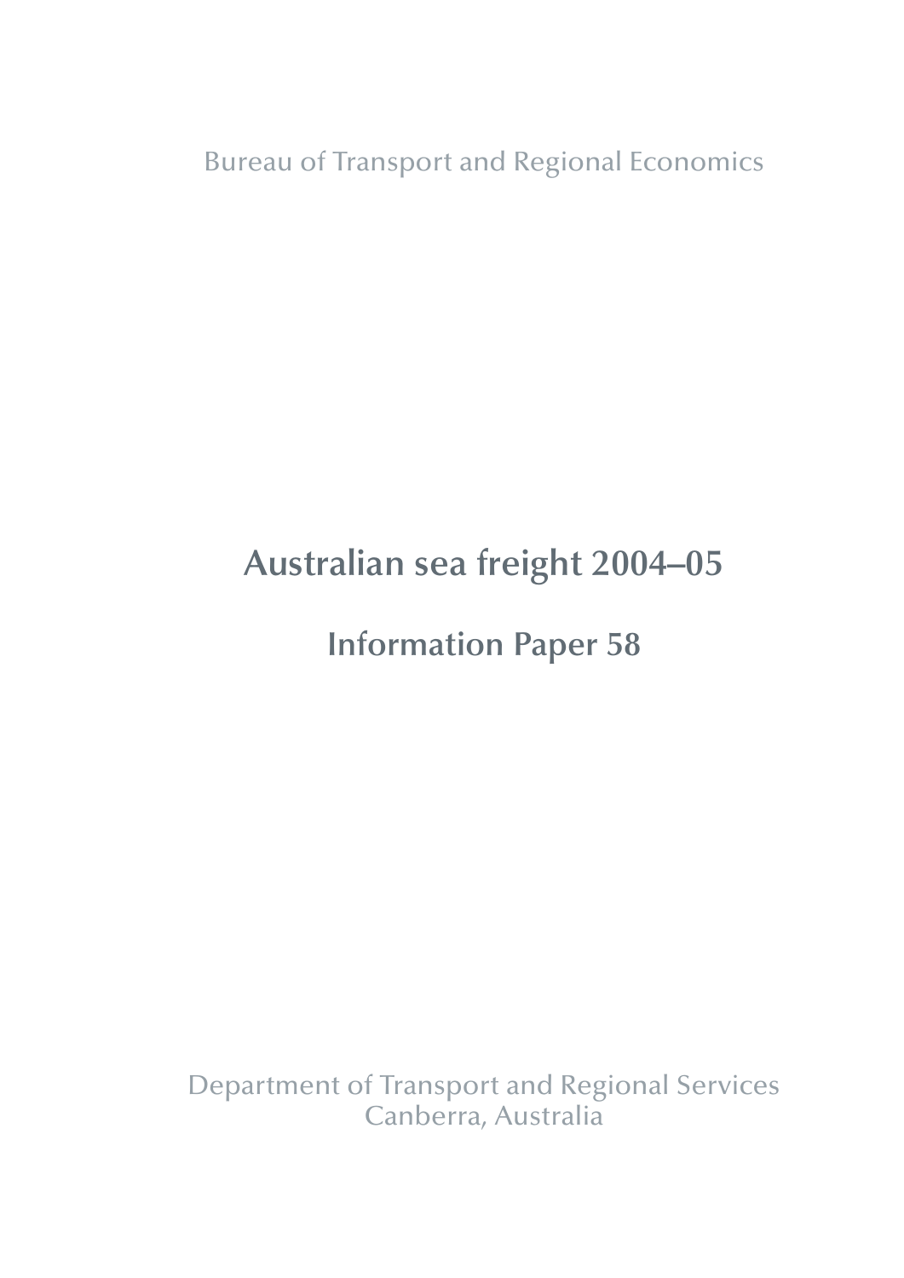Bureau of Transport and Regional Economics

# **Australian sea freight 2004–05**

# **Information Paper 58**

Department of Transport and Regional Services Canberra, Australia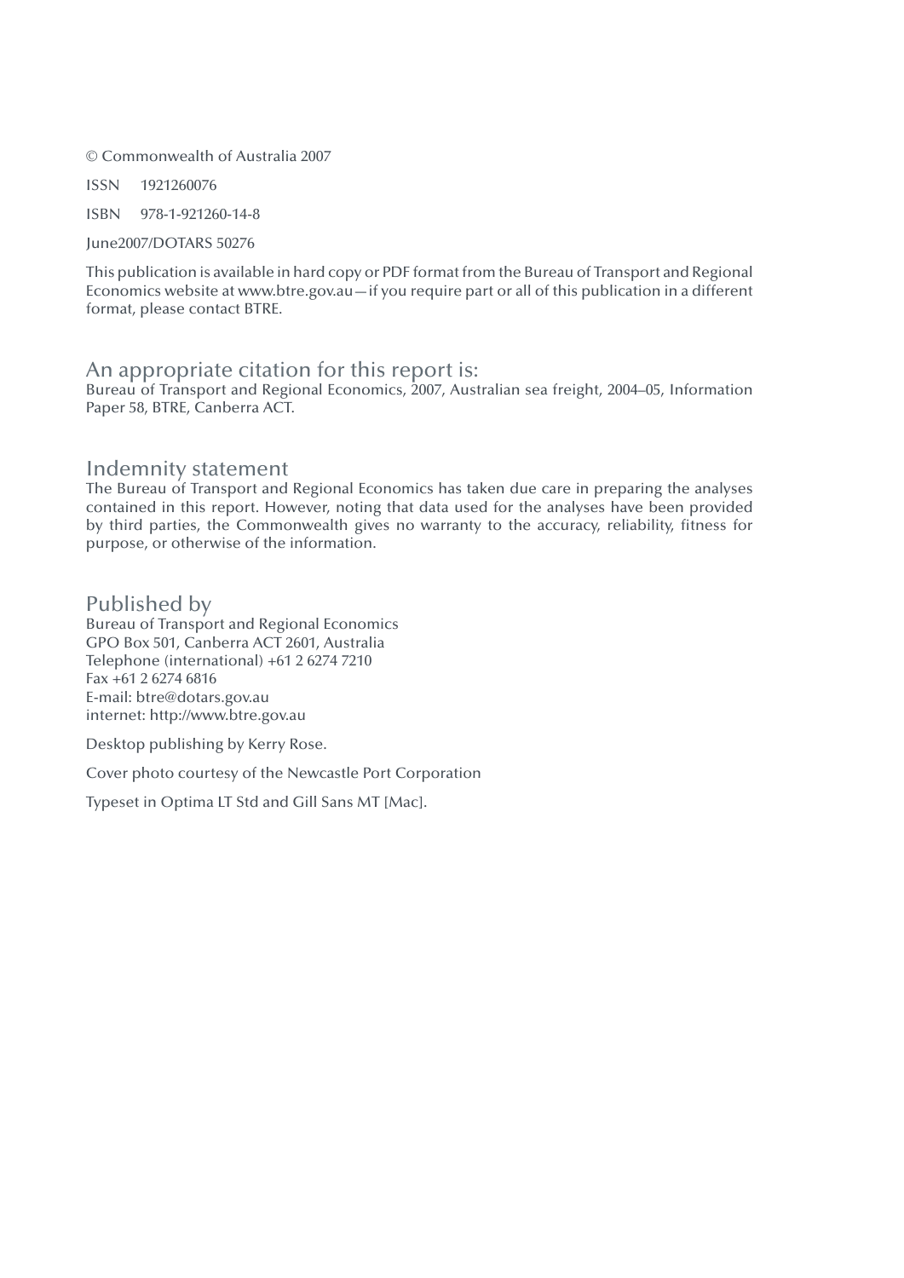#### © Commonwealth of Australia 2007

ISSN 1921260076

ISBN 978-1-921260-14-8

June2007/DOTARS 50276

This publication is available in hard copy or PDF format from the Bureau of Transport and Regional Economics website at www.btre.gov.au—if you require part or all of this publication in a different format, please contact BTRE.

#### An appropriate citation for this report is:

Bureau of Transport and Regional Economics, 2007, Australian sea freight, 2004–05, Information Paper 58, BTRE, Canberra ACT.

### Indemnity statement

The Bureau of Transport and Regional Economics has taken due care in preparing the analyses contained in this report. However, noting that data used for the analyses have been provided by third parties, the Commonwealth gives no warranty to the accuracy, reliability, fitness for purpose, or otherwise of the information.

### Published by

Bureau of Transport and Regional Economics GPO Box 501, Canberra ACT 2601, Australia Telephone (international) +61 2 6274 7210 Fax +61 2 6274 6816 E-mail: btre@dotars.gov.au internet: http://www.btre.gov.au

Desktop publishing by Kerry Rose.

Cover photo courtesy of the Newcastle Port Corporation

Typeset in Optima LT Std and Gill Sans MT [Mac].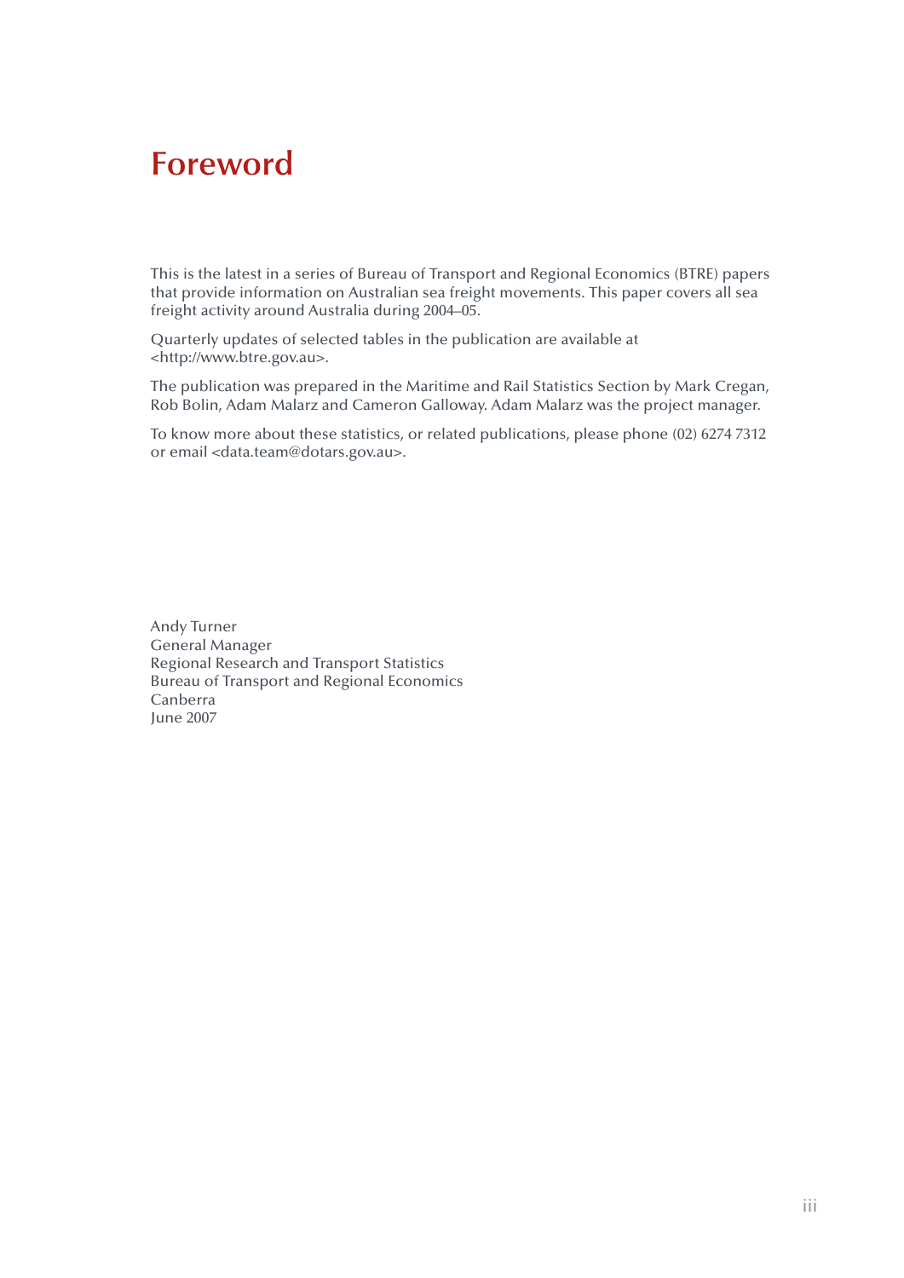## **Foreword**

This is the latest in a series of Bureau of Transport and Regional Economics (BTRE) papers that provide information on Australian sea freight movements. This paper covers all sea freight activity around Australia during 2004–05.

Quarterly updates of selected tables in the publication are available at <http://www.btre.gov.au>.

The publication was prepared in the Maritime and Rail Statistics Section by Mark Cregan, Rob Bolin, Adam Malarz and Cameron Galloway. Adam Malarz was the project manager.

To know more about these statistics, or related publications, please phone (02) 6274 7312 or email <data.team@dotars.gov.au>.

Andy Turner General Manager Regional Research and Transport Statistics Bureau of Transport and Regional Economics Canberra June 2007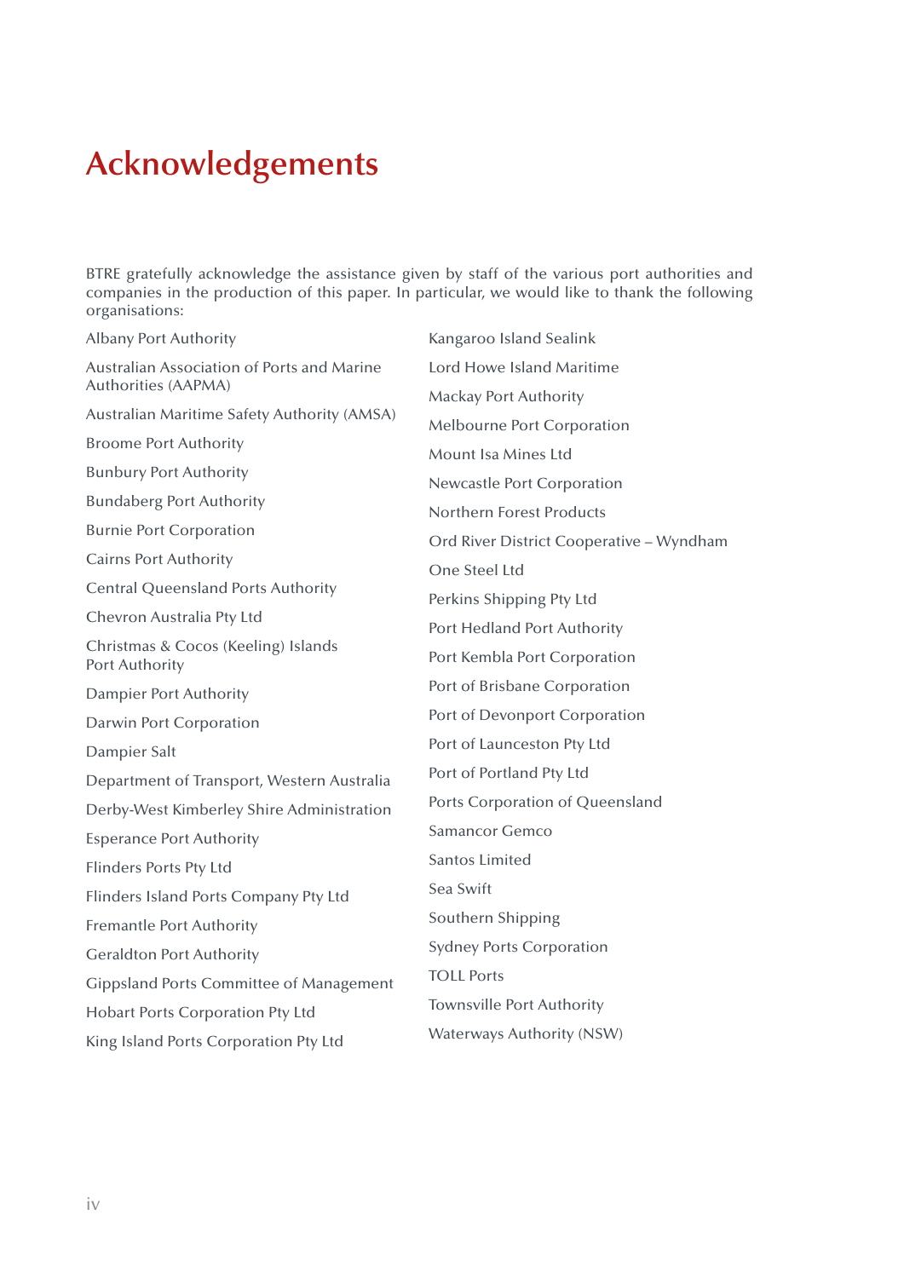# **Acknowledgements**

BTRE gratefully acknowledge the assistance given by staff of the various port authorities and companies in the production of this paper. In particular, we would like to thank the following organisations:

| <b>Albany Port Authority</b>                          | Kangaroo Island Sealink                  |
|-------------------------------------------------------|------------------------------------------|
| Australian Association of Ports and Marine            | Lord Howe Island Maritime                |
| Authorities (AAPMA)                                   | <b>Mackay Port Authority</b>             |
| Australian Maritime Safety Authority (AMSA)           | <b>Melbourne Port Corporation</b>        |
| <b>Broome Port Authority</b>                          | Mount Isa Mines Ltd                      |
| <b>Bunbury Port Authority</b>                         | Newcastle Port Corporation               |
| <b>Bundaberg Port Authority</b>                       | Northern Forest Products                 |
| <b>Burnie Port Corporation</b>                        | Ord River District Cooperative - Wyndham |
| <b>Cairns Port Authority</b>                          | One Steel Ltd                            |
| <b>Central Queensland Ports Authority</b>             | Perkins Shipping Pty Ltd                 |
| Chevron Australia Pty Ltd                             | Port Hedland Port Authority              |
| Christmas & Cocos (Keeling) Islands<br>Port Authority | Port Kembla Port Corporation             |
| Dampier Port Authority                                | Port of Brisbane Corporation             |
| Darwin Port Corporation                               | Port of Devonport Corporation            |
| Dampier Salt                                          | Port of Launceston Pty Ltd               |
| Department of Transport, Western Australia            | Port of Portland Pty Ltd                 |
| Derby-West Kimberley Shire Administration             | Ports Corporation of Queensland          |
| <b>Esperance Port Authority</b>                       | <b>Samancor Gemco</b>                    |
| Flinders Ports Pty Ltd                                | Santos Limited                           |
| Flinders Island Ports Company Pty Ltd                 | Sea Swift                                |
| Fremantle Port Authority                              | Southern Shipping                        |
| <b>Geraldton Port Authority</b>                       | <b>Sydney Ports Corporation</b>          |
| <b>Gippsland Ports Committee of Management</b>        | <b>TOLL Ports</b>                        |
| Hobart Ports Corporation Pty Ltd                      | Townsville Port Authority                |
| King Island Ports Corporation Pty Ltd                 | <b>Waterways Authority (NSW)</b>         |
|                                                       |                                          |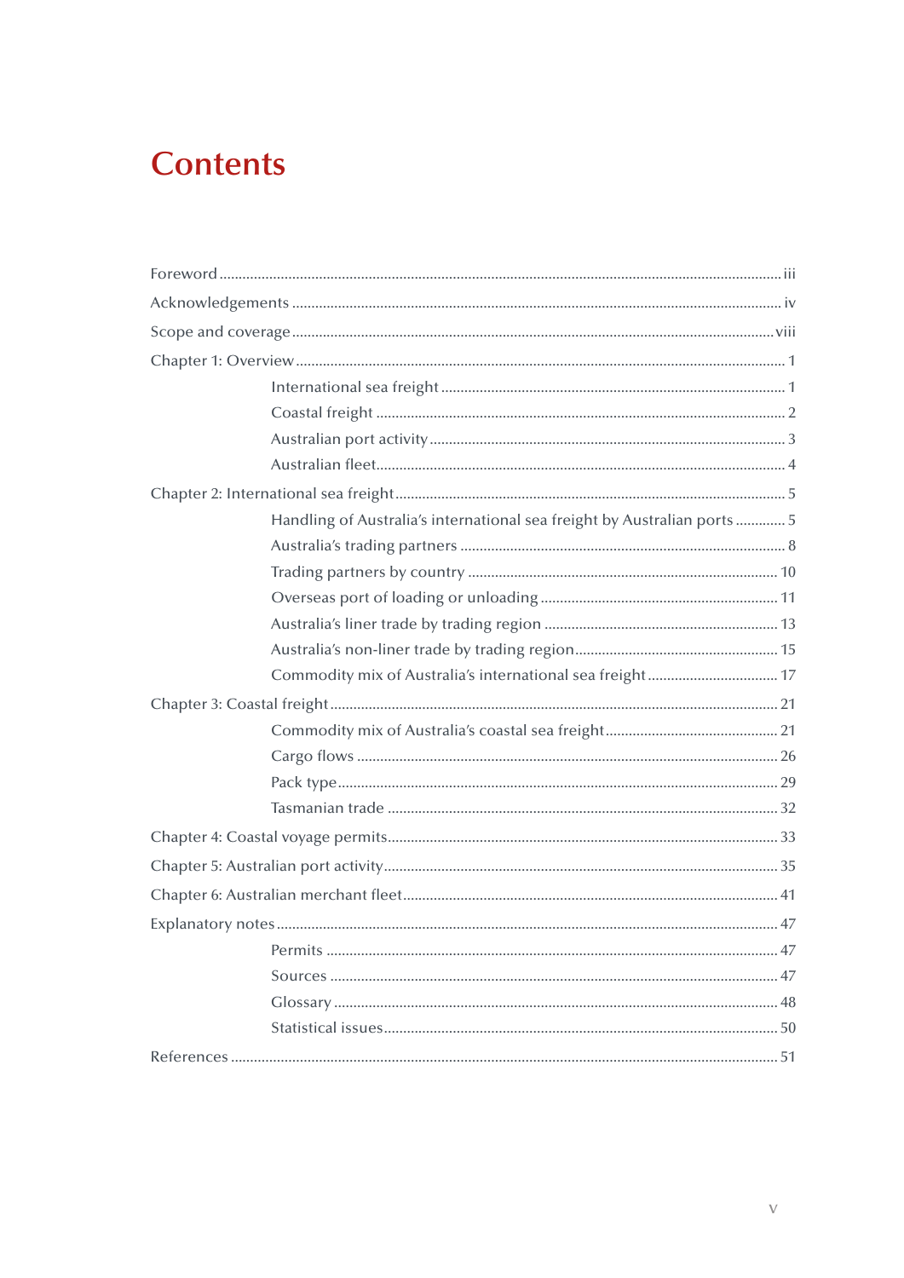# **Contents**

| Handling of Australia's international sea freight by Australian ports5 |  |
|------------------------------------------------------------------------|--|
|                                                                        |  |
|                                                                        |  |
|                                                                        |  |
|                                                                        |  |
|                                                                        |  |
|                                                                        |  |
|                                                                        |  |
|                                                                        |  |
|                                                                        |  |
|                                                                        |  |
|                                                                        |  |
|                                                                        |  |
|                                                                        |  |
|                                                                        |  |
|                                                                        |  |
|                                                                        |  |
|                                                                        |  |
|                                                                        |  |
|                                                                        |  |
|                                                                        |  |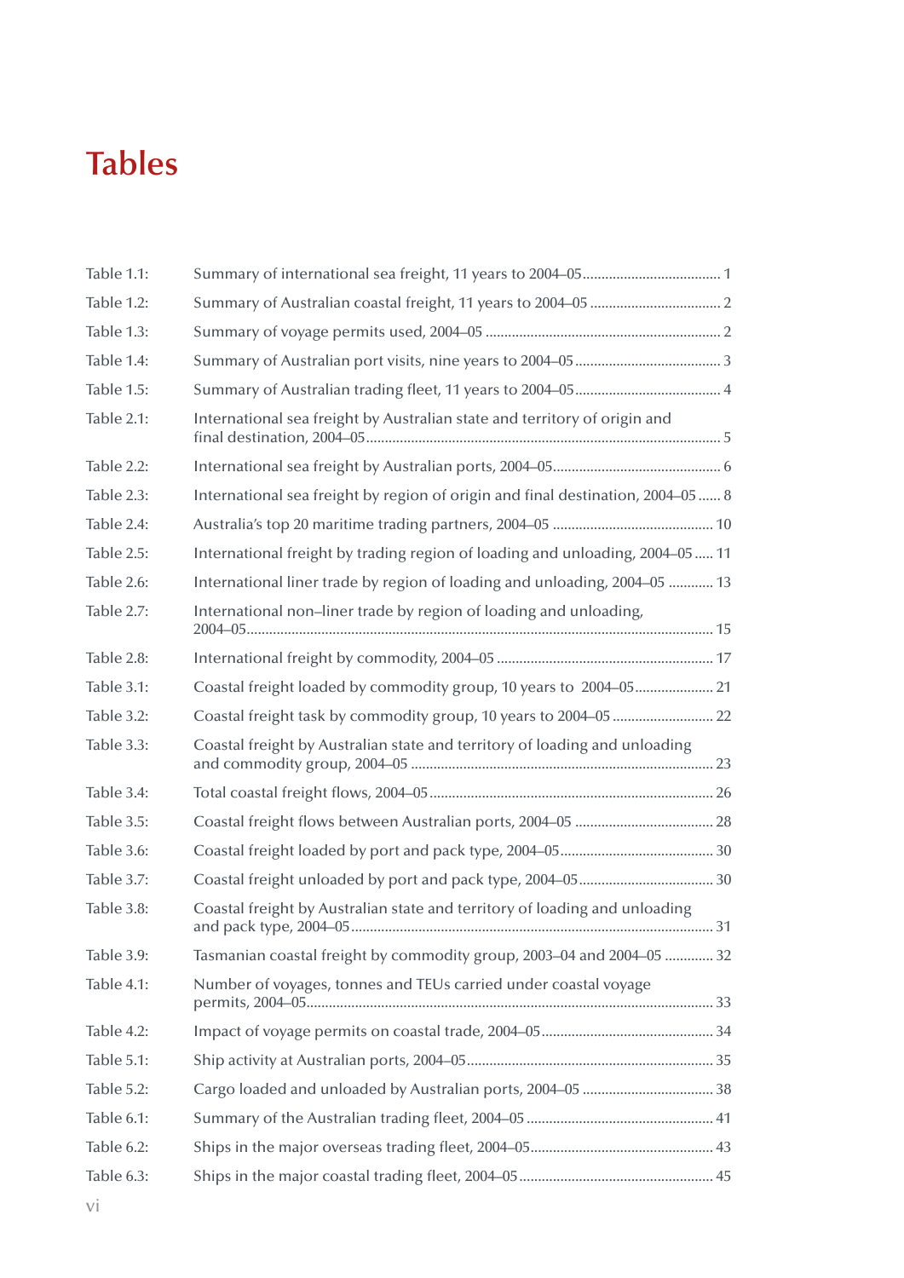# **Tables**

| Table 1.1:        |                                                                                 |  |
|-------------------|---------------------------------------------------------------------------------|--|
| <b>Table 1.2:</b> |                                                                                 |  |
| Table 1.3:        |                                                                                 |  |
| Table 1.4:        |                                                                                 |  |
| Table 1.5:        |                                                                                 |  |
| Table 2.1:        | International sea freight by Australian state and territory of origin and       |  |
| Table 2.2:        |                                                                                 |  |
| Table 2.3:        | International sea freight by region of origin and final destination, 2004-05  8 |  |
| Table 2.4:        |                                                                                 |  |
| Table 2.5:        | International freight by trading region of loading and unloading, 2004-05  11   |  |
| Table 2.6:        | International liner trade by region of loading and unloading, 2004-05  13       |  |
| Table 2.7:        | International non-liner trade by region of loading and unloading,               |  |
| Table 2.8:        |                                                                                 |  |
| Table 3.1:        |                                                                                 |  |
| Table 3.2:        |                                                                                 |  |
| Table 3.3:        | Coastal freight by Australian state and territory of loading and unloading      |  |
| Table 3.4:        |                                                                                 |  |
| Table 3.5:        |                                                                                 |  |
| Table 3.6:        |                                                                                 |  |
| Table 3.7:        |                                                                                 |  |
| Table 3.8:        | Coastal freight by Australian state and territory of loading and unloading      |  |
| Table 3.9:        | Tasmanian coastal freight by commodity group, 2003-04 and 2004-05  32           |  |
| Table 4.1:        | Number of voyages, tonnes and TEUs carried under coastal voyage                 |  |
| Table 4.2:        |                                                                                 |  |
| Table 5.1:        |                                                                                 |  |
| Table 5.2:        |                                                                                 |  |
| Table 6.1:        |                                                                                 |  |
| Table 6.2:        |                                                                                 |  |
| Table 6.3:        |                                                                                 |  |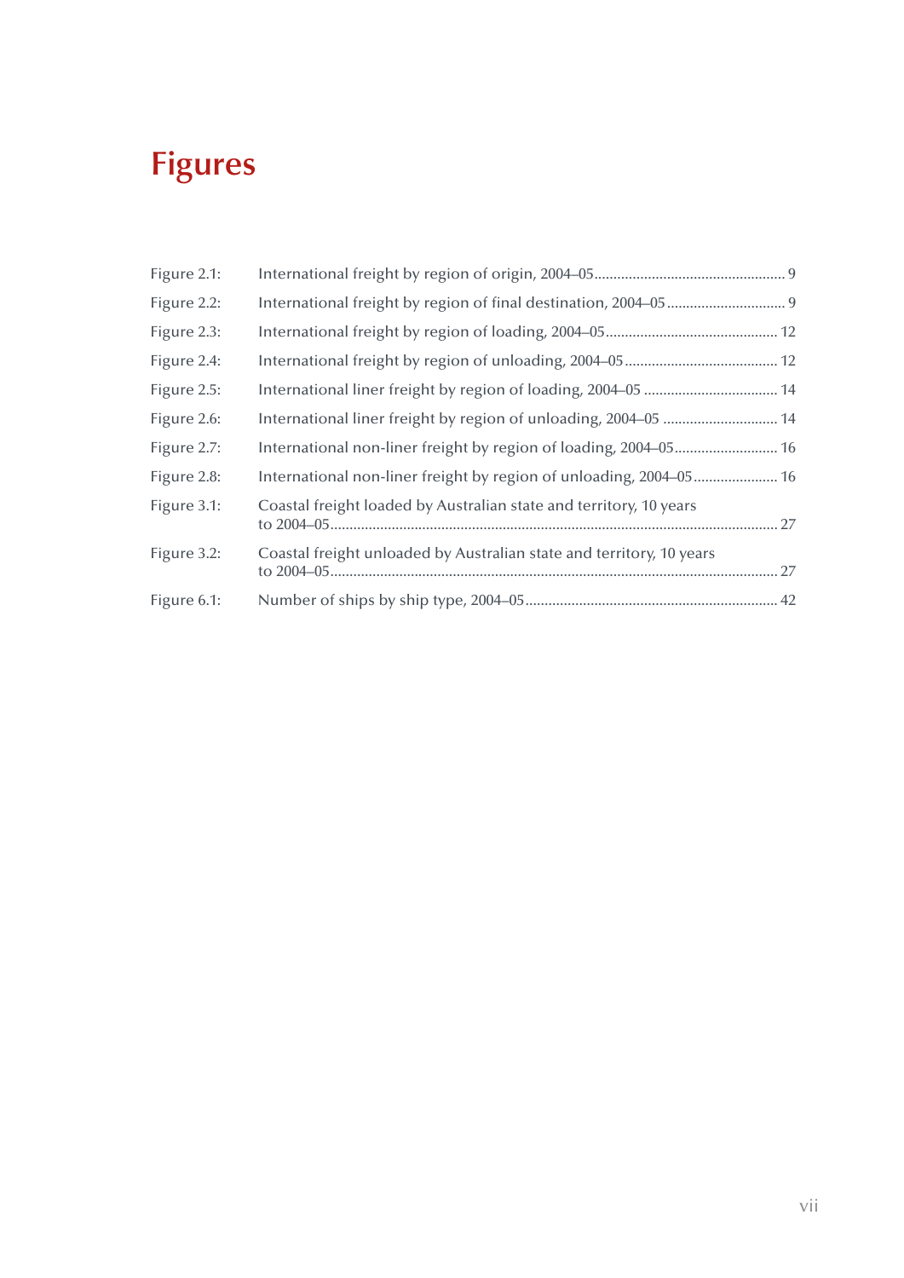# **Figures**

| Figure 2.1: |                                                                                          |  |
|-------------|------------------------------------------------------------------------------------------|--|
| Figure 2.2: |                                                                                          |  |
| Figure 2.3: |                                                                                          |  |
| Figure 2.4: |                                                                                          |  |
| Figure 2.5: |                                                                                          |  |
| Figure 2.6: |                                                                                          |  |
| Figure 2.7: |                                                                                          |  |
| Figure 2.8: | International non-liner freight by region of unloading, 2004-05 16                       |  |
| Figure 3.1: | Coastal freight loaded by Australian state and territory, 10 years                       |  |
| Figure 3.2: | Coastal freight unloaded by Australian state and territory, 10 years<br>to $2004 - 05$ . |  |
| Figure 6.1: |                                                                                          |  |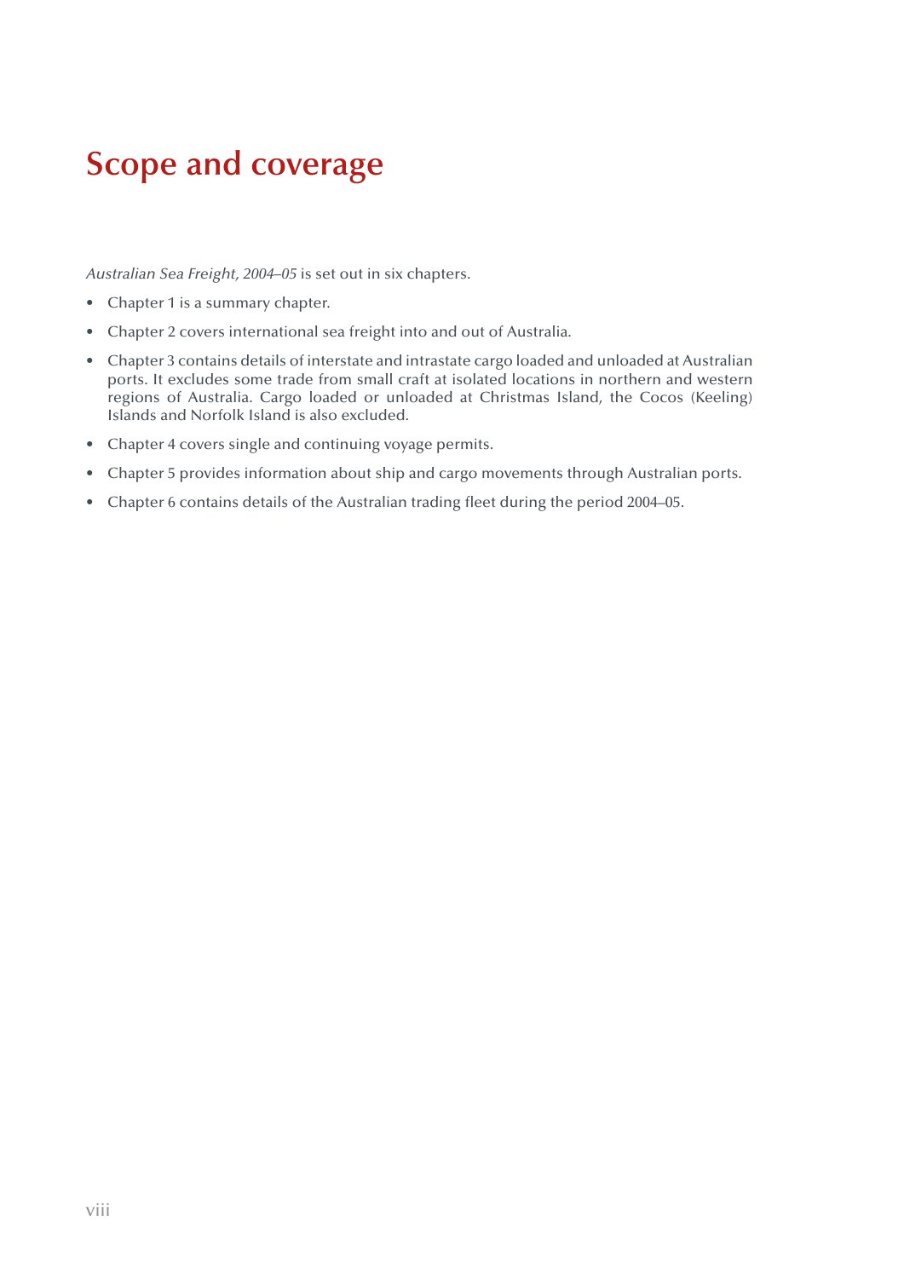## **Scope and coverage**

*Australian Sea Freight, 2004–05* is set out in six chapters.

- Chapter 1 is a summary chapter.
- Chapter 2 covers international sea freight into and out of Australia.
- Chapter 3 contains details of interstate and intrastate cargo loaded and unloaded at Australian ports. It excludes some trade from small craft at isolated locations in northern and western regions of Australia. Cargo loaded or unloaded at Christmas Island, the Cocos (Keeling) Islands and Norfolk Island is also excluded.
- Chapter 4 covers single and continuing voyage permits.
- Chapter 5 provides information about ship and cargo movements through Australian ports.
- Chapter 6 contains details of the Australian trading fleet during the period 2004–05.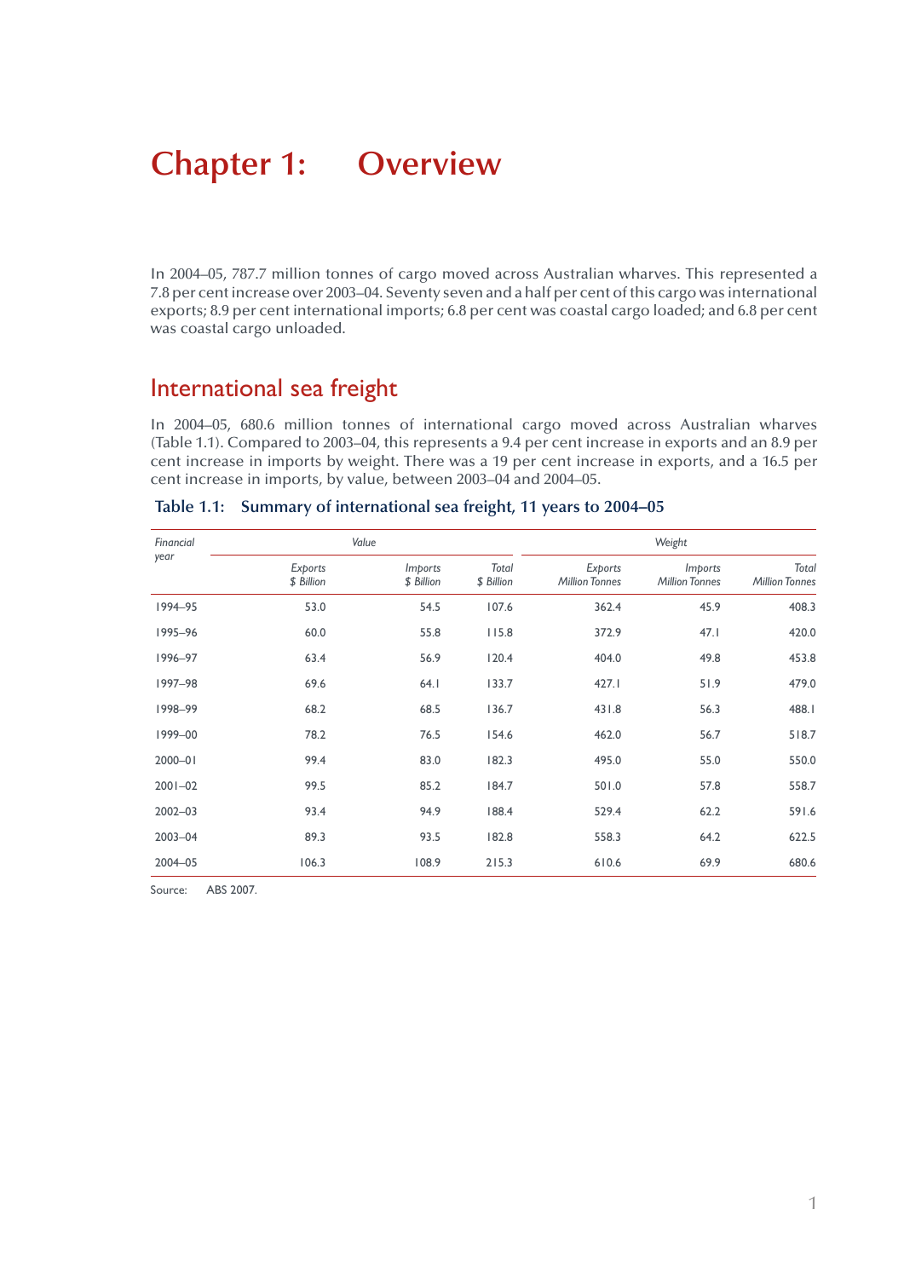## **Chapter 1: Overview**

In 2004–05, 787.7 million tonnes of cargo moved across Australian wharves. This represented a 7.8 per cent increase over 2003–04. Seventy seven and a half per cent of this cargo was international exports; 8.9 per cent international imports; 6.8 per cent was coastal cargo loaded; and 6.8 per cent was coastal cargo unloaded.

## International sea freight

In 2004–05, 680.6 million tonnes of international cargo moved across Australian wharves (Table 1.1). Compared to 2003–04, this represents a 9.4 per cent increase in exports and an 8.9 per cent increase in imports by weight. There was a 19 per cent increase in exports, and a 16.5 per cent increase in imports, by value, between 2003–04 and 2004–05.

| Financial   | Value                 |                              |                     |                                  | Weight                                  |                                |
|-------------|-----------------------|------------------------------|---------------------|----------------------------------|-----------------------------------------|--------------------------------|
| year        | Exports<br>\$ Billion | <i>Imports</i><br>\$ Billion | Total<br>\$ Billion | Exports<br><b>Million Tonnes</b> | <i>Imports</i><br><b>Million Tonnes</b> | Total<br><b>Million Tonnes</b> |
| 1994-95     | 53.0                  | 54.5                         | 107.6               | 362.4                            | 45.9                                    | 408.3                          |
| 1995-96     | 60.0                  | 55.8                         | 115.8               | 372.9                            | 47.1                                    | 420.0                          |
| 1996-97     | 63.4                  | 56.9                         | 120.4               | 404.0                            | 49.8                                    | 453.8                          |
| 1997-98     | 69.6                  | 64.1                         | 133.7               | 427.1                            | 51.9                                    | 479.0                          |
| 1998-99     | 68.2                  | 68.5                         | 136.7               | 431.8                            | 56.3                                    | 488.I                          |
| 1999-00     | 78.2                  | 76.5                         | 154.6               | 462.0                            | 56.7                                    | 518.7                          |
| $2000 - 01$ | 99.4                  | 83.0                         | 182.3               | 495.0                            | 55.0                                    | 550.0                          |
| $2001 - 02$ | 99.5                  | 85.2                         | 184.7               | 501.0                            | 57.8                                    | 558.7                          |
| $2002 - 03$ | 93.4                  | 94.9                         | 188.4               | 529.4                            | 62.2                                    | 591.6                          |
| $2003 - 04$ | 89.3                  | 93.5                         | 182.8               | 558.3                            | 64.2                                    | 622.5                          |
| 2004-05     | 106.3                 | 108.9                        | 215.3               | 610.6                            | 69.9                                    | 680.6                          |

|  |  | Table 1.1: Summary of international sea freight, 11 years to 2004-05 |  |  |  |  |
|--|--|----------------------------------------------------------------------|--|--|--|--|
|--|--|----------------------------------------------------------------------|--|--|--|--|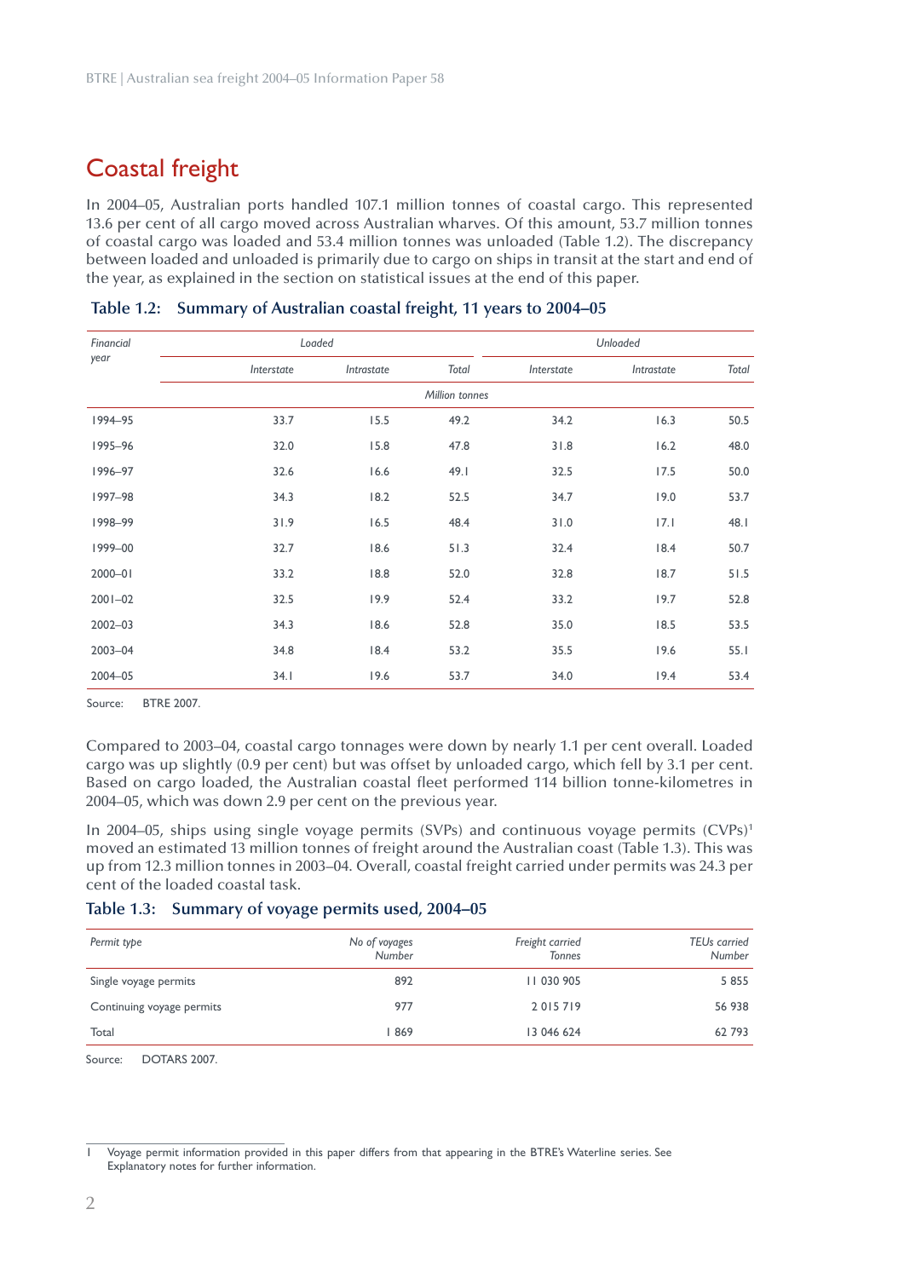## Coastal freight

In 2004–05, Australian ports handled 107.1 million tonnes of coastal cargo. This represented 13.6 per cent of all cargo moved across Australian wharves. Of this amount, 53.7 million tonnes of coastal cargo was loaded and 53.4 million tonnes was unloaded (Table 1.2). The discrepancy between loaded and unloaded is primarily due to cargo on ships in transit at the start and end of the year, as explained in the section on statistical issues at the end of this paper.

| Financial   |            | Loaded     |                |            | Unloaded   |       |
|-------------|------------|------------|----------------|------------|------------|-------|
| year        | Interstate | Intrastate | Total          | Interstate | Intrastate | Total |
|             |            |            | Million tonnes |            |            |       |
| 1994-95     | 33.7       | 15.5       | 49.2           | 34.2       | 16.3       | 50.5  |
| 1995-96     | 32.0       | 15.8       | 47.8           | 31.8       | 16.2       | 48.0  |
| 1996-97     | 32.6       | 16.6       | 49.1           | 32.5       | 17.5       | 50.0  |
| 1997-98     | 34.3       | 18.2       | 52.5           | 34.7       | 19.0       | 53.7  |
| 1998-99     | 31.9       | 16.5       | 48.4           | 31.0       | 17.1       | 48.1  |
| 1999-00     | 32.7       | 18.6       | 51.3           | 32.4       | 18.4       | 50.7  |
| $2000 - 01$ | 33.2       | 18.8       | 52.0           | 32.8       | 18.7       | 51.5  |
| $2001 - 02$ | 32.5       | 19.9       | 52.4           | 33.2       | 19.7       | 52.8  |
| 2002-03     | 34.3       | 18.6       | 52.8           | 35.0       | 18.5       | 53.5  |
| 2003-04     | 34.8       | 18.4       | 53.2           | 35.5       | 19.6       | 55.1  |
| 2004-05     | 34.1       | 19.6       | 53.7           | 34.0       | 19.4       | 53.4  |

**Table 1.2: Summary of Australian coastal freight, 11 years to 2004–05**

Source: BTRE 2007.

Compared to 2003–04, coastal cargo tonnages were down by nearly 1.1 per cent overall. Loaded cargo was up slightly (0.9 per cent) but was offset by unloaded cargo, which fell by 3.1 per cent. Based on cargo loaded, the Australian coastal fleet performed 114 billion tonne-kilometres in 2004–05, which was down 2.9 per cent on the previous year.

In 2004–05, ships using single voyage permits (SVPs) and continuous voyage permits  $(CVPs)^1$ moved an estimated 13 million tonnes of freight around the Australian coast (Table 1.3). This was up from 12.3 million tonnes in 2003–04. Overall, coastal freight carried under permits was 24.3 per cent of the loaded coastal task.

#### **Table 1.3: Summary of voyage permits used, 2004–05**

| Permit type               | No of voyages<br>Number | Freight carried<br><b>Tonnes</b> | TEUs carried<br>Number |
|---------------------------|-------------------------|----------------------------------|------------------------|
| Single voyage permits     | 892                     | 11 030 905                       | 5 8 5 5                |
| Continuing voyage permits | 977                     | 2015719                          | 56 938                 |
| Total                     | 869                     | 13 046 624                       | 62 793                 |

Source: DOTARS 2007.

<sup>1</sup> Voyage permit information provided in this paper differs from that appearing in the BTRE's Waterline series. See Explanatory notes for further information.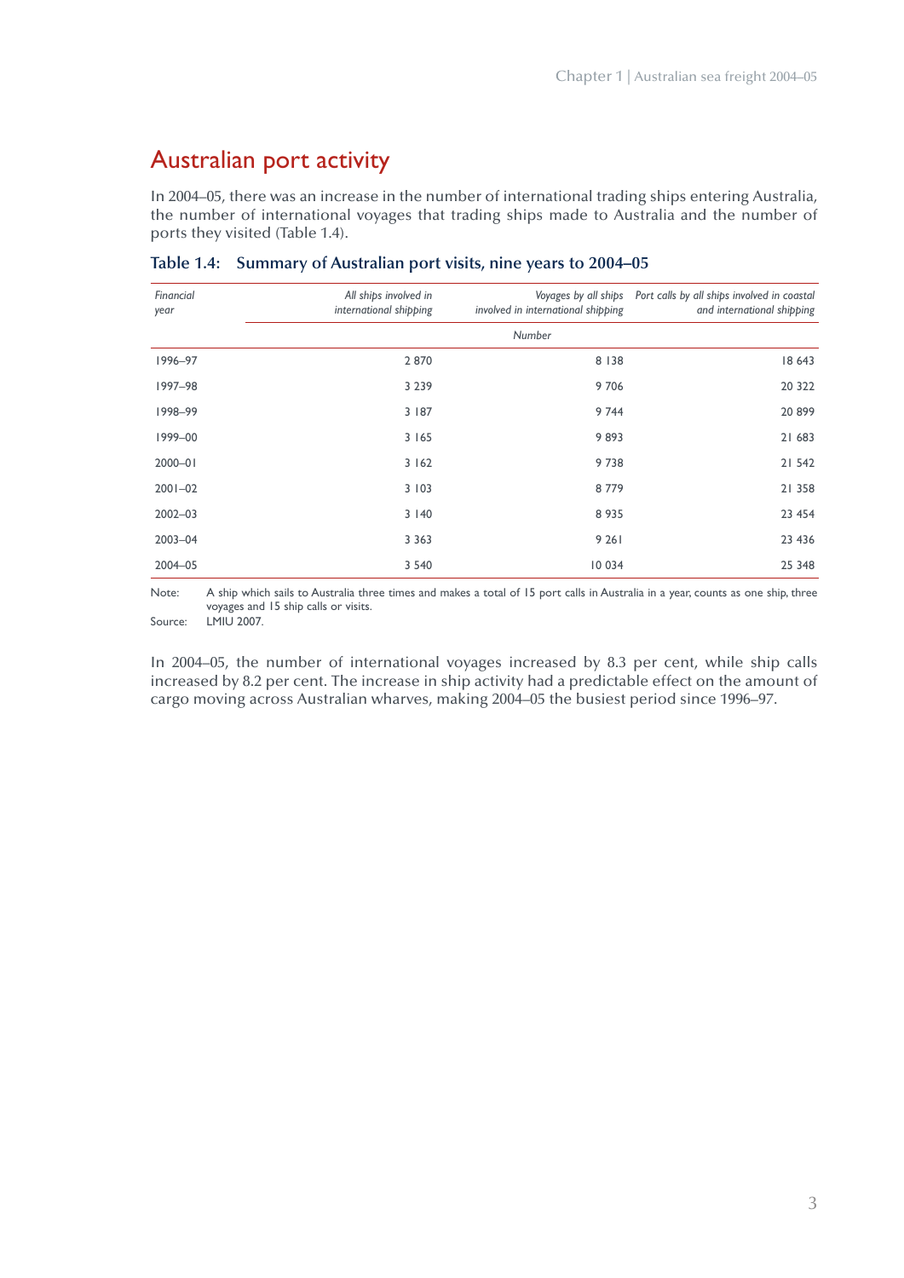## Australian port activity

In 2004–05, there was an increase in the number of international trading ships entering Australia, the number of international voyages that trading ships made to Australia and the number of ports they visited (Table 1.4).

| Financial<br>year | All ships involved in<br>international shipping | involved in international shipping | Voyages by all ships  Port calls by all ships involved in coastal<br>and international shipping |
|-------------------|-------------------------------------------------|------------------------------------|-------------------------------------------------------------------------------------------------|
|                   |                                                 | Number                             |                                                                                                 |
| 1996-97           | 2870                                            | 8 1 3 8                            | 18 643                                                                                          |
| $1997 - 98$       | 3 2 3 9                                         | 9706                               | 20 322                                                                                          |
| 1998-99           | 3 187                                           | 9 7 4 4                            | 20899                                                                                           |
| 1999-00           | 3 1 6 5                                         | 9893                               | 21 683                                                                                          |
| $2000 - 01$       | 3162                                            | 9738                               | 21 542                                                                                          |
| $2001 - 02$       | 3 1 0 3                                         | 8779                               | 21 358                                                                                          |
| $2002 - 03$       | 3140                                            | 8935                               | 23 454                                                                                          |
| 2003-04           | 3 3 6 3                                         | 9 2 6 1                            | 23 4 36                                                                                         |
| 2004-05           | 3 5 4 0                                         | 10 0 34                            | 25 348                                                                                          |

**Table 1.4: Summary of Australian port visits, nine years to 2004–05**

Note: A ship which sails to Australia three times and makes a total of 15 port calls in Australia in a year, counts as one ship, three voyages and 15 ship calls or visits.

Source: LMIU 2007.

In 2004–05, the number of international voyages increased by 8.3 per cent, while ship calls increased by 8.2 per cent. The increase in ship activity had a predictable effect on the amount of cargo moving across Australian wharves, making 2004–05 the busiest period since 1996–97.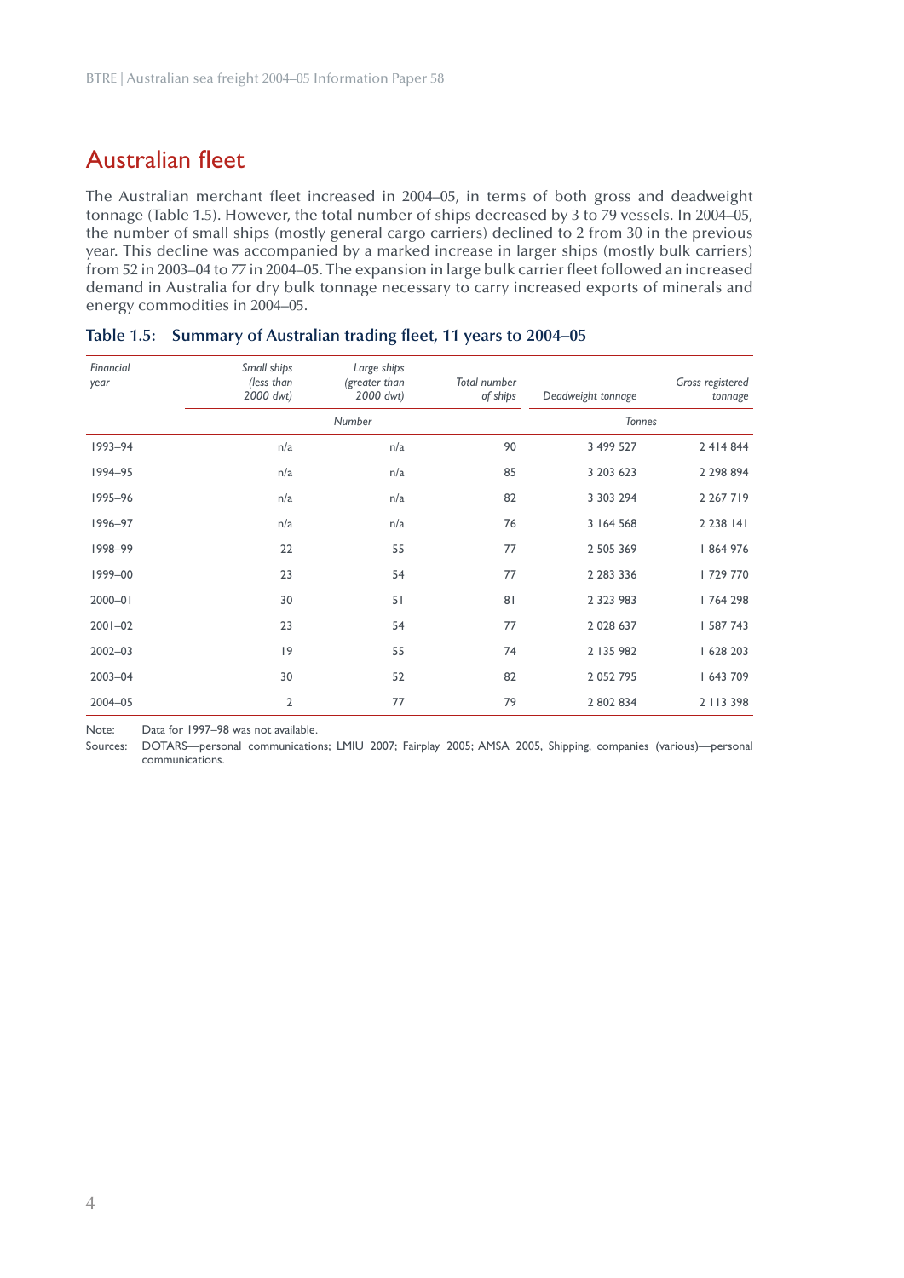## Australian fleet

The Australian merchant fleet increased in 2004–05, in terms of both gross and deadweight tonnage (Table 1.5). However, the total number of ships decreased by 3 to 79 vessels. In 2004–05, the number of small ships (mostly general cargo carriers) declined to 2 from 30 in the previous year. This decline was accompanied by a marked increase in larger ships (mostly bulk carriers) from 52 in 2003-04 to 77 in 2004-05. The expansion in large bulk carrier fleet followed an increased demand in Australia for dry bulk tonnage necessary to carry increased exports of minerals and energy commodities in 2004–05.

| Financial<br>year | Small ships<br>(less than<br>2000 dwt) | Large ships<br>(greater than<br>2000 dwt) | Total number<br>of ships | Deadweight tonnage | Gross registered<br>tonnage |
|-------------------|----------------------------------------|-------------------------------------------|--------------------------|--------------------|-----------------------------|
|                   |                                        | Number                                    |                          | <b>Tonnes</b>      |                             |
| 1993-94           | n/a                                    | n/a                                       | 90                       | 3 499 527          | 2 4 1 4 8 4 4               |
| 1994-95           | n/a                                    | n/a                                       | 85                       | 3 203 623          | 2 2 9 8 8 9 4               |
| 1995-96           | n/a                                    | n/a                                       | 82                       | 3 3 0 3 2 9 4      | 2 2 6 7 1 9                 |
| 1996-97           | n/a                                    | n/a                                       | 76                       | 3 164 568          | 2 2 3 8 1 4 1               |
| 1998-99           | 22                                     | 55                                        | 77                       | 2 505 369          | 864 976                     |
| 1999-00           | 23                                     | 54                                        | 77                       | 2 2 8 3 3 3 6      | 729 770                     |
| $2000 - 01$       | 30                                     | 51                                        | 8 <sub>1</sub>           | 2 3 2 3 9 8 3      | 764 298                     |
| $2001 - 02$       | 23                                     | 54                                        | 77                       | 2 0 28 6 37        | 587 743                     |
| $2002 - 03$       | 9                                      | 55                                        | 74                       | 2 135 982          | 628 203                     |
| $2003 - 04$       | 30                                     | 52                                        | 82                       | 2 0 5 2 7 9 5      | 643 709                     |
| 2004-05           | $\overline{2}$                         | 77                                        | 79                       | 2 802 834          | 2 113 398                   |

#### Table 1.5: Summary of Australian trading fleet, 11 years to 2004-05

Note: Data for 1997–98 was not available.

Sources: DOTARS—personal communications; LMIU 2007; Fairplay 2005; AMSA 2005, Shipping, companies (various)—personal communications.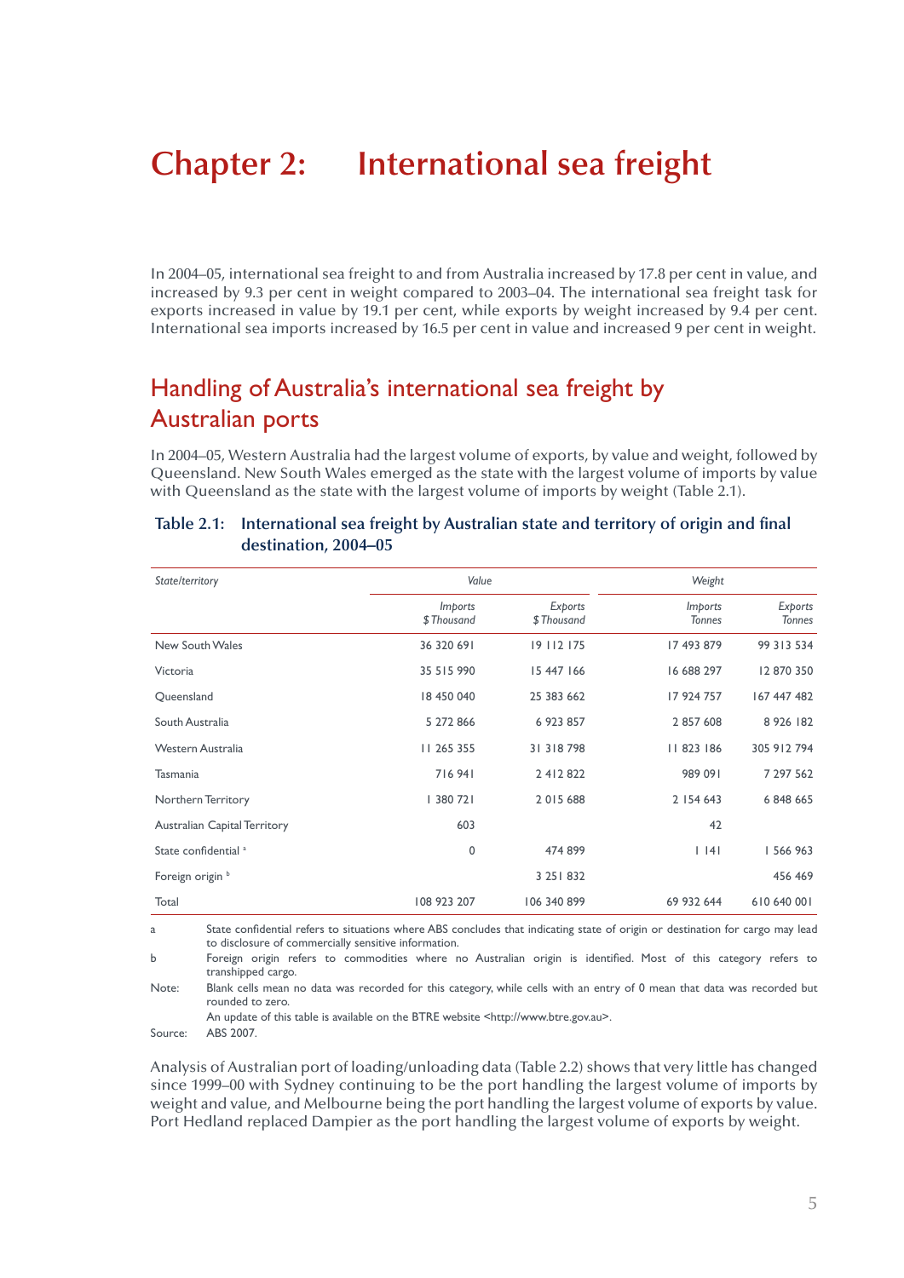## **Chapter 2: International sea freight**

In 2004–05, international sea freight to and from Australia increased by 17.8 per cent in value, and increased by 9.3 per cent in weight compared to 2003–04. The international sea freight task for exports increased in value by 19.1 per cent, while exports by weight increased by 9.4 per cent. International sea imports increased by 16.5 per cent in value and increased 9 per cent in weight.

## Handling of Australia's international sea freight by Australian ports

In 2004–05, Western Australia had the largest volume of exports, by value and weight, followed by Queensland. New South Wales emerged as the state with the largest volume of imports by value with Queensland as the state with the largest volume of imports by weight (Table 2.1).

| State/territory                 | Value                        |                       | Weight                          |                          |  |
|---------------------------------|------------------------------|-----------------------|---------------------------------|--------------------------|--|
|                                 | <i>Imports</i><br>\$Thousand | Exports<br>\$Thousand | <i>Imports</i><br><b>Tonnes</b> | Exports<br><b>Tonnes</b> |  |
| New South Wales                 | 36 320 691                   | 19 112 175            | 17 493 879                      | 99 313 534               |  |
| Victoria                        | 35 515 990                   | 15 447 166            | 16 688 297                      | 12 870 350               |  |
| Queensland                      | 18 450 040                   | 25 383 662            | 17 924 757                      | 167 447 482              |  |
| South Australia                 | 5 272 866                    | 6 923 857             | 2 857 608                       | 8 9 2 6 18 2             |  |
| Western Australia               | 11 265 355                   | 31 318 798            | 823   86                        | 305 912 794              |  |
| Tasmania                        | 716941                       | 2 4 1 2 8 2 2         | 989 091                         | 7 297 562                |  |
| Northern Territory              | 380 721                      | 2015688               | 2 154 643                       | 6 848 665                |  |
| Australian Capital Territory    | 603                          |                       | 42                              |                          |  |
| State confidential <sup>a</sup> | 0                            | 474 899               | $ $ $ $ $ $ $ $                 | 566 963                  |  |
| Foreign origin b                |                              | 3 25   832            |                                 | 456 469                  |  |
| Total                           | 108 923 207                  | 106 340 899           | 69 932 644                      | 610 640 001              |  |

#### Table 2.1: International sea freight by Australian state and territory of origin and final **destination, 2004–05**

a State confidential refers to situations where ABS concludes that indicating state of origin or destination for cargo may lead to disclosure of commercially sensitive information.

b Foreign origin refers to commodities where no Australian origin is identified. Most of this category refers to transhipped cargo.

Note: Blank cells mean no data was recorded for this category, while cells with an entry of 0 mean that data was recorded but rounded to zero.

An update of this table is available on the BTRE website <http://www.btre.gov.au>.

Source: ABS 2007.

Analysis of Australian port of loading/unloading data (Table 2.2) shows that very little has changed since 1999–00 with Sydney continuing to be the port handling the largest volume of imports by weight and value, and Melbourne being the port handling the largest volume of exports by value. Port Hedland replaced Dampier as the port handling the largest volume of exports by weight.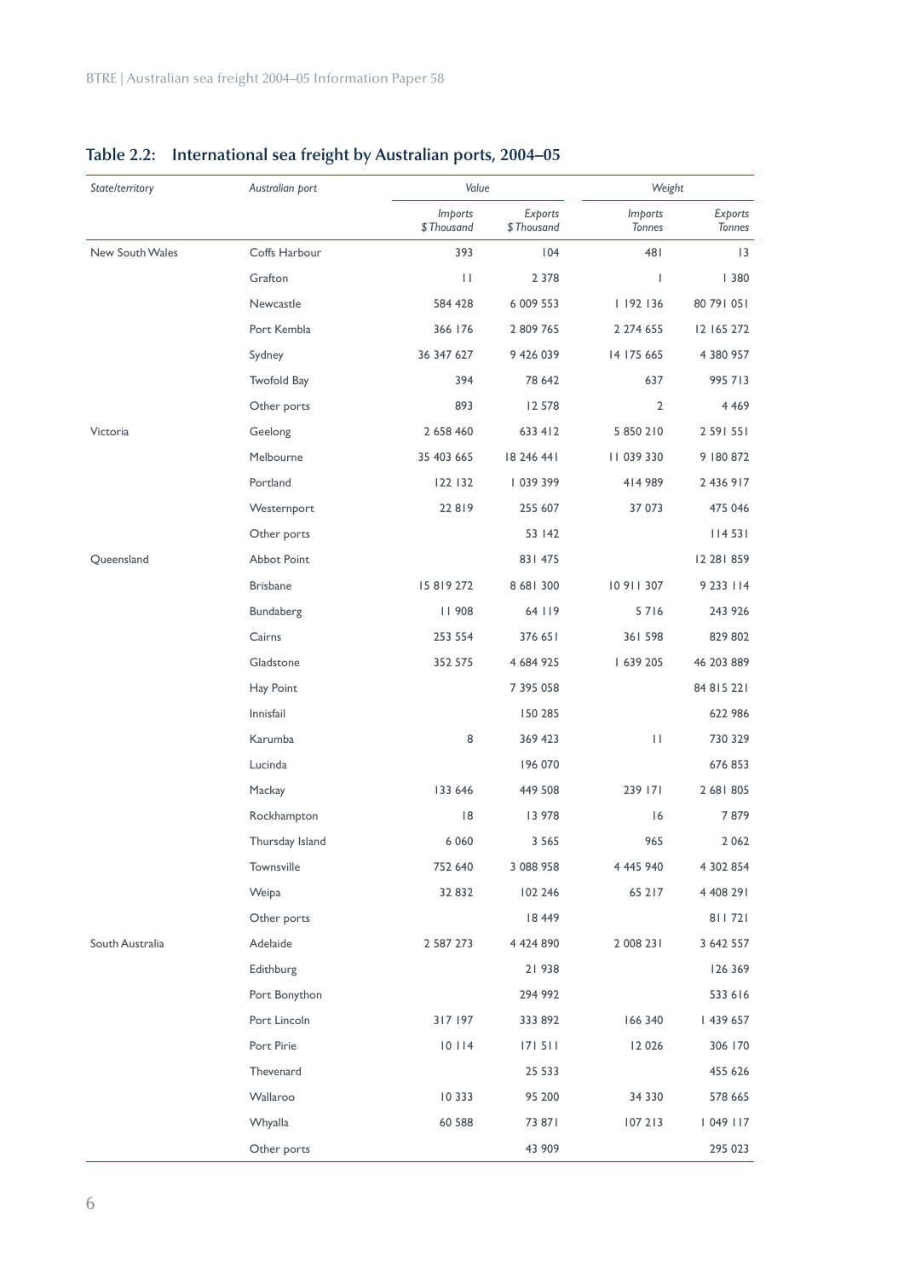| State/territory | Australian port    |                       | Value                 |                          | Weight                   |
|-----------------|--------------------|-----------------------|-----------------------|--------------------------|--------------------------|
|                 |                    | Imports<br>\$Thousand | Exports<br>\$Thousand | Imports<br><b>Tonnes</b> | Exports<br><b>Tonnes</b> |
| New South Wales | Coffs Harbour      | 393                   | 104                   | 481                      | 3                        |
|                 | Grafton            | $\mathbf{H}$          | 2 3 7 8               | T                        | 380                      |
|                 | Newcastle          | 584 428               | 6 009 553             | 192 136                  | 80 791 051               |
|                 | Port Kembla        | 366 176               | 2 809 765             | 2 274 655                | 12 165 272               |
|                 | Sydney             | 36 347 627            | 9 426 039             | 14 175 665               | 4 380 957                |
|                 | <b>Twofold Bay</b> | 394                   | 78 642                | 637                      | 995 713                  |
|                 | Other ports        | 893                   | 12 578                | $\overline{2}$           | 4 4 6 9                  |
| Victoria        | Geelong            | 2 658 460             | 633 412               | 5 850 210                | 2 59 55 1                |
|                 | Melbourne          | 35 403 665            | 18 246 441            | 11 039 330               | 9 180 872                |
|                 | Portland           | 122 132               | 039 399               | 414 989                  | 2 436 917                |
|                 | Westernport        | 22819                 | 255 607               | 37 073                   | 475 046                  |
|                 | Other ports        |                       | 53 142                |                          | 114531                   |
| Queensland      | <b>Abbot Point</b> |                       | 831 475               |                          | 12 28 1 859              |
|                 | <b>Brisbane</b>    | 15 819 272            | 8 681 300             | 10 911 307               | 9 2 3 1 1 4              |
|                 | Bundaberg          | <b>II</b> 908         | 64 119                | 5716                     | 243 926                  |
|                 | Cairns             | 253 554               | 376 651               | 361 598                  | 829 802                  |
|                 | Gladstone          | 352 575               | 4 684 925             | 1 639 205                | 46 203 889               |
|                 | Hay Point          |                       | 7 395 058             |                          | 84 815 221               |
|                 | Innisfail          |                       | 150 285               |                          | 622 986                  |
|                 | Karumba            | 8                     | 369 423               | $\mathbf{H}$             | 730 329                  |
|                 | Lucinda            |                       | 196 070               |                          | 676 853                  |
|                 | Mackay             | 133 646               | 449 508               | 239 171                  | 2 681 805                |
|                 | Rockhampton        | 8                     | 13 978                | 16                       | 7879                     |
|                 | Thursday Island    | 6 0 6 0               | 3 5 6 5               | 965                      | 2 0 6 2                  |
|                 | Townsville         | 752 640               | 3 088 958             | 4 445 940                | 4 302 854                |
|                 | Weipa              | 32 832                | 102 246               | 65 217                   | 4 408 291                |
|                 | Other ports        |                       | 18 449                |                          | 811721                   |
| South Australia | Adelaide           | 2 587 273             | 4 4 2 4 8 9 0         | 2 008 231                | 3 642 557                |
|                 | Edithburg          |                       | 21 938                |                          | 126 369                  |
|                 | Port Bonython      |                       | 294 992               |                          | 533 616                  |
|                 | Port Lincoln       | 317 197               | 333 892               | 166 340                  | 439 657                  |
|                 | Port Pirie         | 10114                 | 171511                | 12 0 26                  | 306 170                  |
|                 | Thevenard          |                       | 25 5 33               |                          | 455 626                  |
|                 | Wallaroo           | 10 3 3 3              | 95 200                | 34 330                   | 578 665                  |
|                 | Whyalla            | 60 588                | 73 871                | 107 213                  | 049   17                 |
|                 | Other ports        |                       | 43 909                |                          | 295 023                  |

## **Table 2.2: International sea freight by Australian ports, 2004–05**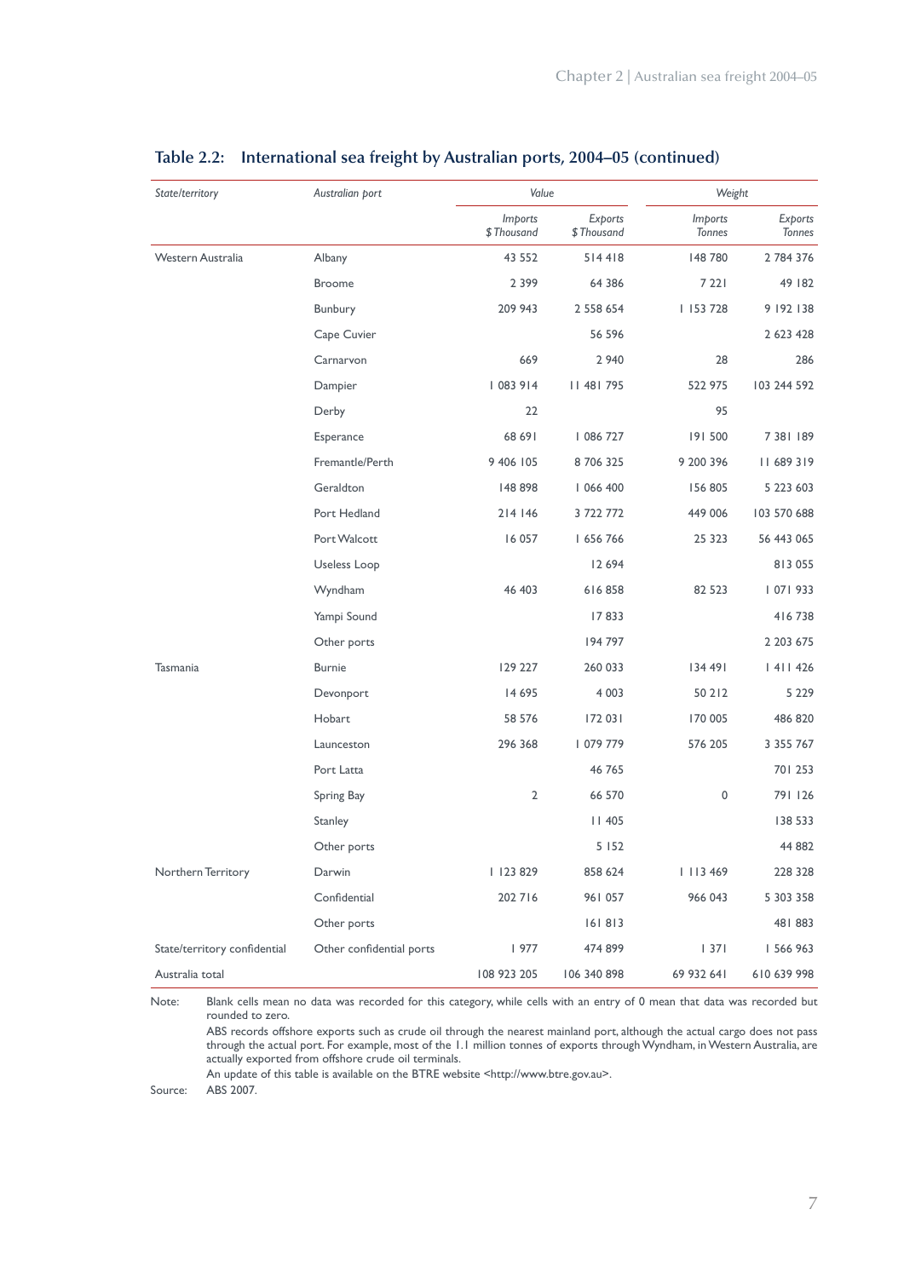| State/territory              | Australian port          | Value                        |                       |                                 | Weight                   |
|------------------------------|--------------------------|------------------------------|-----------------------|---------------------------------|--------------------------|
|                              |                          | <b>Imports</b><br>\$Thousand | Exports<br>\$Thousand | <i>Imports</i><br><b>Tonnes</b> | Exports<br><b>Tonnes</b> |
| Western Australia            | Albany                   | 43 5 5 2                     | 514418                | 148 780                         | 2 784 376                |
|                              | <b>Broome</b>            | 2 3 9 9                      | 64 38 6               | 7 2 2 1                         | 49 182                   |
|                              | Bunbury                  | 209 943                      | 2 558 654             | 153 728                         | 9 192 138                |
|                              | Cape Cuvier              |                              | 56 596                |                                 | 2 623 428                |
|                              | Carnarvon                | 669                          | 2 9 4 0               | 28                              | 286                      |
|                              | Dampier                  | 083 914                      | 48   795              | 522 975                         | 103 244 592              |
|                              | Derby                    | 22                           |                       | 95                              |                          |
|                              | Esperance                | 68 691                       | 086 727               | 191 500                         | 7 381 189                |
|                              | Fremantle/Perth          | 9 406 105                    | 8706325               | 9 200 396                       | 11 689 319               |
|                              | Geraldton                | 148 898                      | 066 400               | 156 805                         | 5 223 603                |
|                              | Port Hedland             | 214 146                      | 3722772               | 449 006                         | 103 570 688              |
|                              | Port Walcott             | 16 057                       | 1 656 766             | 25 3 23                         | 56 443 065               |
|                              | Useless Loop             |                              | 12 694                |                                 | 813 055                  |
|                              | Wyndham                  | 46 403                       | 616858                | 82 523                          | 07  933                  |
|                              | Yampi Sound              |                              | 17833                 |                                 | 416738                   |
|                              | Other ports              |                              | 194 797               |                                 | 2 2 0 3 6 7 5            |
| Tasmania                     | <b>Burnie</b>            | 129 227                      | 260 033               | 134 491                         | 1411426                  |
|                              | Devonport                | 14 695                       | 4 0 0 3               | 50 212                          | 5 2 2 9                  |
|                              | Hobart                   | 58 576                       | 172 031               | 170 005                         | 486 820                  |
|                              | Launceston               | 296 368                      | 079 779               | 576 205                         | 3 3 5 7 6 7              |
|                              | Port Latta               |                              | 46 765                |                                 | 701 253                  |
|                              | Spring Bay               | $\overline{2}$               | 66 570                | 0                               | 791 126                  |
|                              | Stanley                  |                              | <b>II 405</b>         |                                 | 138 533                  |
|                              | Other ports              |                              | 5 1 5 2               |                                 | 44 882                   |
| Northern Territory           | Darwin                   | 123 829                      | 858 624               | 3 469                           | 228 328                  |
|                              | Confidential             | 202716                       | 961 057               | 966 043                         | 5 303 358                |
|                              | Other ports              |                              | 161813                |                                 | 481883                   |
| State/territory confidential | Other confidential ports | 977                          | 474 899               | 37                              | 1 566 963                |
| Australia total              |                          | 108 923 205                  | 106 340 898           | 69 932 641                      | 610 639 998              |

#### **Table 2.2: International sea freight by Australian ports, 2004–05 (continued)**

Note: Blank cells mean no data was recorded for this category, while cells with an entry of 0 mean that data was recorded but rounded to zero.

 ABS records offshore exports such as crude oil through the nearest mainland port, although the actual cargo does not pass through the actual port. For example, most of the 1.1 million tonnes of exports through Wyndham, in Western Australia, are actually exported from offshore crude oil terminals.

An update of this table is available on the BTRE website <http://www.btre.gov.au>.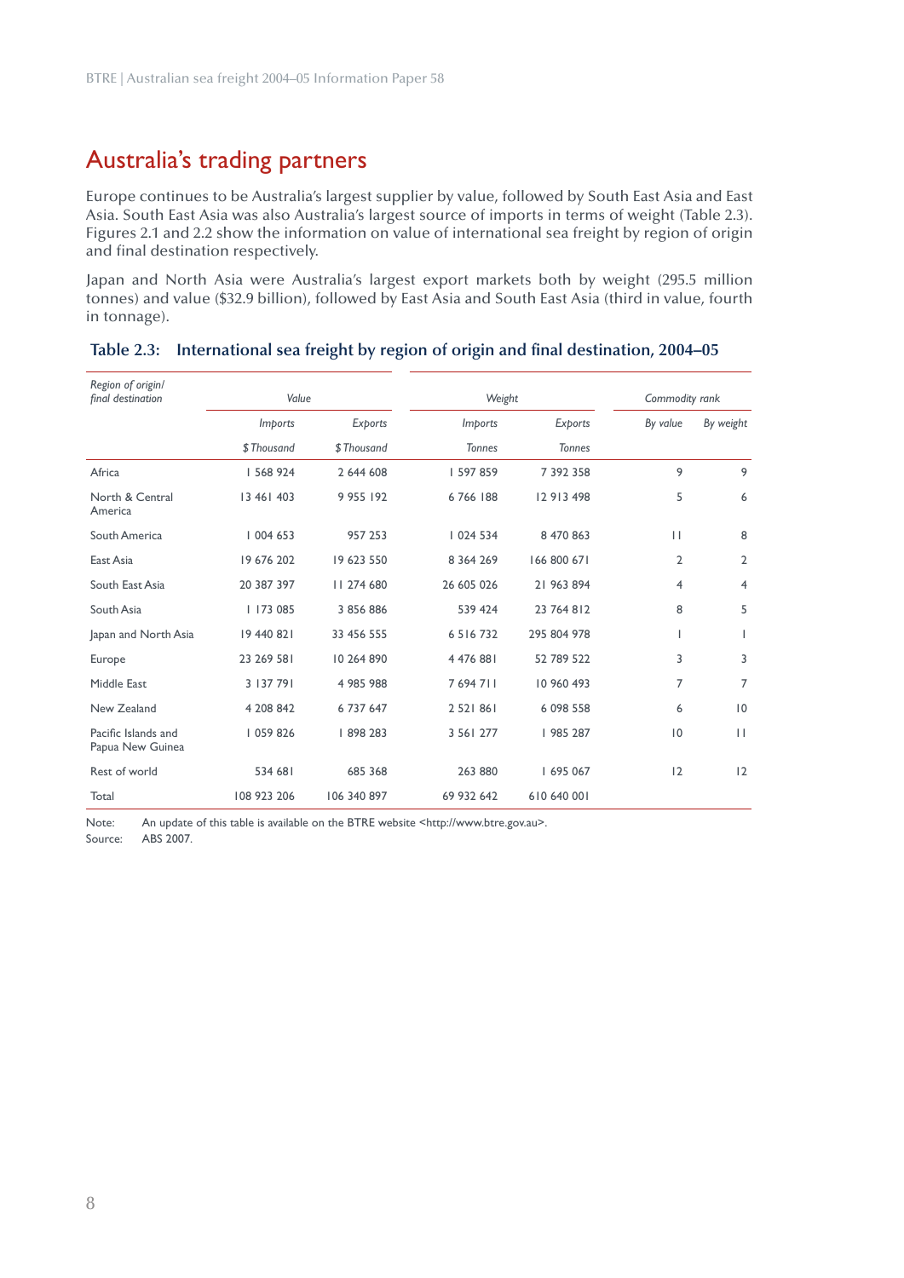## Australia's trading partners

Europe continues to be Australia's largest supplier by value, followed by South East Asia and East Asia. South East Asia was also Australia's largest source of imports in terms of weight (Table 2.3). Figures 2.1 and 2.2 show the information on value of international sea freight by region of origin and final destination respectively.

Japan and North Asia were Australia's largest export markets both by weight (295.5 million tonnes) and value (\$32.9 billion), followed by East Asia and South East Asia (third in value, fourth in tonnage).

| Region of origin/<br>final destination  | Value          |             |                | Weight        | Commodity rank |                 |  |
|-----------------------------------------|----------------|-------------|----------------|---------------|----------------|-----------------|--|
|                                         | <i>Imports</i> | Exports     | <i>Imports</i> | Exports       | By value       | By weight       |  |
|                                         | \$Thousand     | \$Thousand  | <b>Tonnes</b>  | <b>Tonnes</b> |                |                 |  |
| Africa                                  | 568 924        | 2 644 608   | 597 859        | 7 392 358     | 9              | 9               |  |
| North & Central<br>America              | 13 46 1 403    | 9 9 5 1 9 2 | 6766188        | 12 913 498    | 5              | 6               |  |
| South America                           | 1004653        | 957 253     | 024 534        | 8 470 863     | П              | 8               |  |
| East Asia                               | 19 676 202     | 19 623 550  | 8 3 6 4 2 6 9  | 166 800 671   | 2              | $\overline{2}$  |  |
| South East Asia                         | 20 387 397     | 11 274 680  | 26 605 026     | 21 963 894    | 4              | 4               |  |
| South Asia                              | 173 085        | 3 856 886   | 539 424        | 23 764 812    | 8              | 5               |  |
| Japan and North Asia                    | 19 440 821     | 33 456 555  | 6 5 1 6 7 3 2  | 295 804 978   |                |                 |  |
| Europe                                  | 23 269 581     | 10 264 890  | 4 476 881      | 52 789 522    | 3              | 3               |  |
| Middle East                             | 3 137 791      | 4 985 988   | 7 694 711      | 10 960 493    | 7              | 7               |  |
| New Zealand                             | 4 208 842      | 6 737 647   | 2 5 2 1 8 6 1  | 6 098 558     | 6              | $\overline{10}$ |  |
| Pacific Islands and<br>Papua New Guinea | 059 826        | 898 283     | 3 561 277      | 985 287       | $ 0\rangle$    | П               |  |
| Rest of world                           | 534 681        | 685 368     | 263 880        | 695 067       | 12             | 12              |  |
| Total                                   | 108 923 206    | 106 340 897 | 69 932 642     | 610 640 001   |                |                 |  |

|  | Table 2.3: International sea freight by region of origin and final destination, 2004-05 |  |  |  |  |  |  |
|--|-----------------------------------------------------------------------------------------|--|--|--|--|--|--|
|--|-----------------------------------------------------------------------------------------|--|--|--|--|--|--|

Note: An update of this table is available on the BTRE website <http://www.btre.gov.au>. Source: ABS 2007.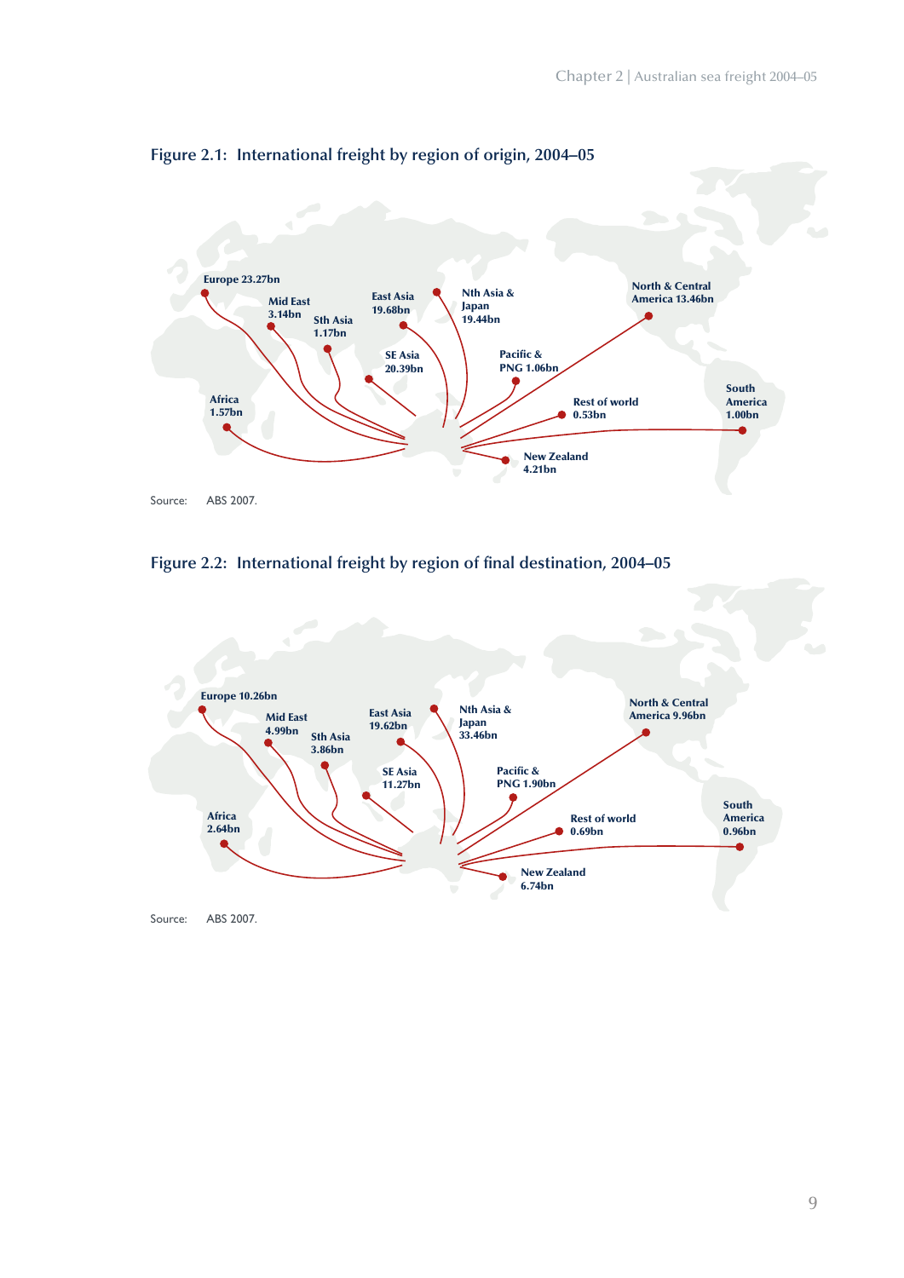

**Figure 2.1: International freight by region of origin, 2004–05**



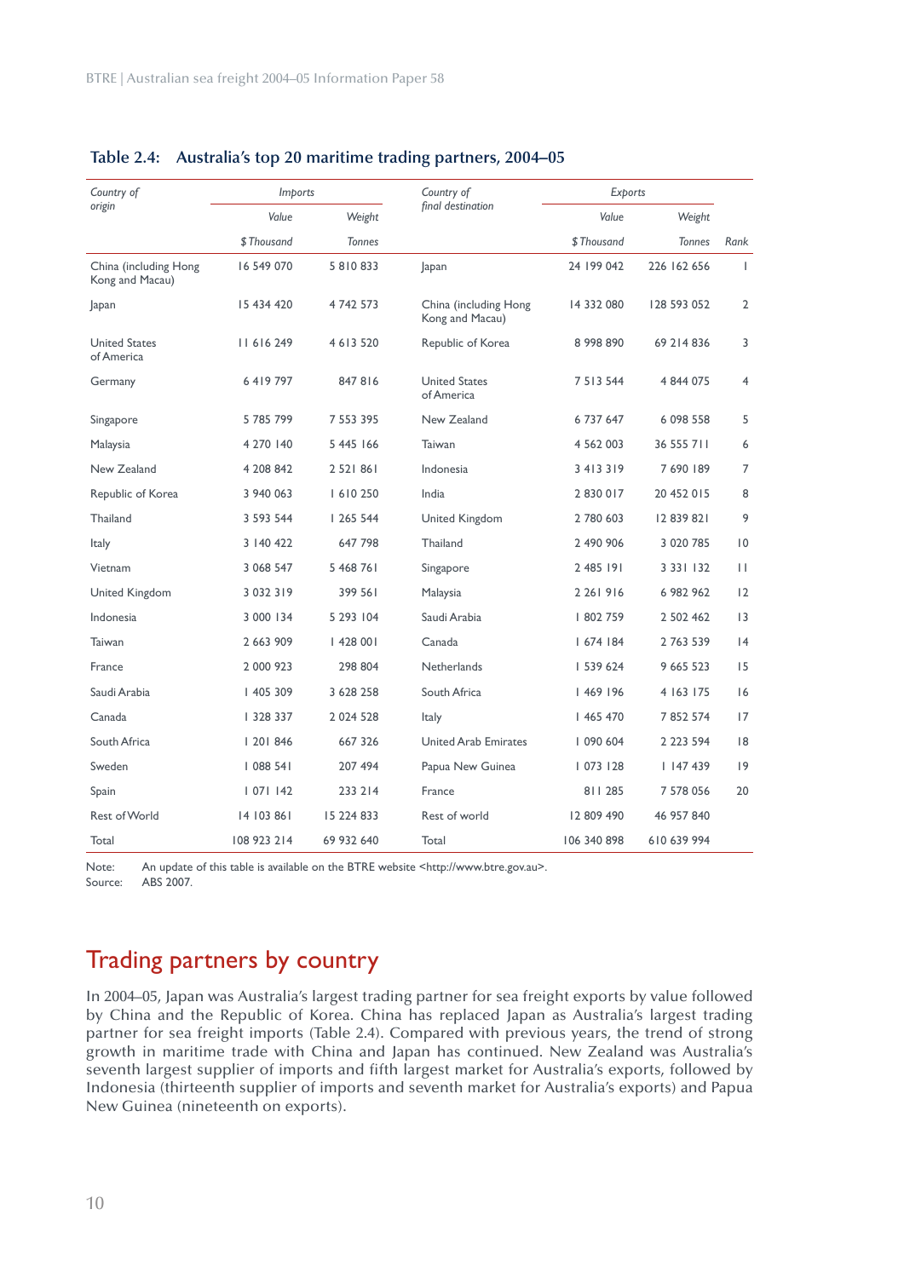| Country of                               | <i>Imports</i> |               | Country of                               | Exports       |               |                |
|------------------------------------------|----------------|---------------|------------------------------------------|---------------|---------------|----------------|
| origin                                   | Value          | Weight        | final destination                        | Value         | Weight        |                |
|                                          | \$Thousand     | <b>Tonnes</b> |                                          | \$Thousand    | <b>Tonnes</b> | Rank           |
| China (including Hong<br>Kong and Macau) | 16 549 070     | 5 810 833     | Japan                                    | 24 199 042    | 226 162 656   | T              |
| Japan                                    | 15 434 420     | 4 742 573     | China (including Hong<br>Kong and Macau) | 14 332 080    | 128 593 052   | $\overline{2}$ |
| <b>United States</b><br>of America       | 11616249       | 4 6 1 3 5 20  | Republic of Korea                        | 8 998 890     | 69 214 836    | 3              |
| Germany                                  | 6419797        | 847816        | <b>United States</b><br>of America       | 7 5 1 3 5 4 4 | 4 844 075     | $\overline{4}$ |
| Singapore                                | 5 785 799      | 7 5 5 3 3 9 5 | New Zealand                              | 6 737 647     | 6 098 558     | 5              |
| Malaysia                                 | 4 270 140      | 5 445 166     | <b>Taiwan</b>                            | 4 5 6 2 0 0 3 | 36 555 711    | 6              |
| New Zealand                              | 4 208 842      | 2 5 2   8 6   | Indonesia                                | 3 4 1 3 3 1 9 | 7690 189      | $\overline{7}$ |
| Republic of Korea                        | 3 940 063      | 6  0250       | India                                    | 2830017       | 20 452 015    | 8              |
| Thailand                                 | 3 593 544      | 265 544       | <b>United Kingdom</b>                    | 2 780 603     | 12 839 821    | 9              |
| <b>Italy</b>                             | 3 140 422      | 647 798       | <b>Thailand</b>                          | 2 490 906     | 3 0 20 7 8 5  | $\overline{0}$ |
| Vietnam                                  | 3 068 547      | 5 468 761     | Singapore                                | 2 485 191     | 3 3 3 1 1 3 2 | $\mathbf{H}$   |
| United Kingdom                           | 3 032 319      | 399 561       | Malaysia                                 | 2 2 6 1 9 1 6 | 6 982 962     | 12             |
| Indonesia                                | 3 000 134      | 5 293 104     | Saudi Arabia                             | 802 759       | 2 502 462     | 3              |
| <b>Taiwan</b>                            | 2 663 909      | 428 00        | Canada                                   | 1674184       | 2763539       | 4              |
| France                                   | 2 000 923      | 298 804       | <b>Netherlands</b>                       | 539 624       | 9 665 523     | 15             |
| Saudi Arabia                             | 405 309        | 3 628 258     | South Africa                             | 469   96      | 4 163 175     | 16             |
| Canada                                   | 328 337        | 2 0 24 5 28   | Italy                                    | 465 470       | 7 852 574     | 17             |
| South Africa                             | 20  846        | 667 326       | <b>United Arab Emirates</b>              | 090 604       | 2 223 594     | 8              |
| Sweden                                   | 088 541        | 207 494       | Papua New Guinea                         | 073   28      | 1147439       | 9              |
| Spain                                    | 1071142        | 233 214       | France                                   | 811 285       | 7 578 056     | 20             |
| <b>Rest of World</b>                     | 14 103 861     | 15 224 833    | Rest of world                            | 12 809 490    | 46 957 840    |                |
| Total                                    | 108 923 214    | 69 932 640    | Total                                    | 106 340 898   | 610 639 994   |                |

#### **Table 2.4: Australia's top 20 maritime trading partners, 2004–05**

Note: An update of this table is available on the BTRE website <http://www.btre.gov.au>.

Source: ABS 2007.

## Trading partners by country

In 2004–05, Japan was Australia's largest trading partner for sea freight exports by value followed by China and the Republic of Korea. China has replaced Japan as Australia's largest trading partner for sea freight imports (Table 2.4). Compared with previous years, the trend of strong growth in maritime trade with China and Japan has continued. New Zealand was Australia's seventh largest supplier of imports and fifth largest market for Australia's exports, followed by Indonesia (thirteenth supplier of imports and seventh market for Australia's exports) and Papua New Guinea (nineteenth on exports).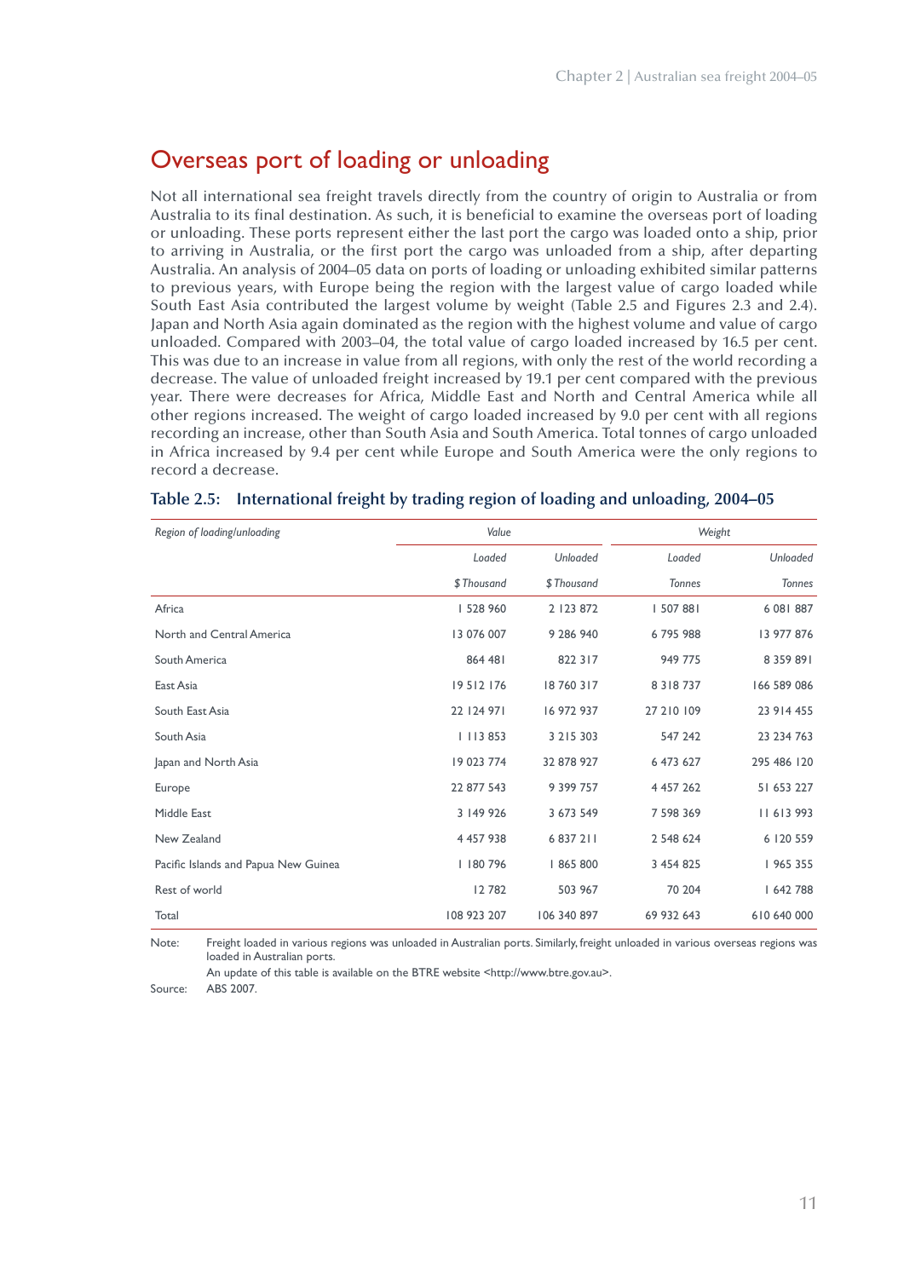## Overseas port of loading or unloading

Not all international sea freight travels directly from the country of origin to Australia or from Australia to its final destination. As such, it is beneficial to examine the overseas port of loading or unloading. These ports represent either the last port the cargo was loaded onto a ship, prior to arriving in Australia, or the first port the cargo was unloaded from a ship, after departing Australia. An analysis of 2004–05 data on ports of loading or unloading exhibited similar patterns to previous years, with Europe being the region with the largest value of cargo loaded while South East Asia contributed the largest volume by weight (Table 2.5 and Figures 2.3 and 2.4). Japan and North Asia again dominated as the region with the highest volume and value of cargo unloaded. Compared with 2003–04, the total value of cargo loaded increased by 16.5 per cent. This was due to an increase in value from all regions, with only the rest of the world recording a decrease. The value of unloaded freight increased by 19.1 per cent compared with the previous year. There were decreases for Africa, Middle East and North and Central America while all other regions increased. The weight of cargo loaded increased by 9.0 per cent with all regions recording an increase, other than South Asia and South America. Total tonnes of cargo unloaded in Africa increased by 9.4 per cent while Europe and South America were the only regions to record a decrease.

| Region of loading/unloading          | Value       |                 |               | Weight          |
|--------------------------------------|-------------|-----------------|---------------|-----------------|
|                                      | Loaded      | <b>Unloaded</b> | Loaded        | <b>Unloaded</b> |
|                                      | \$Thousand  | \$Thousand      | <b>Tonnes</b> | <b>Tonnes</b>   |
| Africa                               | 528 960     | 2 123 872       | 507 88        | 6 081 887       |
| North and Central America            | 13 076 007  | 9 286 940       | 6795988       | 13 977 876      |
| South America                        | 864 481     | 822 317         | 949 775       | 8 3 5 9 8 9 1   |
| East Asia                            | 19 5 12 176 | 18760317        | 8 3 1 8 7 3 7 | 166 589 086     |
| South East Asia                      | 22   24 97  | 16 972 937      | 27 210 109    | 23 914 455      |
| South Asia                           | 1113853     | 3 2 1 5 3 0 3   | 547 242       | 23 234 763      |
| Japan and North Asia                 | 19 023 774  | 32 878 927      | 6 473 627     | 295 486 120     |
| Europe                               | 22 877 543  | 9 399 757       | 4 457 262     | 51 653 227      |
| Middle East                          | 3 149 926   | 3 673 549       | 7 598 369     | 11613993        |
| New Zealand                          | 4 457 938   | 6 837 211       | 2 548 624     | 6 120 559       |
| Pacific Islands and Papua New Guinea | 180 796     | 865 800         | 3 454 825     | 965 355         |
| Rest of world                        | 12782       | 503 967         | 70 204        | 642 788         |
| Total                                | 108 923 207 | 106 340 897     | 69 932 643    | 610 640 000     |

#### **Table 2.5: International freight by trading region of loading and unloading, 2004–05**

Note: Freight loaded in various regions was unloaded in Australian ports. Similarly, freight unloaded in various overseas regions was loaded in Australian ports.

An update of this table is available on the BTRE website <http://www.btre.gov.au>.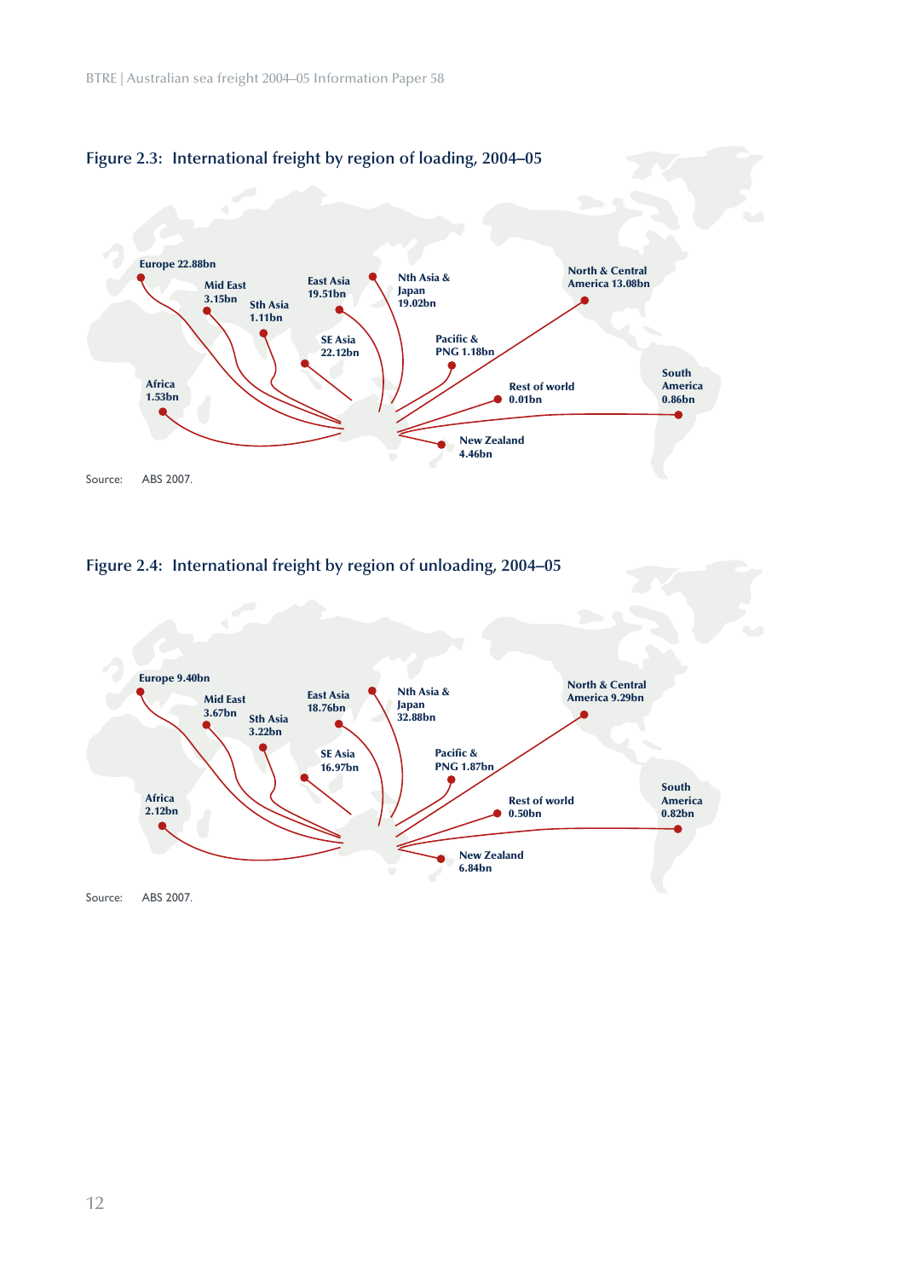

### **Figure 2.4: International freight by region of unloading, 2004–05**

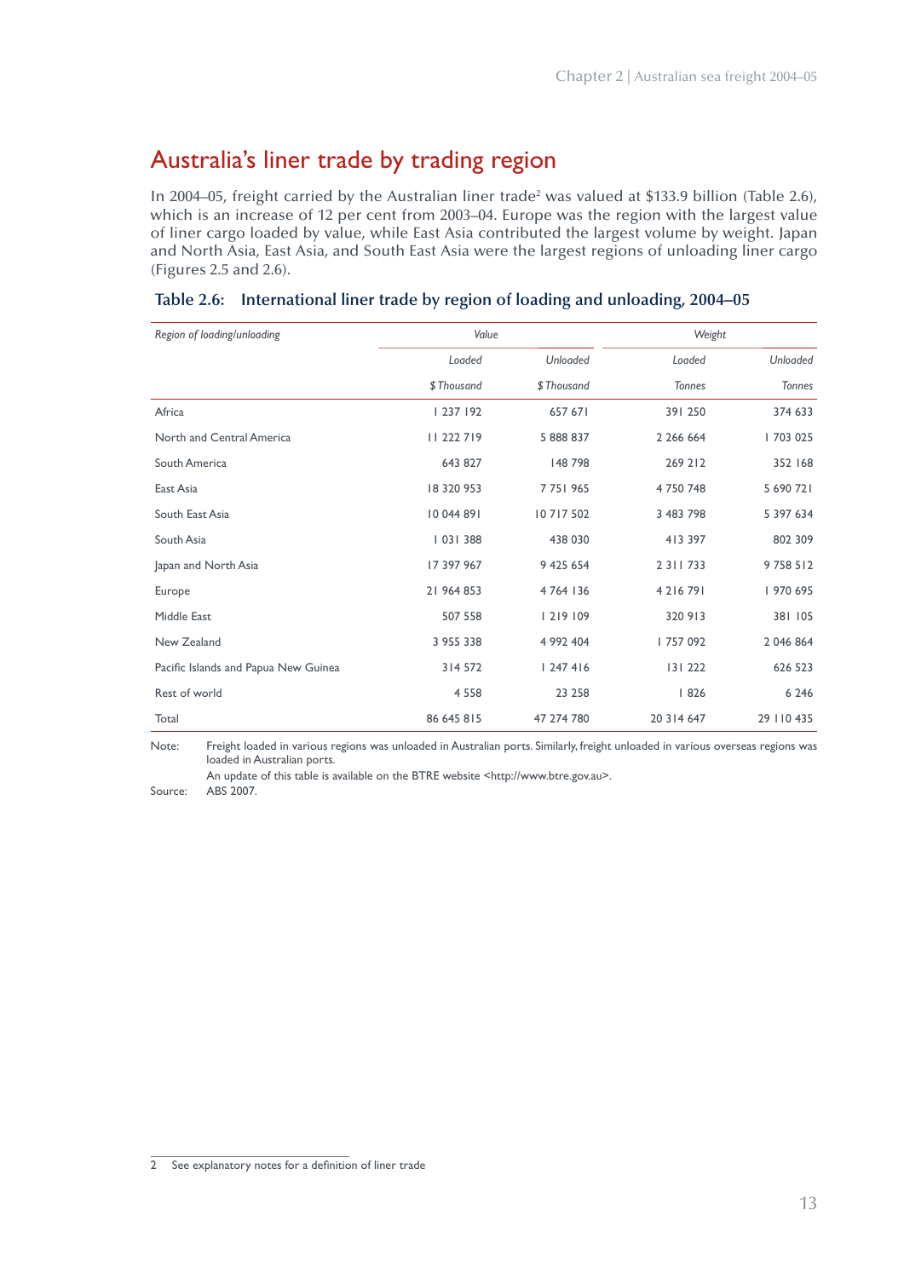## Australia's liner trade by trading region

In 2004–05, freight carried by the Australian liner trade<sup>2</sup> was valued at \$133.9 billion (Table 2.6), which is an increase of 12 per cent from 2003–04. Europe was the region with the largest value of liner cargo loaded by value, while East Asia contributed the largest volume by weight. Japan and North Asia, East Asia, and South East Asia were the largest regions of unloading liner cargo (Figures 2.5 and 2.6).

| Region of loading/unloading          | Value      |             | Weight        |                 |
|--------------------------------------|------------|-------------|---------------|-----------------|
|                                      | Loaded     | Unloaded    | Loaded        | <b>Unloaded</b> |
|                                      | \$Thousand | \$Thousand  | <b>Tonnes</b> | <b>Tonnes</b>   |
| Africa                               | 237 192    | 657 671     | 391 250       | 374 633         |
| North and Central America            | 222 7   9  | 5 888 837   | 2 266 664     | 703 025         |
| South America                        | 643 827    | 148798      | 269 212       | 352 168         |
| East Asia                            | 18 320 953 | 7751965     | 4750748       | 5 690 721       |
| South East Asia                      | 10 044 891 | 10 717 502  | 3 483 798     | 5 397 634       |
| South Asia                           | 03  388    | 438 030     | 413 397       | 802 309         |
| Japan and North Asia                 | 17 397 967 | 9 425 654   | 2 3 1 1 7 3 3 | 9758512         |
| Europe                               | 21 964 853 | 4 7 64 1 36 | 4 2 1 6 7 9 1 | 970 695         |
| Middle East                          | 507 558    | 219 109     | 320 913       | 381 105         |
| New Zealand                          | 3 955 338  | 4 992 404   | 757 092       | 2 046 864       |
| Pacific Islands and Papua New Guinea | 314 572    | 1247416     | 131 222       | 626 523         |
| Rest of world                        | 4 5 5 8    | 23 258      | 1826          | 6 2 4 6         |
| Total                                | 86 645 815 | 47 274 780  | 20 3   4 647  | 29 110 435      |

#### **Table 2.6: International liner trade by region of loading and unloading, 2004–05**

Note: Freight loaded in various regions was unloaded in Australian ports. Similarly, freight unloaded in various overseas regions was loaded in Australian ports.

An update of this table is available on the BTRE website <http://www.btre.gov.au>.

<sup>2</sup> See explanatory notes for a definition of liner trade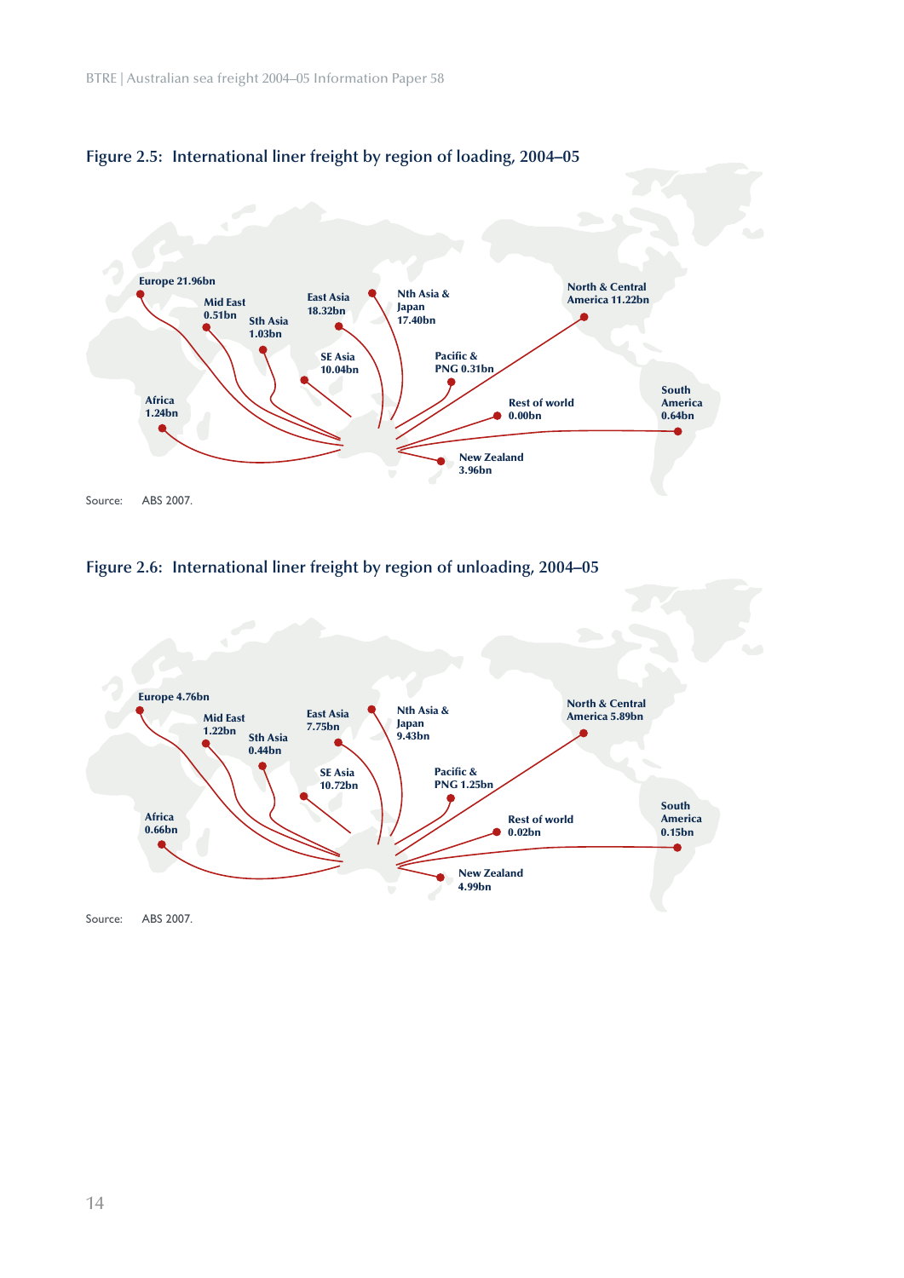



**Figure 2.6: International liner freight by region of unloading, 2004–05**

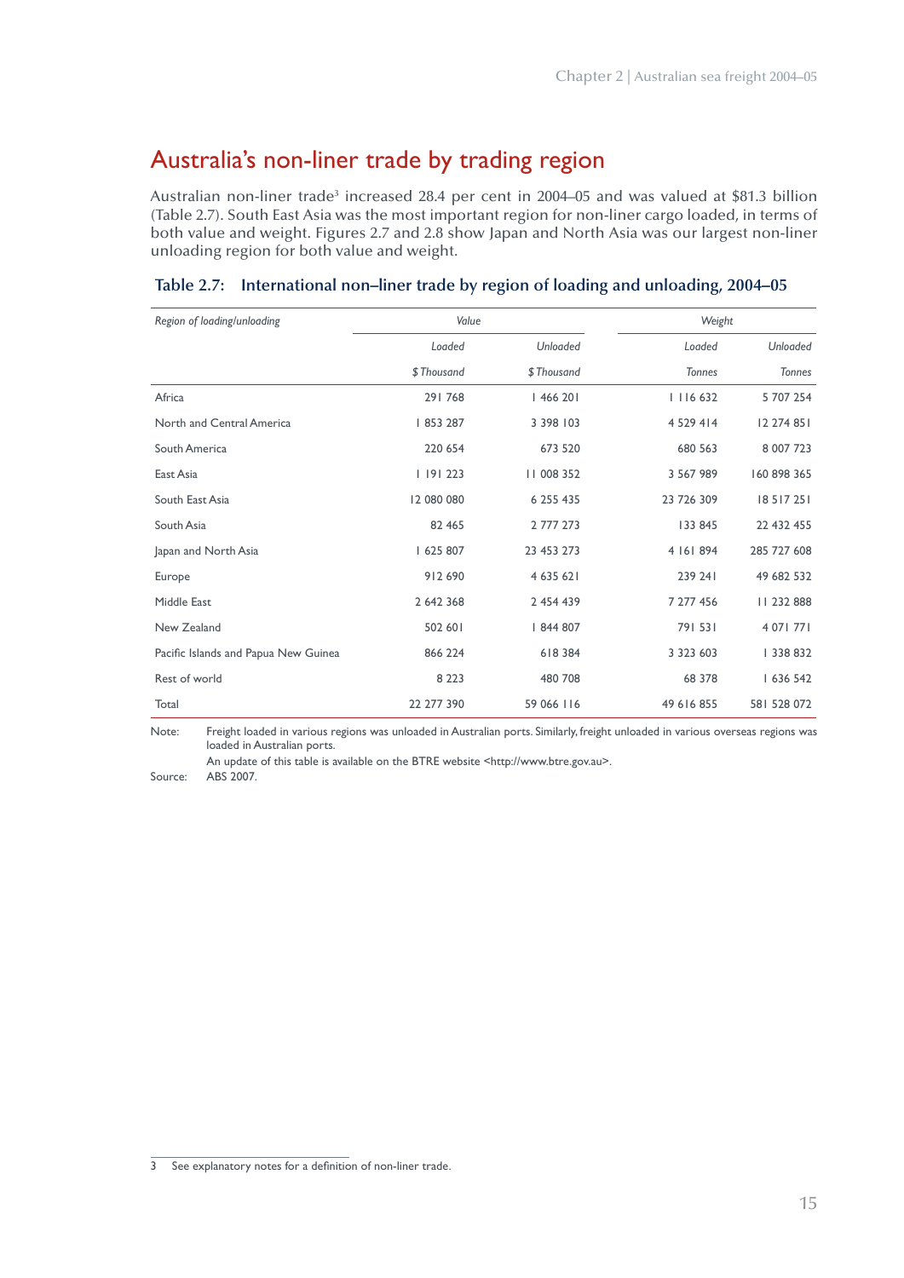## Australia's non-liner trade by trading region

Australian non-liner trade $^3$  increased 28.4 per cent in 2004–05 and was valued at \$81.3 billion (Table 2.7). South East Asia was the most important region for non-liner cargo loaded, in terms of both value and weight. Figures 2.7 and 2.8 show Japan and North Asia was our largest non-liner unloading region for both value and weight.

| Region of loading/unloading          | Value      |               |               | Weight          |  |  |
|--------------------------------------|------------|---------------|---------------|-----------------|--|--|
|                                      | Loaded     | Unloaded      | Loaded        | <b>Unloaded</b> |  |  |
|                                      | \$Thousand | \$Thousand    | <b>Tonnes</b> | <b>Tonnes</b>   |  |  |
| Africa                               | 291768     | 466 20        | 1116632       | 5 707 254       |  |  |
| North and Central America            | 853 287    | 3 3 9 8 1 0 3 | 4 5 29 4 14   | 12 274 851      |  |  |
| South America                        | 220 654    | 673 520       | 680 563       | 8 007 723       |  |  |
| East Asia                            | 1191223    | 11 008 352    | 3 567 989     | 160 898 365     |  |  |
| South East Asia                      | 12 080 080 | 6 255 435     | 23 726 309    | 18 5 17 25 1    |  |  |
| South Asia                           | 82 465     | 2 777 273     | 133 845       | 22 432 455      |  |  |
| Japan and North Asia                 | 625 807    | 23 453 273    | 4 161 894     | 285 727 608     |  |  |
| Europe                               | 912 690    | 4 635 621     | 239 241       | 49 682 532      |  |  |
| Middle East                          | 2 642 368  | 2 454 439     | 7 277 456     | 11 232 888      |  |  |
| New Zealand                          | 502 601    | 844 807       | 791 531       | 4 07   77       |  |  |
| Pacific Islands and Papua New Guinea | 866 224    | 618384        | 3 3 2 3 6 0 3 | 338 832         |  |  |
| Rest of world                        | 8 2 2 3    | 480 708       | 68 378        | 636 542         |  |  |
| Total                                | 22 277 390 | 59 066 116    | 49 616 855    | 581 528 072     |  |  |

#### **Table 2.7: International non–liner trade by region of loading and unloading, 2004–05**

Note: Freight loaded in various regions was unloaded in Australian ports. Similarly, freight unloaded in various overseas regions was loaded in Australian ports.

An update of this table is available on the BTRE website <http://www.btre.gov.au>.

<sup>3</sup> See explanatory notes for a definition of non-liner trade.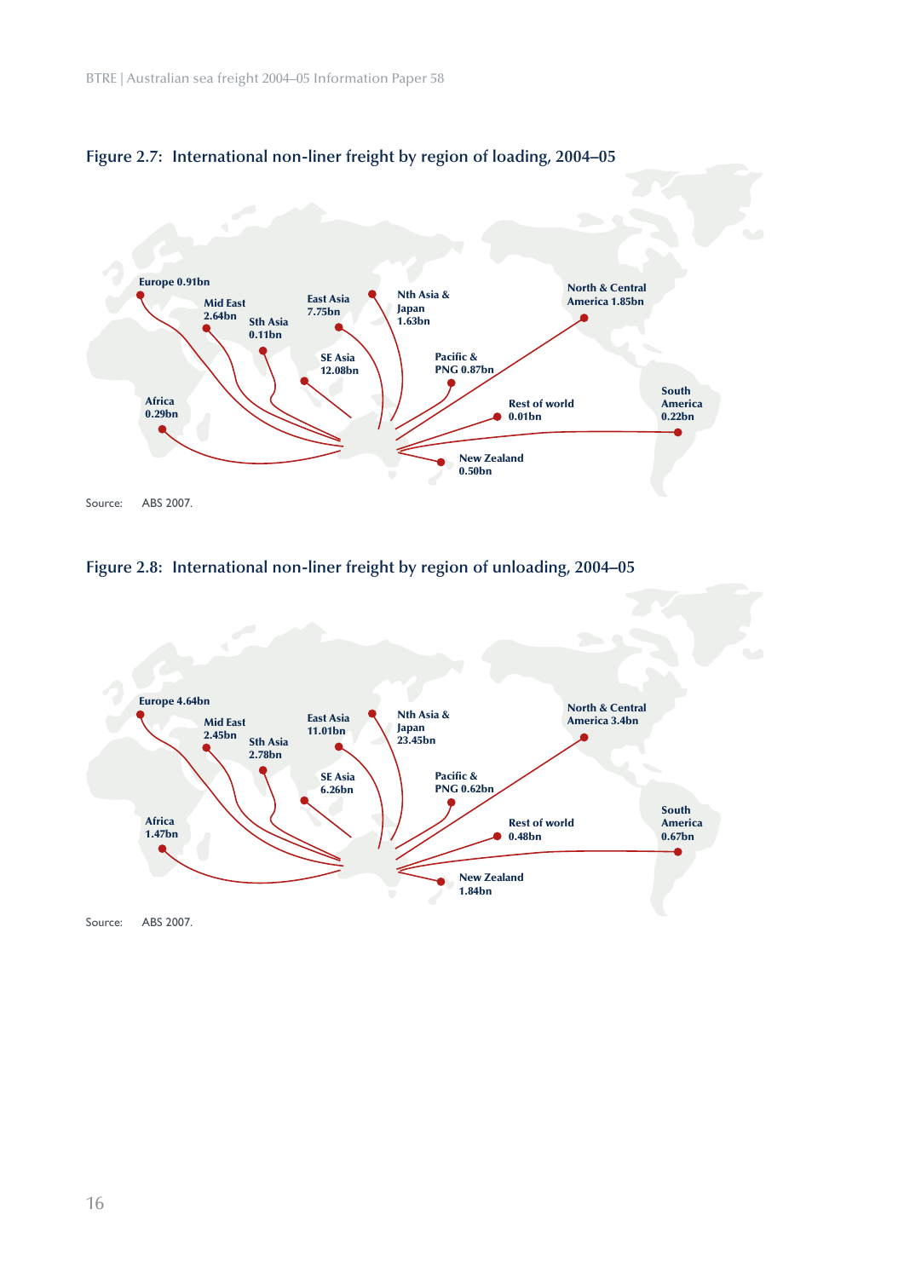



#### **Figure 2.8: International non-liner freight by region of unloading, 2004–05**

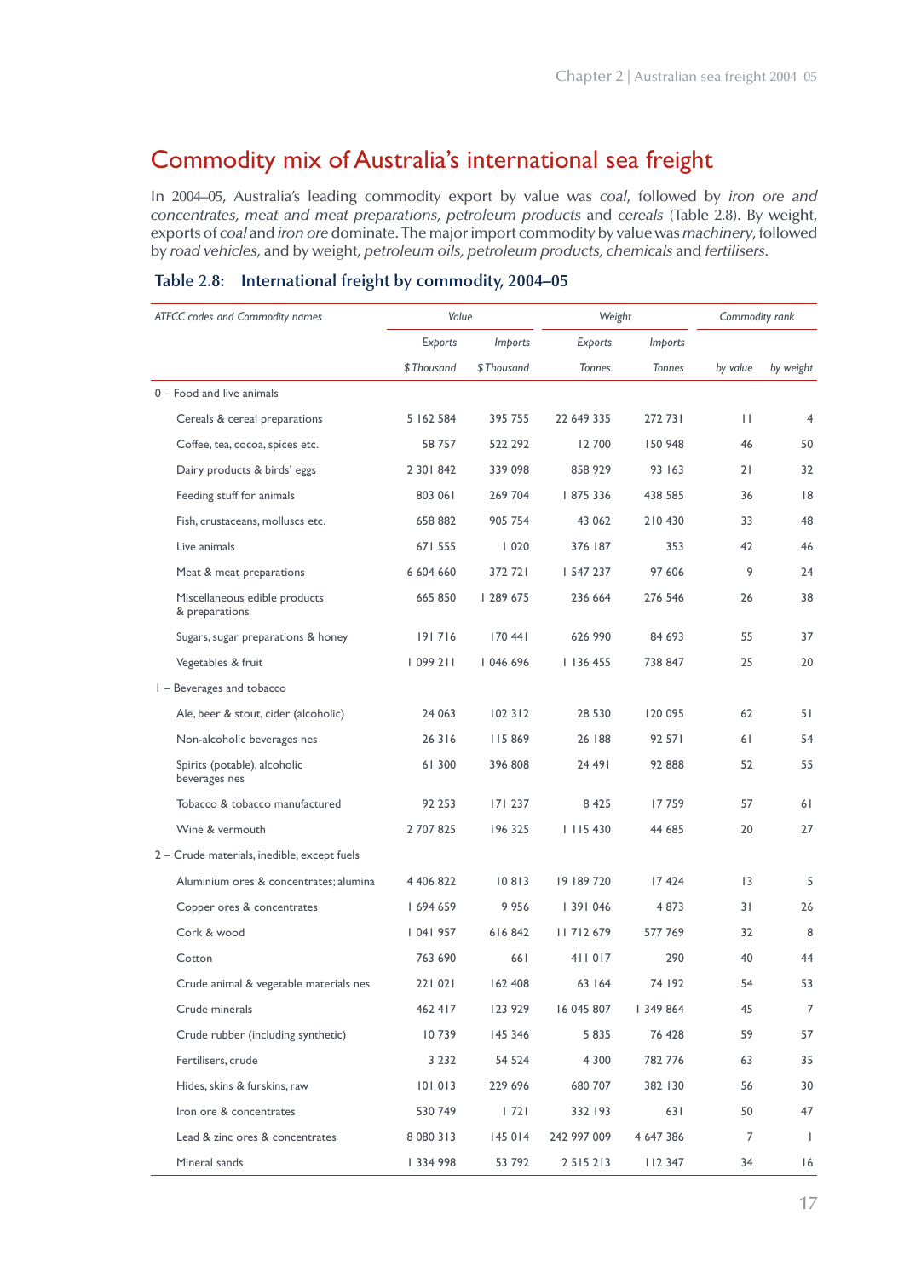## Commodity mix of Australia's international sea freight

In 2004–05, Australia's leading commodity export by value was *coal*, followed by *iron ore and concentrates, meat and meat preparations, petroleum products* and *cereals* (Table 2.8). By weight, exports of *coal* and *iron ore* dominate. The major import commodity by value was *machinery*, followed by *road vehicles*, and by weight, *petroleum oils, petroleum products, chemicals* and *fertilisers*.

| ATFCC codes and Commodity names                 | Value         |                | Weight        |                | Commodity rank |           |
|-------------------------------------------------|---------------|----------------|---------------|----------------|----------------|-----------|
|                                                 | Exports       | <i>Imports</i> | Exports       | <i>Imports</i> |                |           |
|                                                 | \$Thousand    | \$Thousand     | <b>Tonnes</b> | <b>Tonnes</b>  | by value       | by weight |
| 0 - Food and live animals                       |               |                |               |                |                |           |
| Cereals & cereal preparations                   | 5 162 584     | 395 755        | 22 649 335    | 272 731        | $\mathbf{H}$   | 4         |
| Coffee, tea, cocoa, spices etc.                 | 58 757        | 522 292        | 12700         | 150 948        | 46             | 50        |
| Dairy products & birds' eggs                    | 2 30 842      | 339 098        | 858 929       | 93 163         | 21             | 32        |
| Feeding stuff for animals                       | 803 061       | 269 704        | 875 336       | 438 585        | 36             | 8         |
| Fish, crustaceans, molluscs etc.                | 658 882       | 905 754        | 43 062        | 210 430        | 33             | 48        |
| Live animals                                    | 671 555       | 1020           | 376 187       | 353            | 42             | 46        |
| Meat & meat preparations                        | 6 604 660     | 372721         | 547 237       | 97 606         | 9              | 24        |
| Miscellaneous edible products<br>& preparations | 665 850       | 289 675        | 236 664       | 276 546        | 26             | 38        |
| Sugars, sugar preparations & honey              | 191716        | 170441         | 626 990       | 84 693         | 55             | 37        |
| Vegetables & fruit                              | 1099211       | 046 696        | 136 455       | 738 847        | 25             | 20        |
| I - Beverages and tobacco                       |               |                |               |                |                |           |
| Ale, beer & stout, cider (alcoholic)            | 24 063        | 102312         | 28 530        | 120 095        | 62             | 51        |
| Non-alcoholic beverages nes                     | 26316         | 115869         | 26 188        | 92 571         | 61             | 54        |
| Spirits (potable), alcoholic<br>beverages nes   | 61 300        | 396 808        | 24 49 1       | 92 888         | 52             | 55        |
| Tobacco & tobacco manufactured                  | 92 253        | 171 237        | 8425          | 17759          | 57             | 61        |
| Wine & vermouth                                 | 2 707 825     | 196 325        | 5 430         | 44 685         | 20             | 27        |
| 2 - Crude materials, inedible, except fuels     |               |                |               |                |                |           |
| Aluminium ores & concentrates; alumina          | 4 406 822     | 10813          | 19 189 720    | 17424          | 3              | 5         |
| Copper ores & concentrates                      | 694 659       | 9956           | 39  046       | 4 8 7 3        | 31             | 26        |
| Cork & wood                                     | 04  957       | 616842         | 11712679      | 577 769        | 32             | 8         |
| Cotton                                          | 763 690       | 661            | 411017        | 290            | 40             | 44        |
| Crude animal & vegetable materials nes          | 221 021       | 162 408        | 63 164        | 74 192         | 54             | 53        |
| Crude minerals                                  | 462 417       | 123 929        | 16 045 807    | 349 864        | 45             | 7         |
| Crude rubber (including synthetic)              | 10739         | 145 346        | 5 8 3 5       | 76 428         | 59             | 57        |
| Fertilisers, crude                              | 3 2 3 2       | 54 524         | 4 3 0 0       | 782 776        | 63             | 35        |
| Hides, skins & furskins, raw                    | 101013        | 229 696        | 680 707       | 382 130        | 56             | 30        |
| Iron ore & concentrates                         | 530 749       | 72             | 332 193       | 631            | 50             | 47        |
| Lead & zinc ores & concentrates                 | 8 0 8 0 3 1 3 | 145 014        | 242 997 009   | 4 647 386      | 7              | $\perp$   |
| Mineral sands                                   | 334 998       | 53 792         | 2515213       | 112 347        | 34             | 16        |

#### **Table 2.8: International freight by commodity, 2004–05**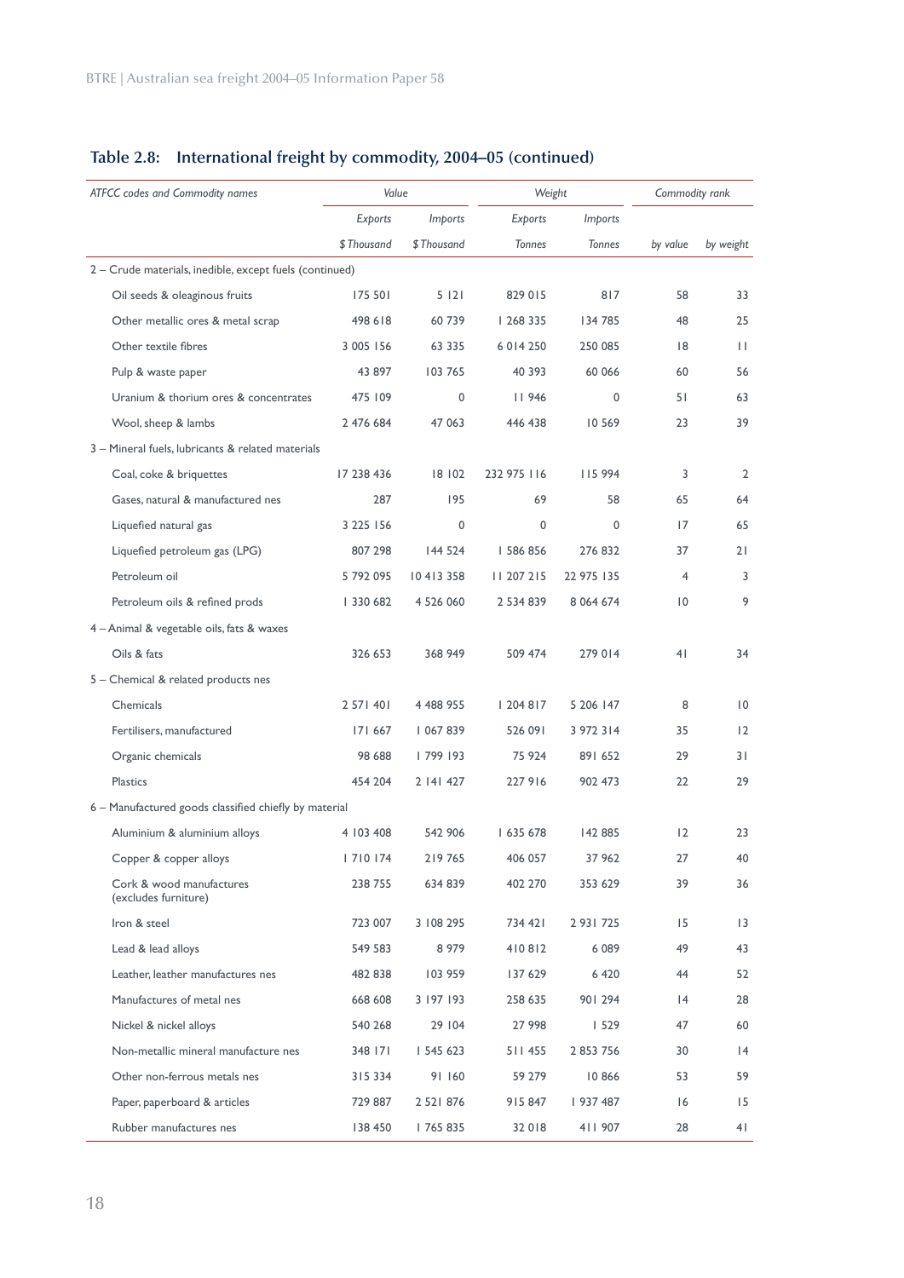| ATFCC codes and Commodity names                         | Value         |               | Weight        |                | Commodity rank |                |
|---------------------------------------------------------|---------------|---------------|---------------|----------------|----------------|----------------|
|                                                         | Exports       | Imports       | Exports       | <i>Imports</i> |                |                |
|                                                         | \$Thousand    | \$Thousand    | <b>Tonnes</b> | <b>Tonnes</b>  | by value       | by weight      |
| 2 - Crude materials, inedible, except fuels (continued) |               |               |               |                |                |                |
| Oil seeds & oleaginous fruits                           | 175 501       | 5121          | 829 015       | 817            | 58             | 33             |
| Other metallic ores & metal scrap                       | 498 618       | 60739         | 268 335       | 134 785        | 48             | 25             |
| Other textile fibres                                    | 3 005 156     | 63 335        | 6 0 1 4 2 5 0 | 250 085        | 8              | $\perp$        |
| Pulp & waste paper                                      | 43 897        | 103 765       | 40 393        | 60 066         | 60             | 56             |
| Uranium & thorium ores & concentrates                   | 475 109       | $\mathbf 0$   | 11946         | $\mathbf{0}$   | 51             | 63             |
| Wool, sheep & lambs                                     | 2 476 684     | 47 063        | 446 438       | 10 569         | 23             | 39             |
| 3 - Mineral fuels, lubricants & related materials       |               |               |               |                |                |                |
| Coal, coke & briquettes                                 | 17 238 436    | 18 102        | 232 975 116   | 115994         | 3              | $\overline{2}$ |
| Gases, natural & manufactured nes                       | 287           | 195           | 69            | 58             | 65             | 64             |
| Liquefied natural gas                                   | 3 2 2 5 1 5 6 | $\mathbf 0$   | $\mathbf{0}$  | $\mathbf{0}$   | 17             | 65             |
| Liquefied petroleum gas (LPG)                           | 807 298       | 144 524       | 586 856       | 276 832        | 37             | 21             |
| Petroleum oil                                           | 5792095       | 10413358      | 11 207 215    | 22 975 135     | $\overline{4}$ | 3              |
| Petroleum oils & refined prods                          | 330 682       | 4 5 2 6 0 6 0 | 2 534 839     | 8 0 6 4 6 7 4  | $\overline{0}$ | 9              |
| 4 - Animal & vegetable oils, fats & waxes               |               |               |               |                |                |                |
| Oils & fats                                             | 326 653       | 368 949       | 509 474       | 279 014        | 4 <sup>1</sup> | 34             |
| 5 - Chemical & related products nes                     |               |               |               |                |                |                |
| Chemicals                                               | 2 57   40     | 4 488 955     | 204 8   7     | 5 206 147      | 8              | $ 0\rangle$    |
| Fertilisers, manufactured                               | 171 667       | 067 839       | 526 091       | 3 972 314      | 35             | 12             |
| Organic chemicals                                       | 98 688        | 799 193       | 75 924        | 891 652        | 29             | 31             |
| <b>Plastics</b>                                         | 454 204       | 2   4   427   | 227916        | 902 473        | 22             | 29             |
| 6 - Manufactured goods classified chiefly by material   |               |               |               |                |                |                |
| Aluminium & aluminium alloys                            | 4 103 408     | 542 906       | 635 678       | 142 885        | 12             | 23             |
| Copper & copper alloys                                  | 7  0   74     | 219765        | 406 057       | 37 962         | 27             | 40             |
| Cork & wood manufactures<br>(excludes furniture)        | 238 755       | 634 839       | 402 270       | 353 629        | 39             | 36             |
| Iron & steel                                            | 723 007       | 3 108 295     | 734 421       | 2 931 725      | 15             | 13             |
| Lead & lead alloys                                      | 549 583       | 8 9 7 9       | 410812        | 6 0 8 9        | 49             | 43             |
| Leather, leather manufactures nes                       | 482 838       | 103 959       | 137 629       | 6 4 20         | 44             | 52             |
| Manufactures of metal nes                               | 668 608       | 3 197 193     | 258 635       | 901 294        | 4              | 28             |
| Nickel & nickel alloys                                  | 540 268       | 29 104        | 27 998        | 1529           | 47             | 60             |
| Non-metallic mineral manufacture nes                    | 348 171       | 1545623       | 511 455       | 2 853 756      | 30             | 4              |
| Other non-ferrous metals nes                            | 315 334       | 91 160        | 59 279        | 10866          | 53             | 59             |
| Paper, paperboard & articles                            | 729 887       | 2 521 876     | 915 847       | 937 487        | 16             | 15             |
| Rubber manufactures nes                                 | 138 450       | 765 835       | 32 018        | 411907         | 28             | 41             |

## **Table 2.8: International freight by commodity, 2004–05 (continued)**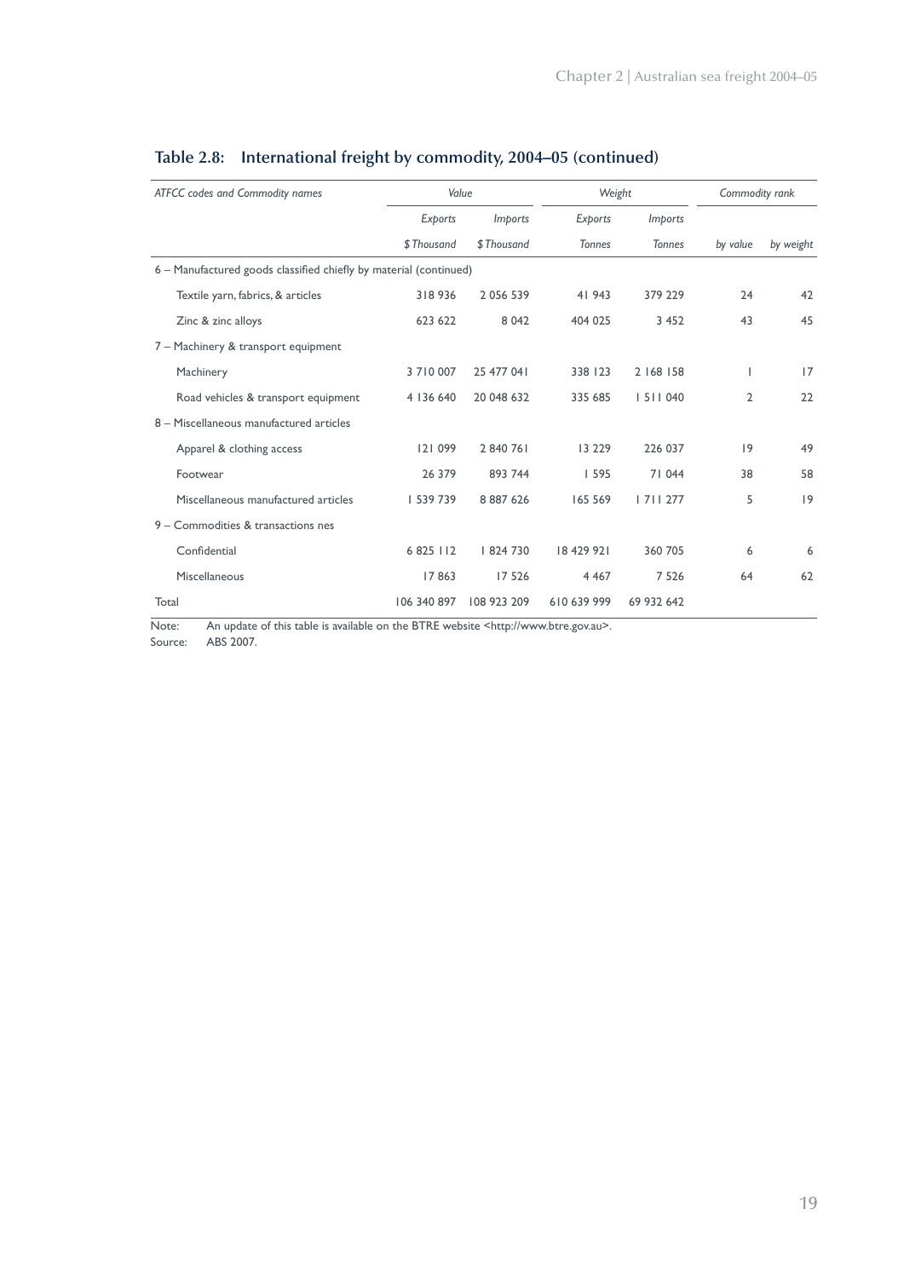| ATFCC codes and Commodity names                                   | Value       |                | Weight        |                | Commodity rank |           |
|-------------------------------------------------------------------|-------------|----------------|---------------|----------------|----------------|-----------|
|                                                                   | Exports     | <i>Imports</i> | Exports       | <i>Imports</i> |                |           |
|                                                                   | \$Thousand  | \$Thousand     | <b>Tonnes</b> | <b>Tonnes</b>  | by value       | by weight |
| 6 - Manufactured goods classified chiefly by material (continued) |             |                |               |                |                |           |
| Textile yarn, fabrics, & articles                                 | 318936      | 2 0 5 6 5 3 9  | 41 943        | 379 229        | 24             | 42        |
| Zinc & zinc alloys                                                | 623 622     | 8 0 4 2        | 404 025       | 3 4 5 2        | 43             | 45        |
| 7 - Machinery & transport equipment                               |             |                |               |                |                |           |
| Machinery                                                         | 3710007     | 25 477 041     | 338 123       | 2   68   58    |                | 17        |
| Road vehicles & transport equipment                               | 4 136 640   | 20 048 632     | 335 685       | 5   040        | $\overline{2}$ | 22        |
| 8 - Miscellaneous manufactured articles                           |             |                |               |                |                |           |
| Apparel & clothing access                                         | 121 099     | 2 840 761      | 13 2 2 9      | 226 037        | 9              | 49        |
| Footwear                                                          | 26 379      | 893 744        | 1595          | 71 044         | 38             | 58        |
| Miscellaneous manufactured articles                               | 539 739     | 8 8 8 7 6 2 6  | 165 569       | 1711277        | 5              | 9         |
| 9 - Commodities & transactions nes                                |             |                |               |                |                |           |
| Confidential                                                      | 6825 112    | 824 730        | 18 429 921    | 360 705        | 6              | 6         |
| Miscellaneous                                                     | 17863       | 17 5 26        | 4 4 6 7       | 7 5 2 6        | 64             | 62        |
| Total                                                             | 106 340 897 | 108 923 209    | 610 639 999   | 69 932 642     |                |           |

## **Table 2.8: International freight by commodity, 2004–05 (continued)**

Note: An update of this table is available on the BTRE website <http://www.btre.gov.au>.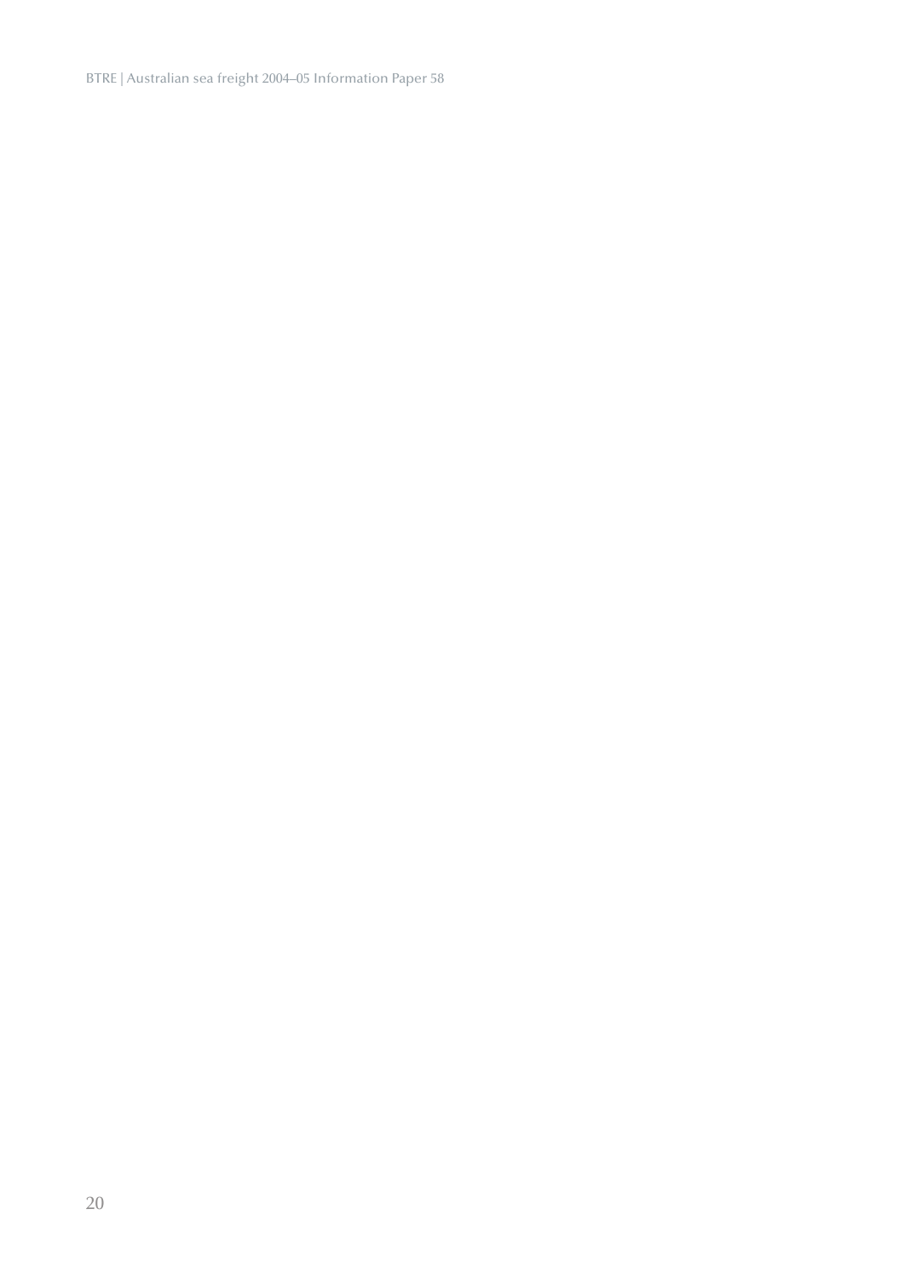BTRE | Australian sea freight 2004–05 Information Paper 58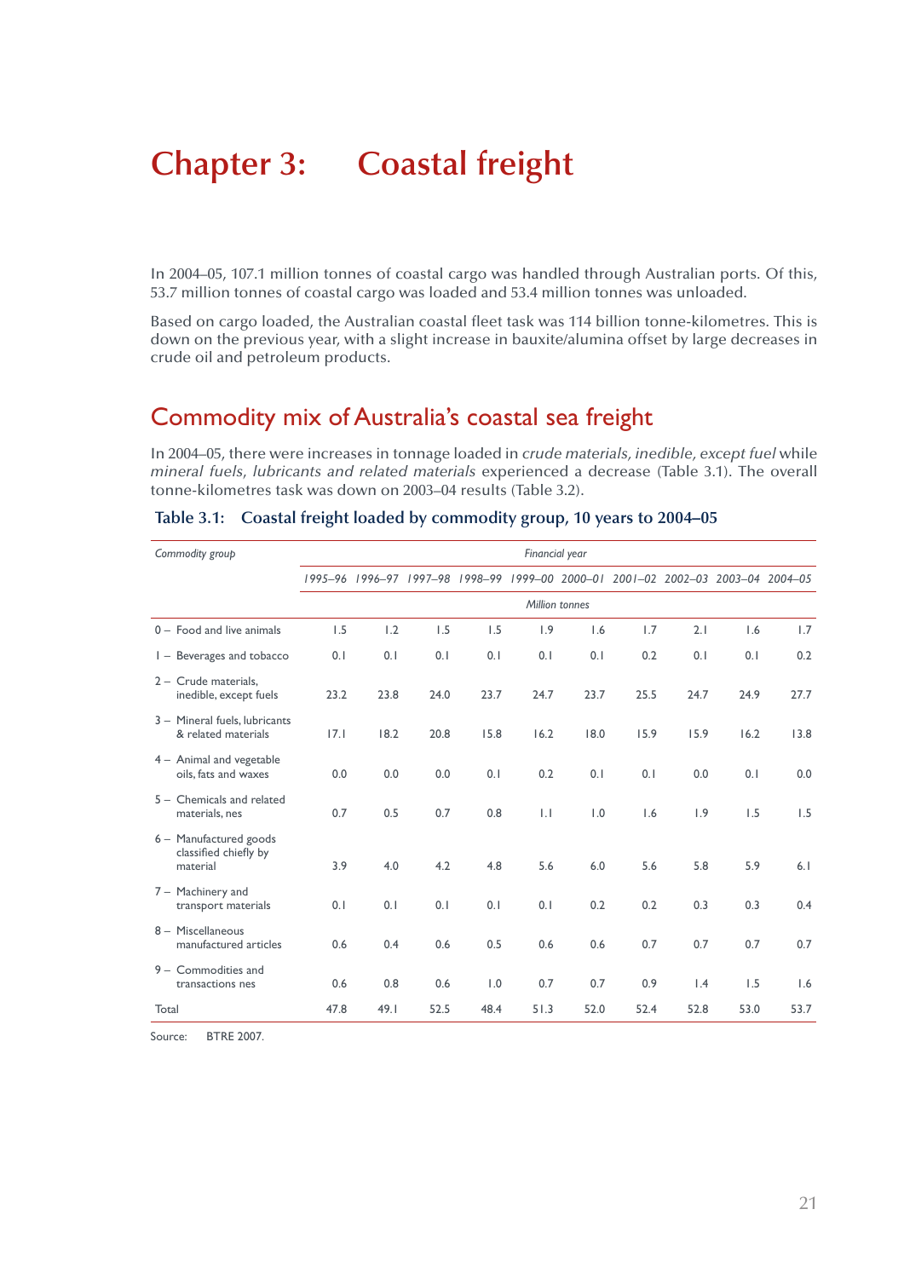## **Chapter 3: Coastal freight**

In 2004–05, 107.1 million tonnes of coastal cargo was handled through Australian ports. Of this, 53.7 million tonnes of coastal cargo was loaded and 53.4 million tonnes was unloaded.

Based on cargo loaded, the Australian coastal fleet task was 114 billion tonne-kilometres. This is down on the previous year, with a slight increase in bauxite/alumina offset by large decreases in crude oil and petroleum products.

## Commodity mix of Australia's coastal sea freight

In 2004–05, there were increases in tonnage loaded in *crude materials, inedible, except fuel* while *mineral fuels*, *lubricants and related materials* experienced a decrease (Table 3.1). The overall tonne-kilometres task was down on 2003–04 results (Table 3.2).

| Commodity group                                             | Financial year |      |      |      |      |                  |                                                                                 |      |      |      |
|-------------------------------------------------------------|----------------|------|------|------|------|------------------|---------------------------------------------------------------------------------|------|------|------|
|                                                             |                |      |      |      |      |                  | I995-96 I996-97 I997-98 I998-99 I999-00 2000-01 2001-02 2002-03 2003-04 2004-05 |      |      |      |
|                                                             |                |      |      |      |      | Million tonnes   |                                                                                 |      |      |      |
| 0 - Food and live animals                                   | 1.5            | 1.2  | 1.5  | 1.5  | 1.9  | 1.6              | 1.7                                                                             | 2.1  | 1.6  | 1.7  |
| I - Beverages and tobacco                                   | 0.1            | 0.1  | 0.1  | 0.1  | 0.1  | 0.1              | 0.2                                                                             | 0.1  | 0.1  | 0.2  |
| $2 -$ Crude materials,<br>inedible, except fuels            | 23.2           | 23.8 | 24.0 | 23.7 | 24.7 | 23.7             | 25.5                                                                            | 24.7 | 24.9 | 27.7 |
| 3 - Mineral fuels, lubricants<br>& related materials        | 7.1            | 18.2 | 20.8 | 15.8 | 16.2 | 18.0             | 15.9                                                                            | 15.9 | 16.2 | 13.8 |
| 4 - Animal and vegetable<br>oils, fats and waxes            | 0.0            | 0.0  | 0.0  | 0.1  | 0.2  | 0.1              | 0.1                                                                             | 0.0  | 0.1  | 0.0  |
| 5 - Chemicals and related<br>materials, nes                 | 0.7            | 0.5  | 0.7  | 0.8  | .    | $\overline{1.0}$ | 1.6                                                                             | 1.9  | 1.5  | 1.5  |
| 6 - Manufactured goods<br>classified chiefly by<br>material | 3.9            | 4.0  | 4.2  | 4.8  | 5.6  | 6.0              | 5.6                                                                             | 5.8  | 5.9  | 6.1  |
| 7 - Machinery and<br>transport materials                    | 0.1            | 0.1  | 0.1  | 0.1  | 0.1  | 0.2              | 0.2                                                                             | 0.3  | 0.3  | 0.4  |
| 8 - Miscellaneous<br>manufactured articles                  | 0.6            | 0.4  | 0.6  | 0.5  | 0.6  | 0.6              | 0.7                                                                             | 0.7  | 0.7  | 0.7  |
| 9 - Commodities and<br>transactions nes                     | 0.6            | 0.8  | 0.6  | 1.0  | 0.7  | 0.7              | 0.9                                                                             | 1.4  | 1.5  | 1.6  |
| Total                                                       | 47.8           | 49.1 | 52.5 | 48.4 | 51.3 | 52.0             | 52.4                                                                            | 52.8 | 53.0 | 53.7 |

#### **Table 3.1: Coastal freight loaded by commodity group, 10 years to 2004–05**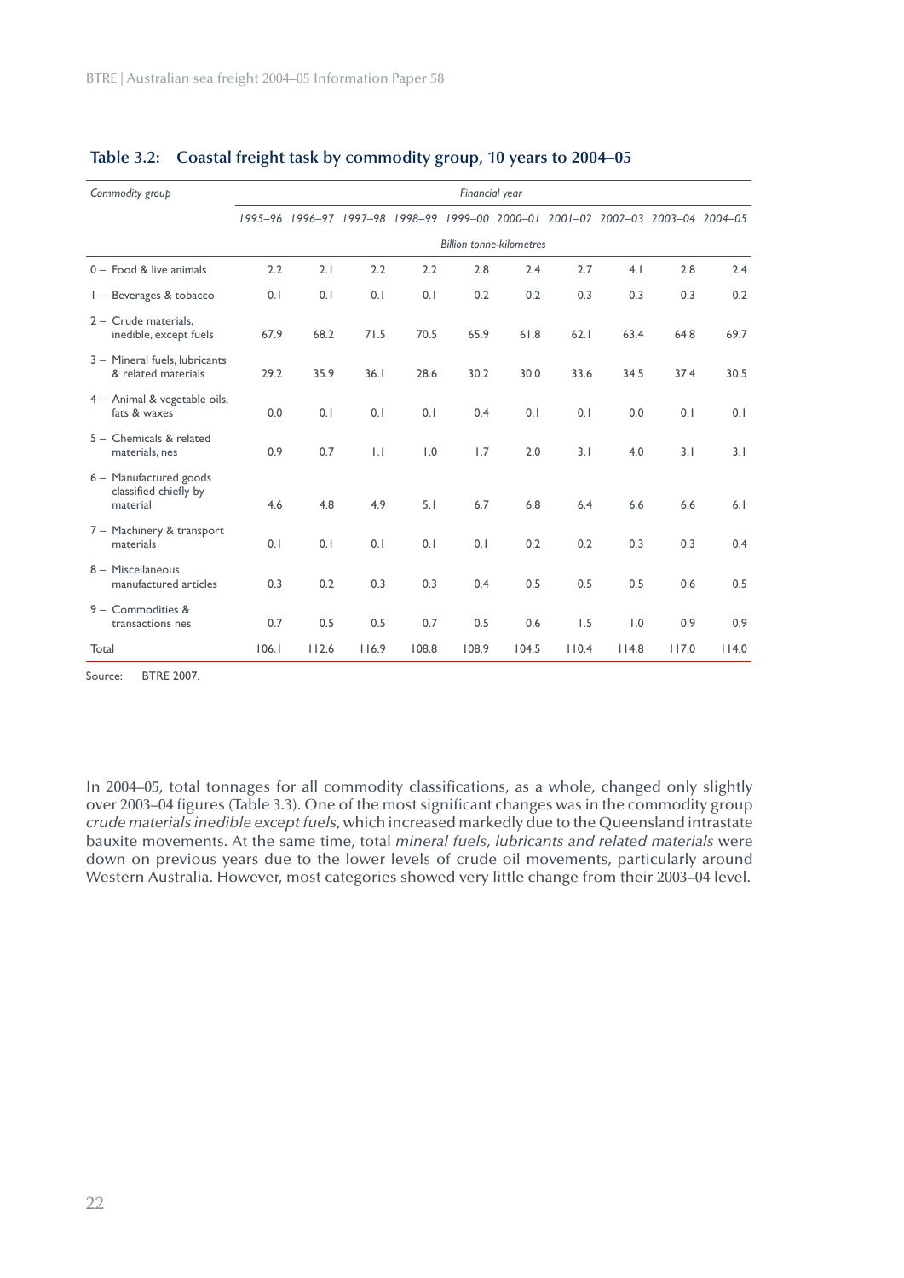| Commodity group                                             | Financial year |       |                                                 |       |       |                                 |       |                                 |       |       |
|-------------------------------------------------------------|----------------|-------|-------------------------------------------------|-------|-------|---------------------------------|-------|---------------------------------|-------|-------|
|                                                             |                |       | 1995-96 1996-97 1997-98 1998-99 1999-00 2000-01 |       |       |                                 |       | 2001-02 2002-03 2003-04 2004-05 |       |       |
|                                                             |                |       |                                                 |       |       | <b>Billion tonne-kilometres</b> |       |                                 |       |       |
| $0 -$ Food & live animals                                   | 2.2            | 2.1   | 2.2                                             | 2.2   | 2.8   | 2.4                             | 2.7   | 4.1                             | 2.8   | 2.4   |
| I - Beverages & tobacco                                     | 0.1            | 0.1   | 0.1                                             | 0.1   | 0.2   | 0.2                             | 0.3   | 0.3                             | 0.3   | 0.2   |
| 2 - Crude materials,<br>inedible, except fuels              | 67.9           | 68.2  | 71.5                                            | 70.5  | 65.9  | 61.8                            | 62.1  | 63.4                            | 64.8  | 69.7  |
| 3 - Mineral fuels, lubricants<br>& related materials        | 29.2           | 35.9  | 36.1                                            | 28.6  | 30.2  | 30.0                            | 33.6  | 34.5                            | 37.4  | 30.5  |
| 4 - Animal & vegetable oils,<br>fats & waxes                | 0.0            | 0.1   | 0.1                                             | 0.1   | 0.4   | 0.1                             | 0.1   | 0.0                             | 0.1   | 0.1   |
| 5 - Chemicals & related<br>materials, nes                   | 0.9            | 0.7   | .                                               | 1.0   | 1.7   | 2.0                             | 3.1   | 4.0                             | 3.1   | 3.1   |
| 6 - Manufactured goods<br>classified chiefly by<br>material | 4.6            | 4.8   | 4.9                                             | 5.1   | 6.7   | 6.8                             | 6.4   | 6.6                             | 6.6   | 6.1   |
| 7 - Machinery & transport<br>materials                      | 0.1            | 0.1   | 0.1                                             | 0.1   | 0.1   | 0.2                             | 0.2   | 0.3                             | 0.3   | 0.4   |
| 8 - Miscellaneous<br>manufactured articles                  | 0.3            | 0.2   | 0.3                                             | 0.3   | 0.4   | 0.5                             | 0.5   | 0.5                             | 0.6   | 0.5   |
| 9 - Commodities &<br>transactions nes                       | 0.7            | 0.5   | 0.5                                             | 0.7   | 0.5   | 0.6                             | 1.5   | 1.0                             | 0.9   | 0.9   |
| Total                                                       | 106.1          | 112.6 | 116.9                                           | 108.8 | 108.9 | 104.5                           | 110.4 | 114.8                           | 117.0 | 114.0 |

#### **Table 3.2: Coastal freight task by commodity group, 10 years to 2004–05**

Source: BTRE 2007.

In 2004–05, total tonnages for all commodity classifications, as a whole, changed only slightly over 2003–04 figures (Table 3.3). One of the most significant changes was in the commodity group *crude materials inedible except fuels*, which increased markedly due to the Queensland intrastate bauxite movements. At the same time, total *mineral fuels, lubricants and related materials* were down on previous years due to the lower levels of crude oil movements, particularly around Western Australia. However, most categories showed very little change from their 2003–04 level.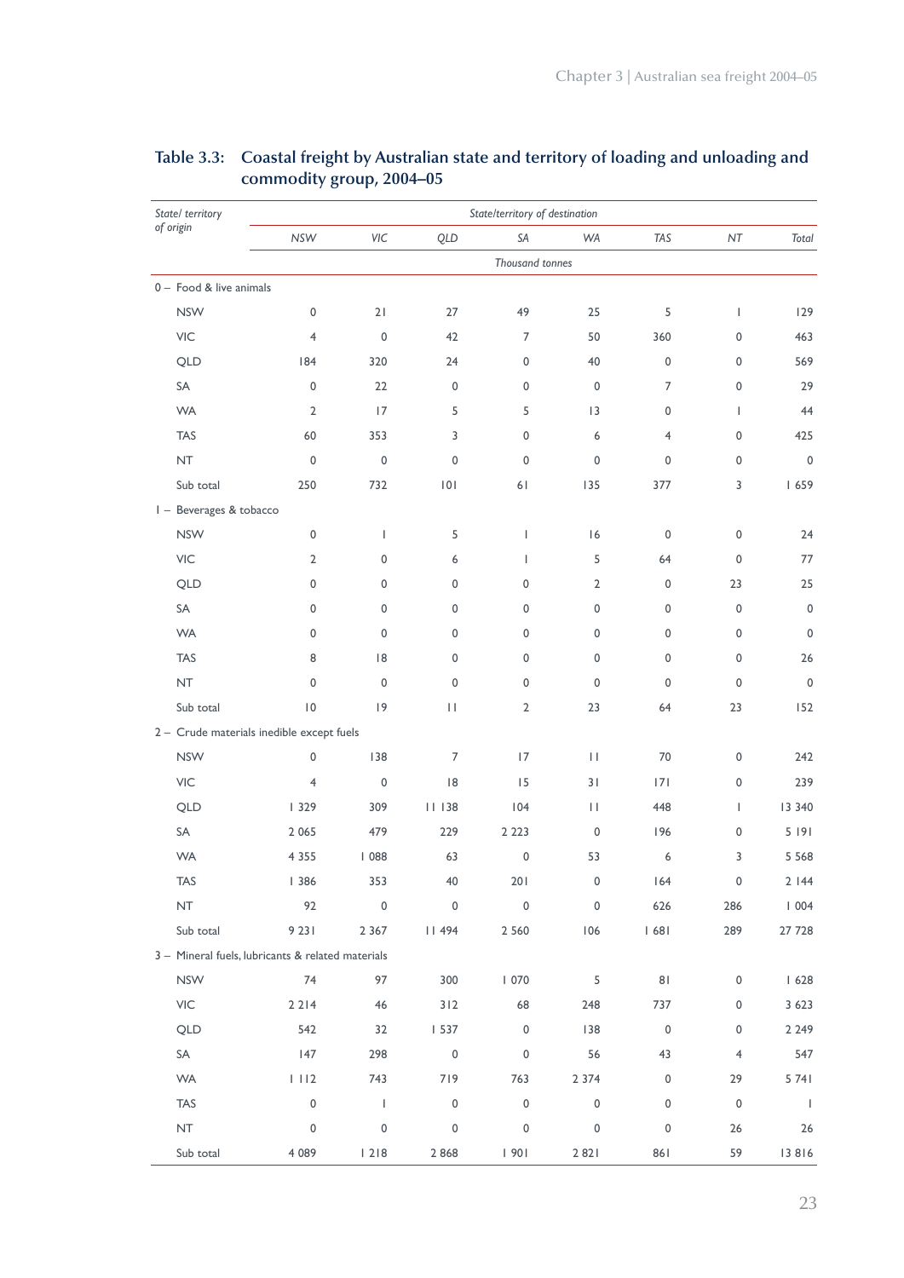| State/territory                                   |                     |              |                     | State/territory of destination |                     |                |                     |                     |
|---------------------------------------------------|---------------------|--------------|---------------------|--------------------------------|---------------------|----------------|---------------------|---------------------|
| of origin                                         | <b>NSW</b>          | VIC          | <b>QLD</b>          | SA                             | <b>WA</b>           | TAS            | NT                  | Total               |
|                                                   |                     |              |                     | Thousand tonnes                |                     |                |                     |                     |
| 0 - Food & live animals                           |                     |              |                     |                                |                     |                |                     |                     |
| <b>NSW</b>                                        | $\mathbf 0$         | 21           | 27                  | 49                             | 25                  | 5              | $\mathbf{I}$        | 129                 |
| <b>VIC</b>                                        | $\overline{4}$      | 0            | 42                  | $\overline{7}$                 | 50                  | 360            | 0                   | 463                 |
| <b>QLD</b>                                        | 184                 | 320          | 24                  | 0                              | 40                  | 0              | 0                   | 569                 |
| SA                                                | $\mathbf 0$         | 22           | 0                   | $\mathsf{O}\xspace$            | $\mathsf{O}\xspace$ | $\overline{7}$ | $\mathsf{0}$        | 29                  |
| <b>WA</b>                                         | $\overline{2}$      | 17           | 5                   | 5                              | 13                  | 0              | T                   | 44                  |
| <b>TAS</b>                                        | 60                  | 353          | 3                   | 0                              | 6                   | $\overline{4}$ | 0                   | 425                 |
| <b>NT</b>                                         | $\mathbf 0$         | $\mathbf 0$  | 0                   | $\pmb{0}$                      | $\pmb{0}$           | 0              | $\mathsf{0}$        | $\mathsf{0}$        |
| Sub total                                         | 250                 | 732          | 0                   | 61                             | 135                 | 377            | 3                   | 1659                |
| I - Beverages & tobacco                           |                     |              |                     |                                |                     |                |                     |                     |
| <b>NSW</b>                                        | 0                   | $\mathbf{I}$ | 5                   | T                              | 16                  | 0              | 0                   | 24                  |
| <b>VIC</b>                                        | $\overline{2}$      | 0            | 6                   | $\mathbf{I}$                   | 5                   | 64             | $\mathsf{0}$        | 77                  |
| QLD                                               | $\pmb{0}$           | 0            | 0                   | $\pmb{0}$                      | $\overline{2}$      | 0              | 23                  | 25                  |
| SA                                                | $\mathbf 0$         | 0            | 0                   | 0                              | $\pmb{0}$           | 0              | $\mathbf 0$         | $\mathsf{0}$        |
| <b>WA</b>                                         | 0                   | 0            | 0                   | 0                              | 0                   | 0              | 0                   | $\mathsf{0}$        |
| <b>TAS</b>                                        | 8                   | 8            | 0                   | $\pmb{0}$                      | 0                   | 0              | $\mathsf{0}$        | 26                  |
| NT                                                | $\mathbf 0$         | 0            | 0                   | 0                              | 0                   | 0              | $\mathbf 0$         | $\mathsf{O}\xspace$ |
| Sub total                                         | $\overline{10}$     | 9            | $\mathbf{H}$        | $\overline{2}$                 | 23                  | 64             | 23                  | 152                 |
| 2 - Crude materials inedible except fuels         |                     |              |                     |                                |                     |                |                     |                     |
| <b>NSW</b>                                        | $\mathsf 0$         | 138          | $\overline{7}$      | 17                             | $\mathbf{H}$        | 70             | 0                   | 242                 |
| <b>VIC</b>                                        | 4                   | 0            | 8                   | 15                             | 31                  | 7              | 0                   | 239                 |
| <b>QLD</b>                                        | 1329                | 309          | 11 138              | 104                            | $\mathbf{H}$        | 448            | $\mathbf{I}$        | 13 340              |
| SA                                                | 2 0 6 5             | 479          | 229                 | 2 2 2 3                        | $\mathbf 0$         | 196            | $\mathsf{0}$        | 5 191               |
| <b>WA</b>                                         | 4 3 5 5             | 088          | 63                  | $\pmb{0}$                      | 53                  | 6              | 3                   | 5 5 6 8             |
| TAS                                               | 386                 | 353          | 40                  | 201                            | 0                   | 164            | $\mathbf 0$         | $2144$              |
| $\sf{NT}$                                         | 92                  | 0            | $\mathsf{O}\xspace$ | $\mathsf{O}\xspace$            | $\mathsf{O}\xspace$ | 626            | 286                 | 1004                |
| Sub total                                         | 9231                | 2 3 6 7      | 494                 | 2 5 6 0                        | 106                 | 681            | 289                 | 27 728              |
| 3 - Mineral fuels, lubricants & related materials |                     |              |                     |                                |                     |                |                     |                     |
| <b>NSW</b>                                        | 74                  | 97           | 300                 | 1070                           | 5                   | $8\,$ l        | $\pmb{0}$           | 1628                |
| VIC                                               | $2214$              | 46           | $312$               | 68                             | 248                 | 737            | $\mathsf{O}\xspace$ | 3 6 2 3             |
| QLD                                               | 542                 | 32           | 1537                | 0                              | 138                 | $\mathbf 0$    | 0                   | 2 2 4 9             |
| SA                                                | 147                 | 298          | $\pmb{0}$           | 0                              | 56                  | 43             | 4                   | 547                 |
| <b>WA</b>                                         | $ $ $ $ $ $ $ $ $ $ | 743          | 719                 | 763                            | 2 3 7 4             | 0              | 29                  | 5741                |
| <b>TAS</b>                                        | 0                   | T            | 0                   | 0                              | 0                   | 0              | $\pmb{0}$           | $\mathbf{I}$        |
| $\sf{NT}$                                         | 0                   | 0            | 0                   | 0                              | 0                   | 0              | 26                  | 26                  |
| Sub total                                         | 4 0 8 9             | 218          | 2 8 6 8             | 90                             | $2821$              | 861            | 59                  | 13816               |

## **Table 3.3: Coastal freight by Australian state and territory of loading and unloading and commodity group, 2004–05**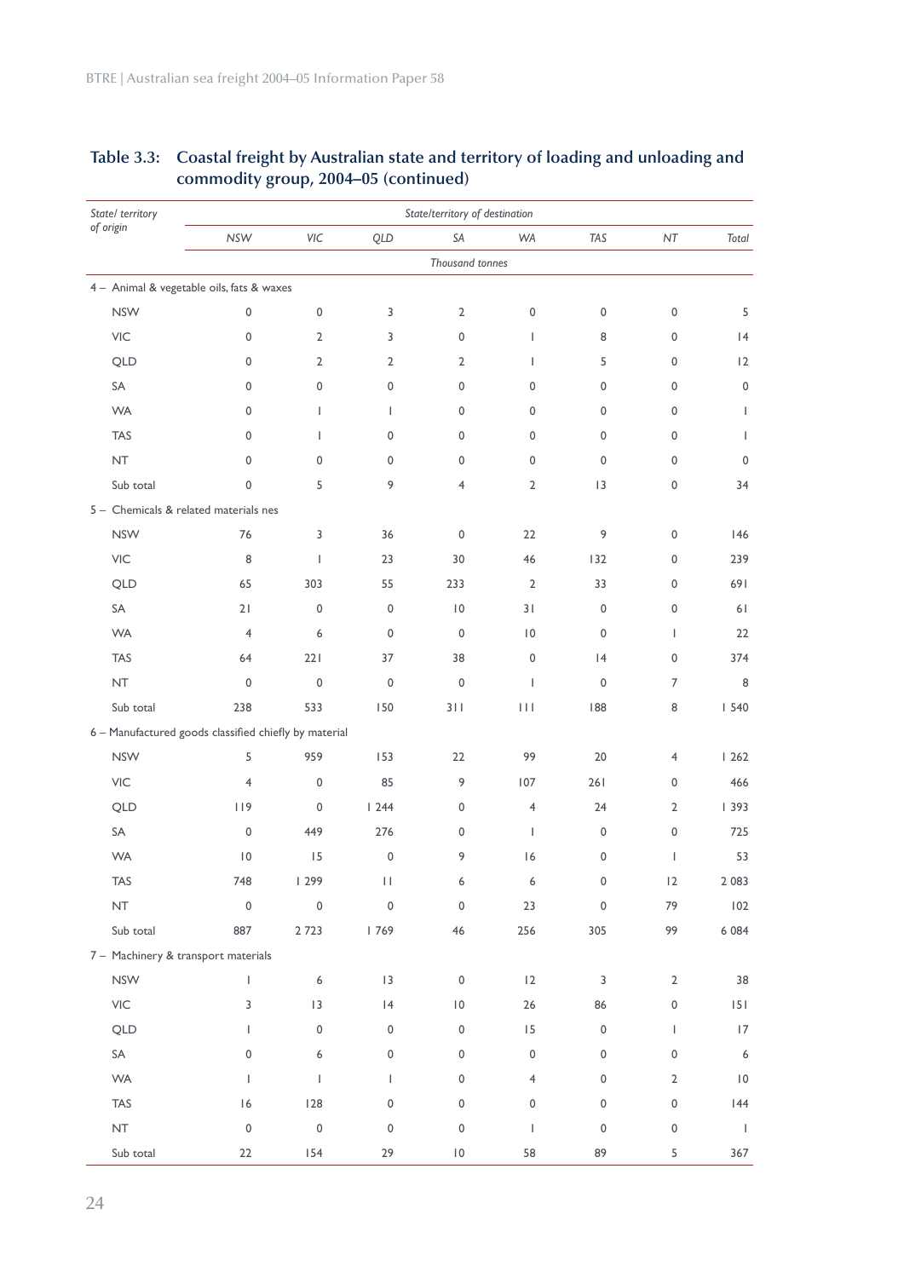| State/territory of destination<br>State/ territory              |                     |                     |                                                                  |                     |                 |                     |              |                    |
|-----------------------------------------------------------------|---------------------|---------------------|------------------------------------------------------------------|---------------------|-----------------|---------------------|--------------|--------------------|
| of origin                                                       | <b>NSW</b>          | VIC                 | <b>QLD</b>                                                       | SA                  | <b>WA</b>       | TAS                 | NT           | Total              |
|                                                                 |                     |                     |                                                                  | Thousand tonnes     |                 |                     |              |                    |
| 4 - Animal & vegetable oils, fats & waxes                       |                     |                     |                                                                  |                     |                 |                     |              |                    |
| <b>NSW</b>                                                      | $\pmb{0}$           | 0                   | 3                                                                | $\mathbf 2$         | 0               | 0                   | 0            | 5                  |
| <b>VIC</b>                                                      | 0                   | $\overline{2}$      | 3                                                                | $\mathsf{O}\xspace$ | L               | 8                   | 0            | 4                  |
| <b>QLD</b>                                                      | 0                   | $\overline{2}$      | 2                                                                | 2                   | L               | 5                   | 0            | 2                  |
| SA                                                              | 0                   | $\mathsf{O}\xspace$ | 0                                                                | 0                   | 0               | 0                   | 0            | $\mathsf{0}$       |
| <b>WA</b>                                                       | 0                   | $\mathbf{I}$        | T                                                                | 0                   | 0               | 0                   | 0            | L                  |
| <b>TAS</b>                                                      | 0                   | $\mathbf{I}$        | 0                                                                | 0                   | 0               | 0                   | 0            | L                  |
| NT                                                              | $\pmb{0}$           | $\mathsf{O}\xspace$ | 0                                                                | 0                   | 0               | $\pmb{0}$           | 0            | 0                  |
| Sub total                                                       | $\mathbf 0$         | 5                   | 9                                                                | 4                   | $\mathbf 2$     | 3                   | 0            | 34                 |
| 5 - Chemicals & related materials nes                           |                     |                     |                                                                  |                     |                 |                     |              |                    |
| <b>NSW</b>                                                      | 76                  | 3                   | 36                                                               | $\pmb{0}$           | 22              | 9                   | 0            | 146                |
| VIC                                                             | 8                   | T                   | 23                                                               | 30                  | 46              | 132                 | 0            | 239                |
| <b>QLD</b>                                                      | 65                  | 303                 | 55                                                               | 233                 | $\overline{2}$  | 33                  | 0            | 691                |
| SA                                                              | 21                  | $\pmb{0}$           | 0                                                                | $\overline{10}$     | 31              | $\pmb{0}$           | 0            | 61                 |
| <b>WA</b>                                                       | $\overline{4}$      | 6                   | $\pmb{0}$                                                        | $\pmb{0}$           | $\overline{10}$ | 0                   | T            | 22                 |
| <b>TAS</b>                                                      | 64                  | 221                 | 37                                                               | 38                  | 0               | 4                   | 0            | 374                |
| NT                                                              | $\mathbf 0$         | $\pmb{0}$           | $\pmb{0}$                                                        | $\mathsf{0}$        | $\mathsf{I}$    | $\pmb{0}$           | 7            | 8                  |
| Sub total                                                       | 238                 | 533                 | 150                                                              | 311                 | $\Box$          | 188                 | 8            | 1540               |
| 6 - Manufactured goods classified chiefly by material           |                     |                     |                                                                  |                     |                 |                     |              |                    |
| <b>NSW</b>                                                      | 5                   | 959                 | 153                                                              | 22                  | 99              | 20                  | 4            | 1262               |
| VIC                                                             | $\overline{4}$      | $\pmb{0}$           | 85                                                               | 9                   | 107             | 261                 | 0            | 466                |
| <b>QLD</b>                                                      | 119                 | $\mathsf{O}\xspace$ | 1244                                                             | 0                   | $\overline{4}$  | 24                  | 2            | 1393               |
| SA                                                              | $\mathbf 0$         | 449                 | 276                                                              | 0                   | $\mathbf{I}$    | $\mathsf{O}\xspace$ | 0            | 725                |
| <b>WA</b>                                                       | $\overline{10}$     | 15                  | $\pmb{0}$                                                        | 9                   | 16              | 0                   | T            | 53                 |
| TAS                                                             | 748                 | 299                 | $\mathsf{H}% _{T}=\mathsf{H}_{T}\left( \mathcal{M}_{T}\right) ,$ | 6                   | 6               | 0                   | 12           | 2 0 8 3            |
| $\sf{NT}$                                                       | $\mathsf{O}\xspace$ | $\pmb{0}$           | 0                                                                | 0                   | 23              | $\pmb{0}$           | 79           | 102                |
| Sub total                                                       | 887                 | 2723                | 769                                                              | 46                  | 256             | 305                 | 99           | 6 0 8 4            |
| 7 - Machinery & transport materials                             |                     |                     |                                                                  |                     |                 |                     |              |                    |
| <b>NSW</b>                                                      | $\mathbf{I}$        | $\boldsymbol{6}$    | $13$                                                             | $\mathsf{O}\xspace$ | 12              | $\mathsf 3$         | $\mathbf 2$  | 38                 |
| $\ensuremath{\mathsf{V}}\xspace\ensuremath{\mathsf{IC}}\xspace$ | 3                   | $\vert$ 3           | 4                                                                | $\,$ l $\,$ 0 $\,$  | $26\,$          | 86                  | 0            | 151                |
| QLD                                                             | T                   | $\pmb{0}$           | 0                                                                | $\mathsf{O}\xspace$ | 15              | 0                   | L            | $\sqrt{7}$         |
| SA                                                              | $\mathsf{O}\xspace$ | 6                   | 0                                                                | $\mathsf{O}\xspace$ | 0               | 0                   | 0            | $\boldsymbol{6}$   |
| <b>WA</b>                                                       | $\mathbf{I}$        | T                   | L                                                                | 0                   | $\overline{4}$  | $\mathsf{O}\xspace$ | $\mathbf{2}$ | $\,$ l $\,$ 0 $\,$ |
| <b>TAS</b>                                                      | 16                  | 128                 | 0                                                                | 0                   | 0               | 0                   | 0            | 44                 |
| NT                                                              | $\pmb{0}$           | $\pmb{0}$           | 0                                                                | $\pmb{0}$           | I               | $\mathsf{O}\xspace$ | 0            | $\mathbf{I}$       |
| Sub total                                                       | 22                  | 154                 | 29                                                               | $\,$ l $\,$ 0       | 58              | 89                  | 5            | 367                |

## **Table 3.3: Coastal freight by Australian state and territory of loading and unloading and commodity group, 2004–05 (continued)**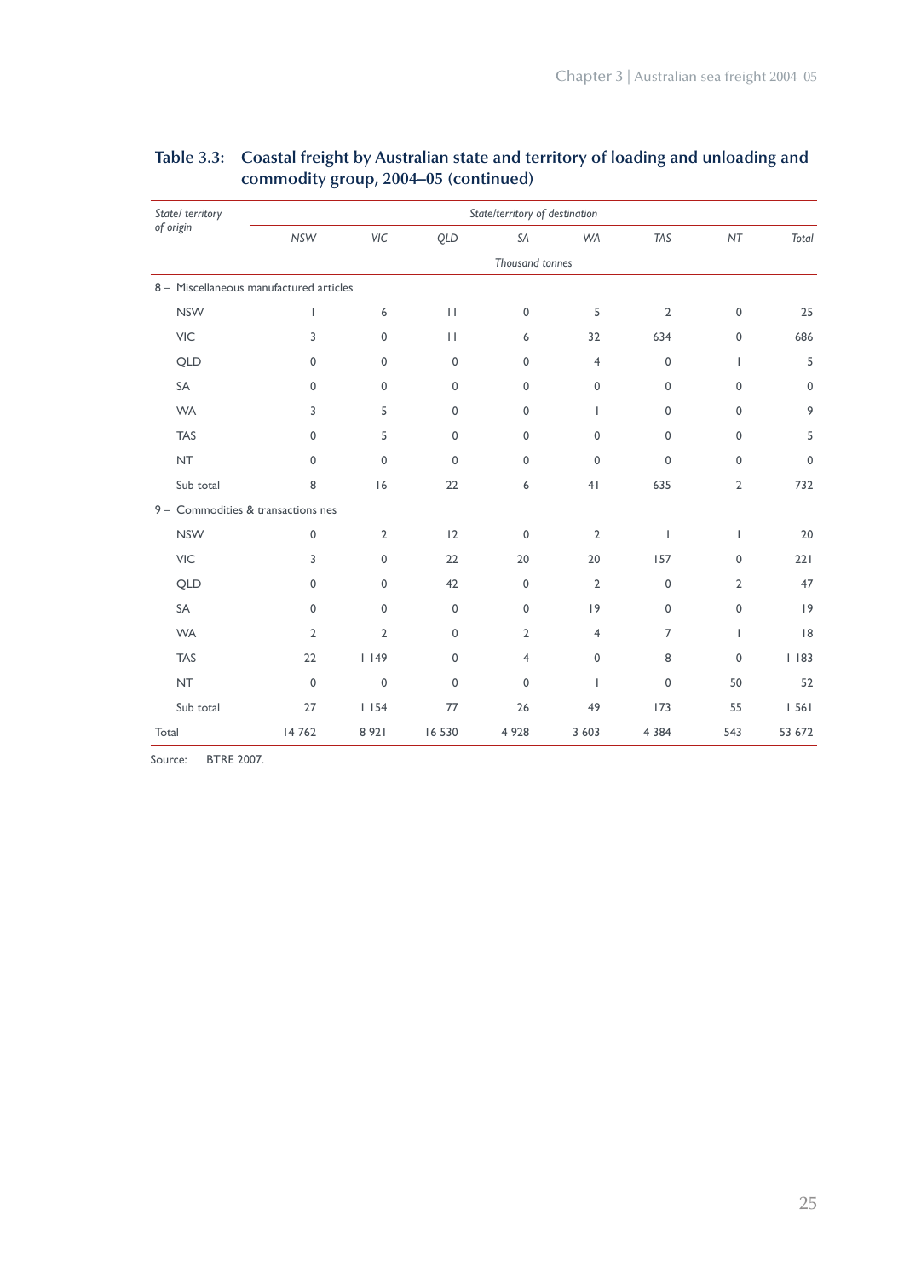| State/ territory                        |                |                |              | State/territory of destination |                |                     |                |           |
|-----------------------------------------|----------------|----------------|--------------|--------------------------------|----------------|---------------------|----------------|-----------|
| of origin                               | <b>NSW</b>     | VIC            | <b>QLD</b>   | SA                             | <b>WA</b>      | TAS                 | NT             | Total     |
|                                         |                |                |              | Thousand tonnes                |                |                     |                |           |
| 8 - Miscellaneous manufactured articles |                |                |              |                                |                |                     |                |           |
| <b>NSW</b>                              | T              | 6              | $\mathbf{H}$ | $\mathsf{O}\xspace$            | 5              | $\overline{2}$      | 0              | 25        |
| <b>VIC</b>                              | 3              | 0              | $\mathbf{1}$ | 6                              | 32             | 634                 | 0              | 686       |
| <b>QLD</b>                              | 0              | 0              | 0            | $\mathbf 0$                    | 4              | 0                   | L              | 5         |
| <b>SA</b>                               | $\mathbf 0$    | 0              | 0            | 0                              | $\pmb{0}$      | $\mathbf 0$         | 0              | 0         |
| <b>WA</b>                               | 3              | 5              | 0            | 0                              | L              | 0                   | 0              | 9         |
| <b>TAS</b>                              | $\mathbf 0$    | 5              | 0            | $\mathbf 0$                    | 0              | 0                   | 0              | 5         |
| NT                                      | $\mathbf 0$    | 0              | 0            | $\mathsf{O}\xspace$            | $\pmb{0}$      | 0                   | 0              | $\pmb{0}$ |
| Sub total                               | 8              | 6              | 22           | 6                              | 4 <sub>1</sub> | 635                 | $\overline{2}$ | 732       |
| 9 - Commodities & transactions nes      |                |                |              |                                |                |                     |                |           |
| <b>NSW</b>                              | $\mathsf 0$    | $\overline{2}$ | 12           | $\pmb{0}$                      | $\overline{2}$ | I.                  | T              | 20        |
| <b>VIC</b>                              | 3              | 0              | 22           | 20                             | 20             | 157                 | 0              | 221       |
| <b>QLD</b>                              | 0              | 0              | 42           | 0                              | $\overline{2}$ | 0                   | $\overline{2}$ | 47        |
| SA                                      | $\mathbf 0$    | 0              | 0            | $\mathsf{O}\xspace$            | 9              | $\mathsf{O}\xspace$ | $\mathbf 0$    | 9         |
| <b>WA</b>                               | $\overline{2}$ | $\overline{2}$ | 0            | $\overline{2}$                 | 4              | 7                   | L              | 8         |
| <b>TAS</b>                              | 22             | $ $ 149        | 0            | 4                              | $\pmb{0}$      | 8                   | $\mathbf 0$    | 1183      |
| NT                                      | $\mathbf 0$    | 0              | 0            | 0                              | ı              | 0                   | 50             | 52        |
| Sub total                               | 27             | 1154           | 77           | 26                             | 49             | 173                 | 55             | 1561      |
| Total                                   | 14762          | 8 9 2 1        | 16 530       | 4 9 28                         | 3 6 0 3        | 4 3 8 4             | 543            | 53 672    |

## **Table 3.3: Coastal freight by Australian state and territory of loading and unloading and commodity group, 2004–05 (continued)**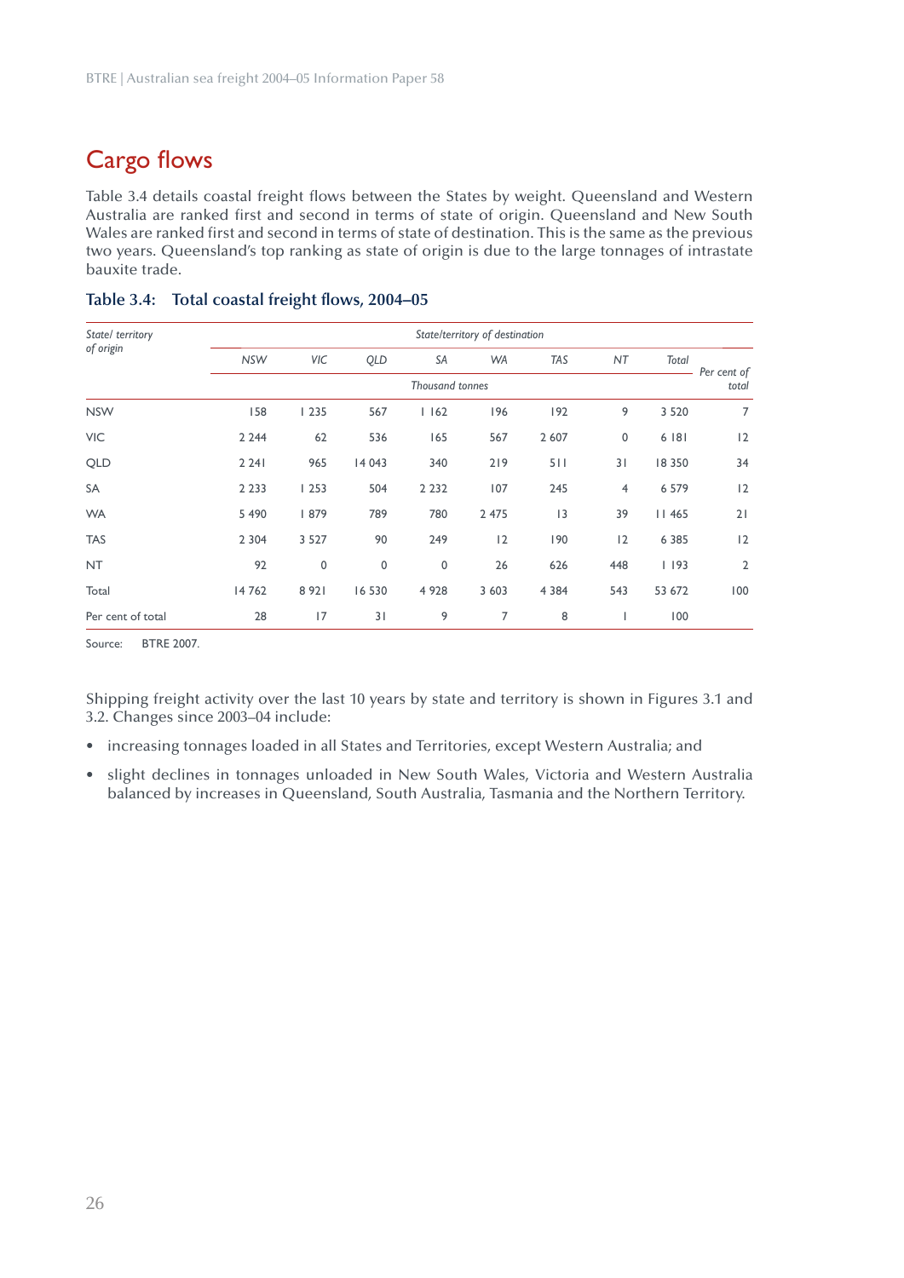## **Cargo flows**

Table 3.4 details coastal freight flows between the States by weight. Queensland and Western Australia are ranked first and second in terms of state of origin. Queensland and New South Wales are ranked first and second in terms of state of destination. This is the same as the previous two years. Queensland's top ranking as state of origin is due to the large tonnages of intrastate bauxite trade.

| State/ territory  |            |         |        |                 | State/territory of destination |         |                |               |                      |
|-------------------|------------|---------|--------|-----------------|--------------------------------|---------|----------------|---------------|----------------------|
| of origin         | <b>NSW</b> | VIC     | QLD    | SA              | <b>WA</b>                      | TAS     | NT             | <b>Total</b>  |                      |
|                   |            |         |        | Thousand tonnes |                                |         |                |               | Per cent of<br>total |
| <b>NSW</b>        | 158        | 1235    | 567    | 1162            | 196                            | 192     | 9              | 3 5 2 0       | 7                    |
| <b>VIC</b>        | 2 2 4 4    | 62      | 536    | 165             | 567                            | 2 607   | $\pmb{0}$      | 6 181         | 12                   |
| <b>QLD</b>        | 2 2 4 1    | 965     | 14 043 | 340             | 219                            | 511     | 31             | 18 3 50       | 34                   |
| <b>SA</b>         | 2 2 3 3    | 1253    | 504    | 2 2 3 2         | 107                            | 245     | $\overline{4}$ | 6 5 7 9       | 12                   |
| <b>WA</b>         | 5 4 9 0    | 879     | 789    | 780             | 2 4 7 5                        | 3       | 39             | <b>II 465</b> | 21                   |
| <b>TAS</b>        | 2 3 0 4    | 3 5 2 7 | 90     | 249             | 12                             | 190     | 2              | 6 3 8 5       | 12                   |
| <b>NT</b>         | 92         | 0       | 0      | 0               | 26                             | 626     | 448            | 1193          | $\overline{2}$       |
| Total             | 14762      | 8 9 2 1 | 16 530 | 4 9 28          | 3 603                          | 4 3 8 4 | 543            | 53 672        | 100                  |
| Per cent of total | 28         | 17      | 31     | 9               | 7                              | 8       | ı.             | 100           |                      |

#### Table 3.4: Total coastal freight flows, 2004-05

Source: BTRE 2007.

Shipping freight activity over the last 10 years by state and territory is shown in Figures 3.1 and 3.2. Changes since 2003–04 include:

- increasing tonnages loaded in all States and Territories, except Western Australia; and
- slight declines in tonnages unloaded in New South Wales, Victoria and Western Australia balanced by increases in Queensland, South Australia, Tasmania and the Northern Territory. •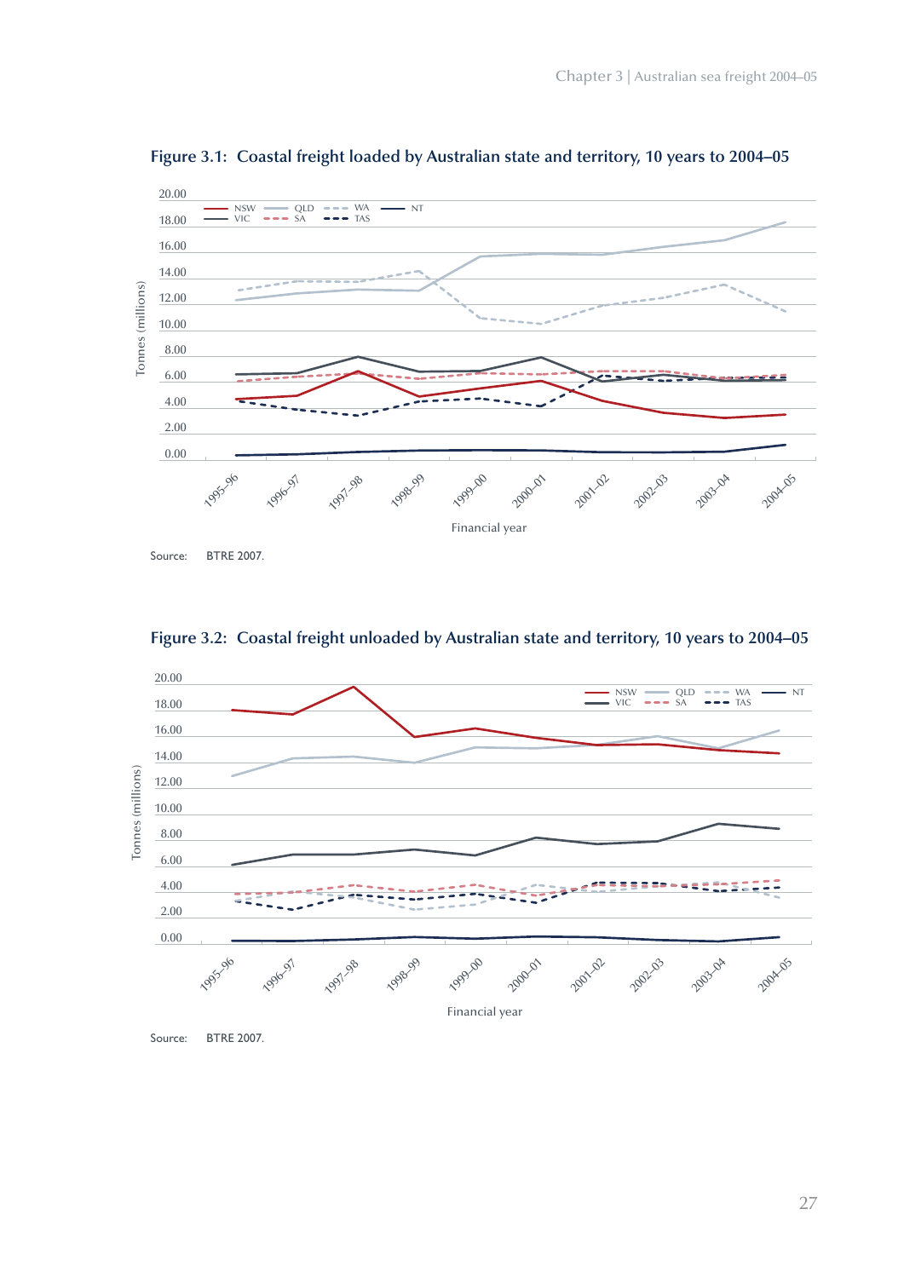

**Figure 3.1: Coastal freight loaded by Australian state and territory, 10 years to 2004–05**

Source: BTRE 2007.



**Figure 3.2: Coastal freight unloaded by Australian state and territory, 10 years to 2004–05**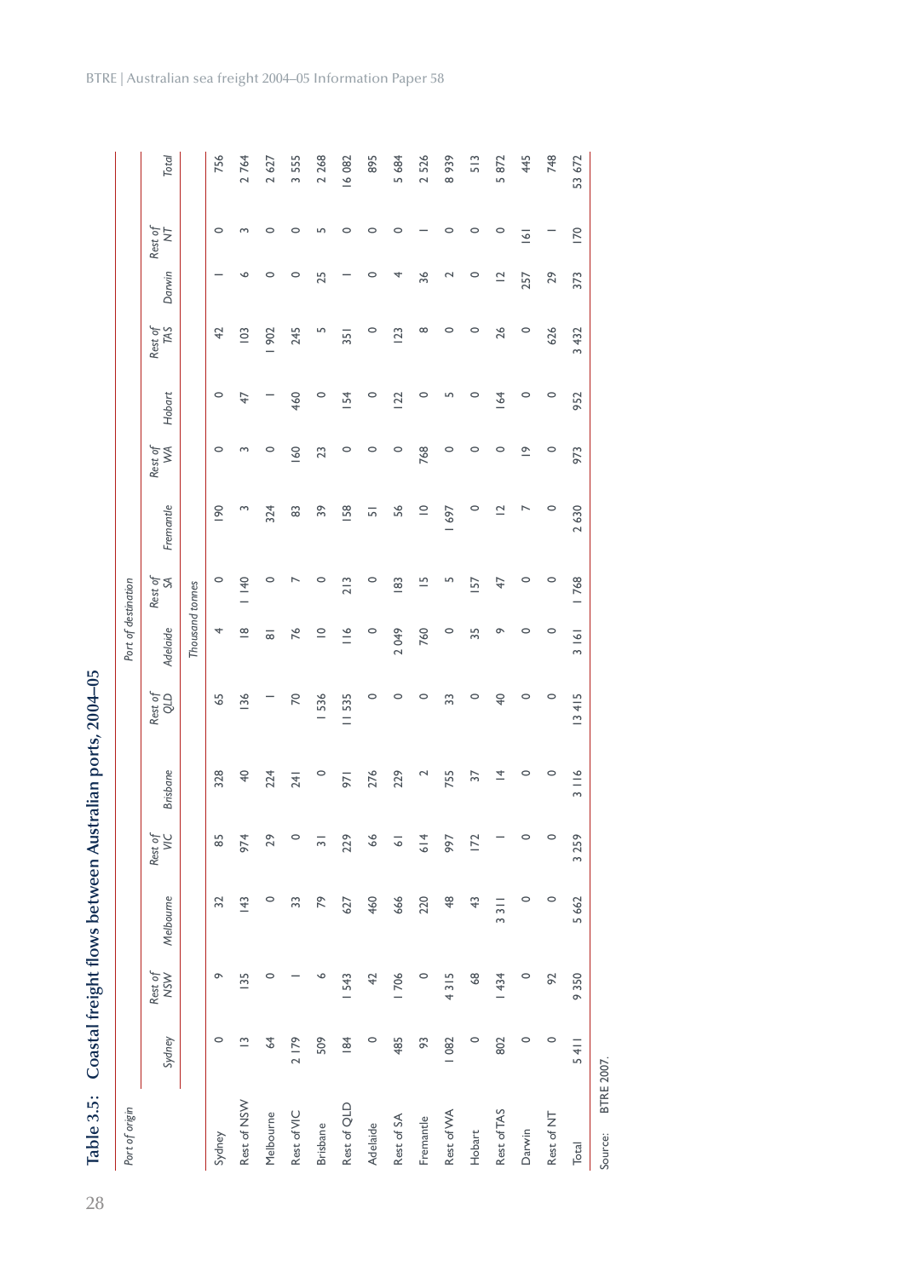28

| Table 3.5: Coastal freight flows between Austr |                |                       |                 |                     |                 | alian ports, 2004-05 |                         |                |                          |               |         |                 |                |                  |                   |
|------------------------------------------------|----------------|-----------------------|-----------------|---------------------|-----------------|----------------------|-------------------------|----------------|--------------------------|---------------|---------|-----------------|----------------|------------------|-------------------|
| Port of origin                                 |                |                       |                 |                     |                 |                      | Port of destination     |                |                          |               |         |                 |                |                  |                   |
|                                                | Sydney         | <b>NSW</b><br>Rest of | Melbourne       | Rest of<br>УIС      | <b>Brisbane</b> | Rest of<br>QLD       | <b>Adelaide</b>         | Rest of<br>SA  | Fremantle                | УÁ<br>Rest of | Hobart  | Rest of<br>TAS  | Darwin         | Rest of<br>NT    | Total             |
|                                                |                |                       |                 |                     |                 |                      | Thousand tonnes         |                |                          |               |         |                 |                |                  |                   |
| Sydney                                         | 0              | ᡐ                     | 32              | 55                  | 328             | 59                   | 4                       | $\circ$        | 190                      | 0             | $\circ$ | 42              |                | 0                | 756               |
| Rest of NSW                                    | $\tilde{ }$    | <b>135</b>            | $\frac{4}{3}$   | 974                 | $\overline{40}$ | 136                  | $\frac{\infty}{\infty}$ | 1140           | S                        |               | 47      | 103             | ◡              |                  | 2 764             |
| Melbourne                                      | $\overline{6}$ | 0                     | $\circ$         | 29                  | 224             |                      | $\overline{\infty}$     | 0              | 324                      | 0             |         | 902             | 0              | 0                | 627<br>$\sim$     |
| Rest of VIC                                    | 2179           |                       | 33              | $\circ$             | 241             | R                    | 76                      | $\overline{ }$ | 83                       | 160           | 460     | 245             | 0              |                  | 555<br>$\sim$     |
| <b>Brisbane</b>                                | 509            | ە                     | ጽ               | $\overline{\infty}$ | $\circ$         | 536                  | $\subseteq$             | 0              | 39                       | 23            | $\circ$ | S               | 25             | "                | 2 268             |
| Rest of QLD                                    | 184            | <b>1543</b>           | 627             | 229                 | 971             | II 535               | $\leq$                  | 213            | 58                       | $\circ$       | 154     | 351             |                | c                | 16 082            |
| Adelaide                                       | $\circ$        | 42                    | 460             | 99                  | 276             | $\circ$              | $\circ$                 | $\circ$        | 淸                        | $\circ$       | $\circ$ | $\circ$         | 0              | 0                | 895               |
| Rest of SA                                     | 485            | 1706                  | 666             | $\overline{\circ}$  | 229             | 0                    | 2049                    | 183            | 56                       | 0             | 122     | 123             |                |                  | 5684              |
| Fremantle                                      | 93             | $\circ$               | 220             | 614                 | 2               | 0                    | 760                     | $\overline{5}$ | $\subseteq$              | 768           | $\circ$ | $\infty$        | 36             |                  | 526<br>$\sim$     |
| Rest of WA                                     | 082            | 4315                  | \$              | 997                 | 755             | 33                   | $\circ$                 | S              | 697                      | 0             | LO      | 0               | $\sim$         | 0                | 939<br>$\infty$   |
| Hobart                                         | $\circ$        | \$                    | $\frac{4}{3}$   | 172                 | $\overline{37}$ | 0                    | 55                      | 57             | 0                        | 0             | 0       | 0               | 0              | 0                | 513               |
| Rest of TAS                                    | 802            | 1434                  | $\frac{311}{2}$ |                     | $\overline{4}$  | $\overline{P}$       | ᡋ                       | 47             | $\mathbf{\Omega}$        | 0             | 164     | 26              | $\overline{C}$ | 0                | 872<br>$\sqrt{2}$ |
| Darwin                                         | 0              | 0                     | 0               | 0                   | $\circ$         | 0                    | 0                       | 0              | $\overline{\phantom{0}}$ | $\tilde{=}$   | $\circ$ | 0               | 257            | $\overline{6}$   | 445               |
| Rest of NT                                     | 0              | 92                    | 0               | $\circ$             | $\circ$         | 0                    | 0                       | 0              | 0                        | 0             | 0       | 626             | 29             |                  | 748               |
| Total                                          | 5411           | 9350                  | 5 662           | 3 259               | 3116            | 415<br>$\tilde{=}$   | 3161                    | 1768           | 2630                     | 973           | 952     | 432<br>$\infty$ | 373            | $\overline{170}$ | 53 672            |
|                                                |                |                       |                 |                     |                 |                      |                         |                |                          |               |         |                 |                |                  |                   |

**BTRE 2007.** Source: BTRE 2007.Source: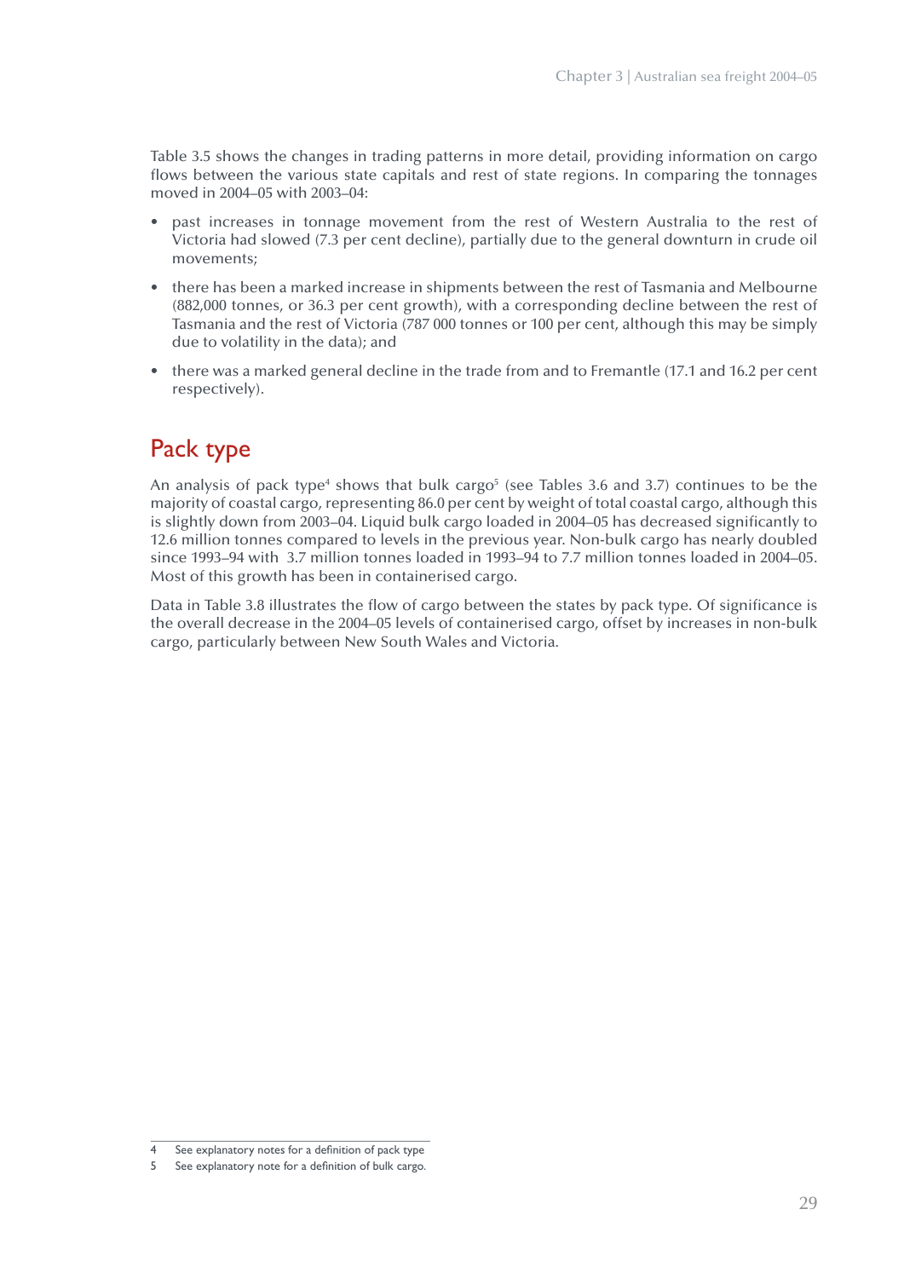Table 3.5 shows the changes in trading patterns in more detail, providing information on cargo flows between the various state capitals and rest of state regions. In comparing the tonnages moved in 2004–05 with 2003–04:

- past increases in tonnage movement from the rest of Western Australia to the rest of Victoria had slowed (7.3 per cent decline), partially due to the general downturn in crude oil movements; •
- there has been a marked increase in shipments between the rest of Tasmania and Melbourne (882,000 tonnes, or 36.3 per cent growth), with a corresponding decline between the rest of Tasmania and the rest of Victoria (787 000 tonnes or 100 per cent, although this may be simply due to volatility in the data); and
- there was a marked general decline in the trade from and to Fremantle (17.1 and 16.2 per cent respectively).

## Pack type

An analysis of pack type<sup>4</sup> shows that bulk cargo<sup>5</sup> (see Tables 3.6 and 3.7) continues to be the majority of coastal cargo, representing 86.0 per cent by weight of total coastal cargo, although this is slightly down from 2003-04. Liquid bulk cargo loaded in 2004-05 has decreased significantly to 12.6 million tonnes compared to levels in the previous year. Non-bulk cargo has nearly doubled since 1993–94 with 3.7 million tonnes loaded in 1993–94 to 7.7 million tonnes loaded in 2004–05. Most of this growth has been in containerised cargo.

Data in Table 3.8 illustrates the flow of cargo between the states by pack type. Of significance is the overall decrease in the 2004–05 levels of containerised cargo, offset by increases in non-bulk cargo, particularly between New South Wales and Victoria.

See explanatory notes for a definition of pack type

<sup>5</sup> See explanatory note for a definition of bulk cargo.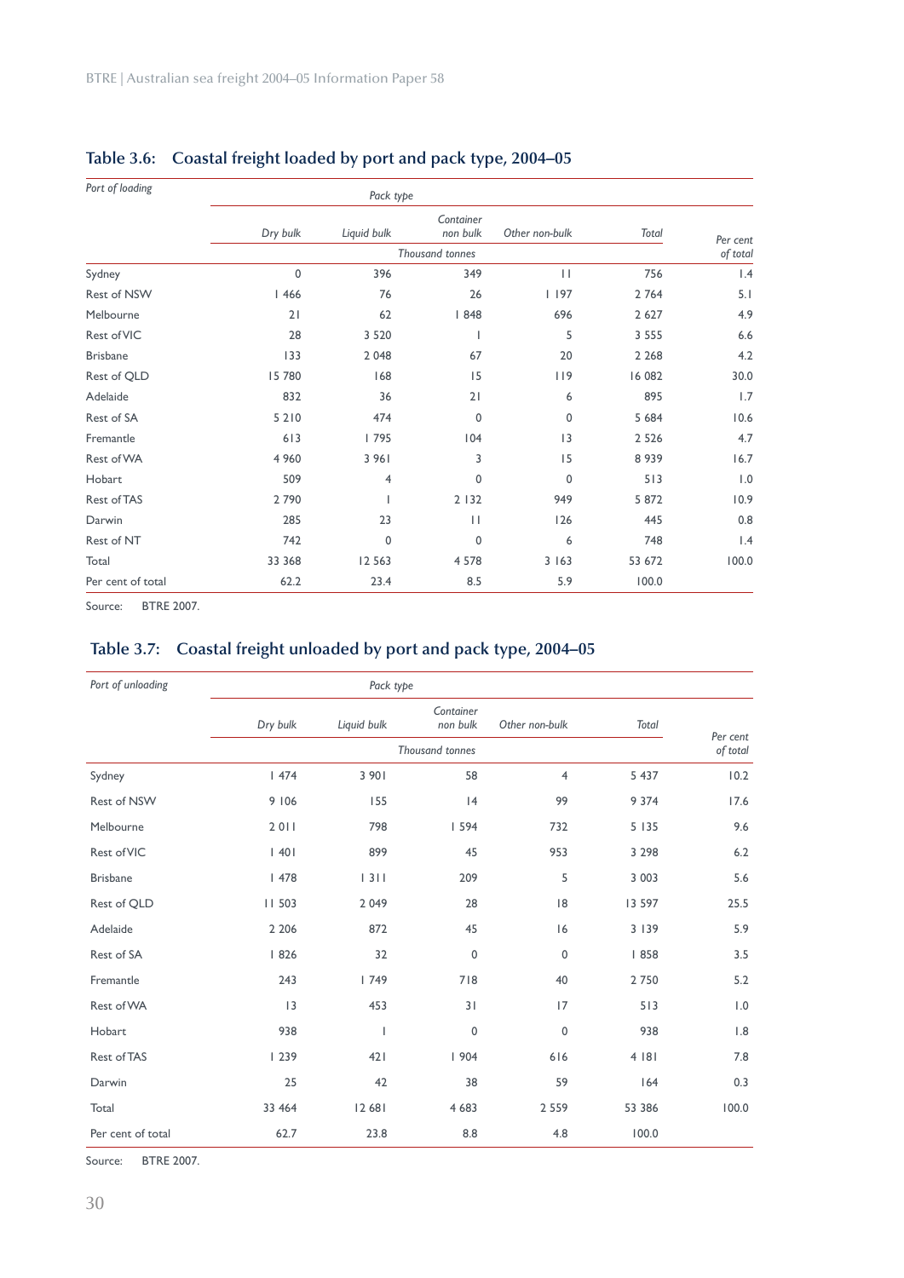| Port of loading    |             | Pack type      |                       |                |         |          |
|--------------------|-------------|----------------|-----------------------|----------------|---------|----------|
|                    | Dry bulk    | Liquid bulk    | Container<br>non bulk | Other non-bulk | Total   | Per cent |
|                    |             |                | Thousand tonnes       |                |         | of total |
| Sydney             | $\mathbf 0$ | 396            | 349                   | $\mathbf{H}$   | 756     | 1.4      |
| <b>Rest of NSW</b> | 1466        | 76             | 26                    | 1197           | 2764    | 5.1      |
| Melbourne          | 21          | 62             | 848                   | 696            | 2 6 2 7 | 4.9      |
| Rest of VIC        | 28          | 3 5 2 0        |                       | 5              | 3 5 5 5 | 6.6      |
| <b>Brisbane</b>    | 133         | 2 0 4 8        | 67                    | 20             | 2 2 6 8 | 4.2      |
| Rest of QLD        | 15 780      | 168            | 15                    | 119            | 16 082  | 30.0     |
| Adelaide           | 832         | 36             | 21                    | 6              | 895     | 1.7      |
| Rest of SA         | 5 2 1 0     | 474            | $\mathbf{0}$          | $\mathbf{0}$   | 5 6 8 4 | 10.6     |
| Fremantle          | 613         | 795            | 104                   | 3              | 2 5 2 6 | 4.7      |
| Rest of WA         | 4 9 6 0     | 3 9 6 1        | 3                     | 15             | 8939    | 16.7     |
| Hobart             | 509         | $\overline{4}$ | $\mathbf{0}$          | 0              | 513     | 1.0      |
| Rest of TAS        | 2790        |                | 2 1 3 2               | 949            | 5 872   | 10.9     |
| Darwin             | 285         | 23             | $\mathbf{H}$          | 126            | 445     | 0.8      |
| Rest of NT         | 742         | $\mathbf 0$    | $\mathbf 0$           | 6              | 748     | 1.4      |
| Total              | 33 368      | 12 5 63        | 4 5 7 8               | 3163           | 53 672  | 100.0    |
| Per cent of total  | 62.2        | 23.4           | 8.5                   | 5.9            | 100.0   |          |

## **Table 3.6: Coastal freight loaded by port and pack type, 2004–05**

Source: BTRE 2007.

## **Table 3.7: Coastal freight unloaded by port and pack type, 2004–05**

| Port of unloading  |               | Pack type   |                       |                |         |          |
|--------------------|---------------|-------------|-----------------------|----------------|---------|----------|
|                    | Dry bulk      | Liquid bulk | Container<br>non bulk | Other non-bulk | Total   | Per cent |
|                    |               |             | Thousand tonnes       |                |         | of total |
| Sydney             | 1474          | 3 901       | 58                    | $\overline{4}$ | 5 4 3 7 | 10.2     |
| <b>Rest of NSW</b> | 9 10 6        | 155         | 4                     | 99             | 9 3 7 4 | 17.6     |
| Melbourne          | 2011          | 798         | 594                   | 732            | 5135    | 9.6      |
| Rest of VIC        | 40            | 899         | 45                    | 953            | 3 2 9 8 | 6.2      |
| <b>Brisbane</b>    | 1478          | 311         | 209                   | 5              | 3 0 0 3 | 5.6      |
| Rest of QLD        | <b>II 503</b> | 2 0 4 9     | 28                    | 8              | 13 597  | 25.5     |
| Adelaide           | 2 2 0 6       | 872         | 45                    | 16             | 3 1 3 9 | 5.9      |
| Rest of SA         | 1826          | 32          | $\mathbf 0$           | $\mathbf 0$    | 858     | 3.5      |
| Fremantle          | 243           | 1749        | 718                   | 40             | 2750    | 5.2      |
| Rest of WA         | 3             | 453         | 31                    | 17             | 513     | 1.0      |
| Hobart             | 938           | I           | $\mathbf 0$           | $\mathbf 0$    | 938     | 1.8      |
| <b>Rest of TAS</b> | 1239          | 421         | 1904                  | 616            | 4   8   | 7.8      |
| Darwin             | 25            | 42          | 38                    | 59             | 164     | 0.3      |
| Total              | 33 464        | 12 681      | 4 6 8 3               | 2 5 5 9        | 53 386  | 100.0    |
| Per cent of total  | 62.7          | 23.8        | 8.8                   | 4.8            | 100.0   |          |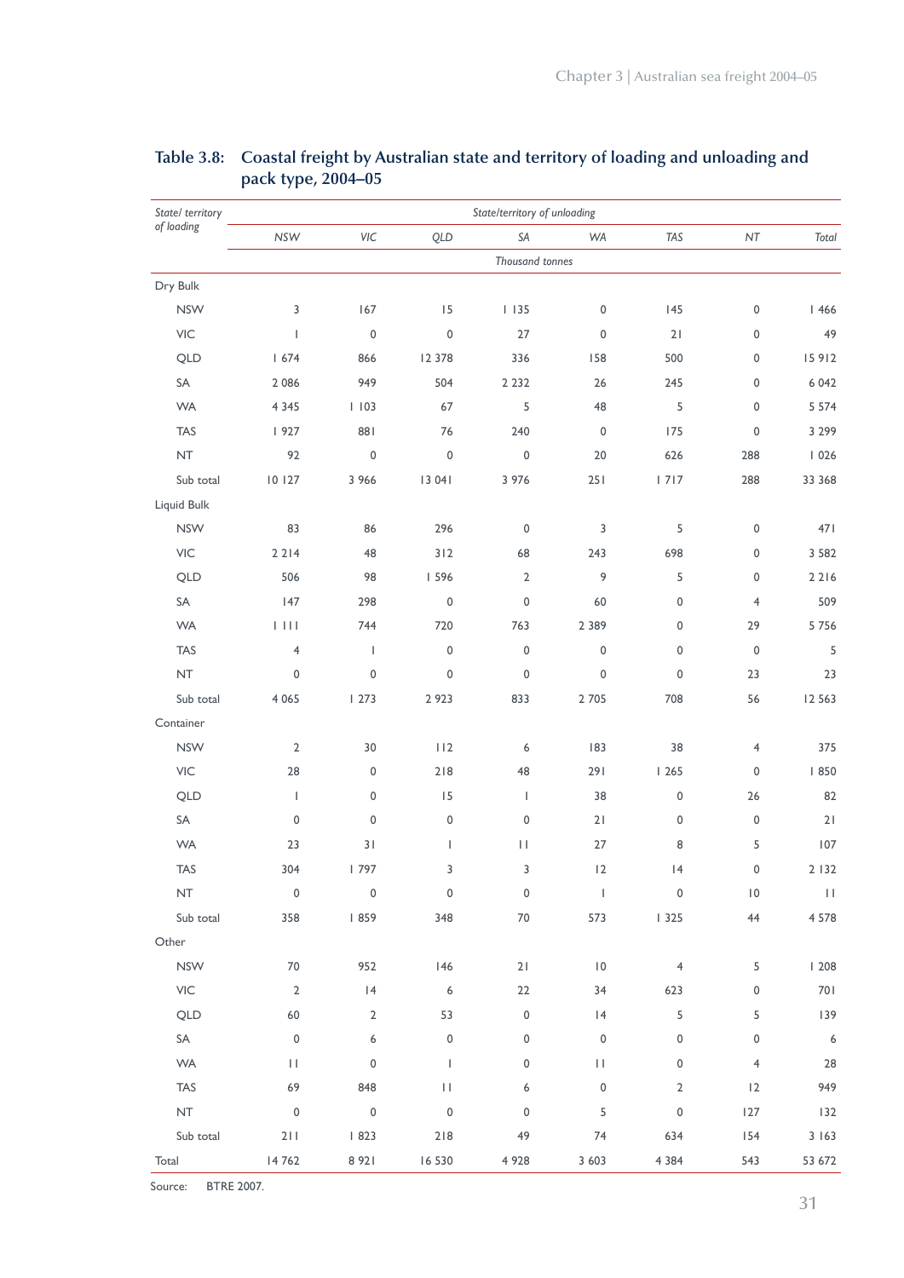| State/territory |                                                                  |              |                                                                  | State/territory of unloading |                                                                  |                     |                     |                       |
|-----------------|------------------------------------------------------------------|--------------|------------------------------------------------------------------|------------------------------|------------------------------------------------------------------|---------------------|---------------------|-----------------------|
| of loading      | <b>NSW</b>                                                       | VIC          | <b>QLD</b>                                                       | SA                           | <b>WA</b>                                                        | TAS                 | $\mathsf{NT}$       | Total                 |
|                 |                                                                  |              |                                                                  | Thousand tonnes              |                                                                  |                     |                     |                       |
| Dry Bulk        |                                                                  |              |                                                                  |                              |                                                                  |                     |                     |                       |
| <b>NSW</b>      | 3                                                                | 167          | 15                                                               | 1135                         | 0                                                                | 145                 | $\mathsf{0}$        | 1466                  |
| VIC             | I                                                                | $\mathbf 0$  | $\mathbf 0$                                                      | 27                           | 0                                                                | 21                  | $\mathsf{O}\xspace$ | 49                    |
| <b>QLD</b>      | 1674                                                             | 866          | 12 378                                                           | 336                          | 158                                                              | 500                 | $\mathsf{0}$        | 15912                 |
| SA              | 2 0 8 6                                                          | 949          | 504                                                              | 2 2 3 2                      | 26                                                               | 245                 | $\mathsf{0}$        | 6 0 4 2               |
| <b>WA</b>       | 4 3 4 5                                                          | 1103         | 67                                                               | 5                            | 48                                                               | 5                   | $\mathsf{0}$        | 5 5 7 4               |
| <b>TAS</b>      | 1927                                                             | 881          | 76                                                               | 240                          | $\mathsf{0}$                                                     | 175                 | $\mathsf{0}$        | 3 2 9 9               |
| NT              | 92                                                               | 0            | $\pmb{0}$                                                        | $\mathsf{O}\xspace$          | 20                                                               | 626                 | 288                 | 1026                  |
| Sub total       | 10127                                                            | 3 9 6 6      | 13 041                                                           | 3 976                        | 251                                                              | 1717                | 288                 | 33 368                |
| Liquid Bulk     |                                                                  |              |                                                                  |                              |                                                                  |                     |                     |                       |
| <b>NSW</b>      | 83                                                               | 86           | 296                                                              | $\pmb{0}$                    | 3                                                                | 5                   | $\mathsf{0}$        | 471                   |
| VIC             | 2214                                                             | 48           | 312                                                              | 68                           | 243                                                              | 698                 | $\mathsf{O}\xspace$ | 3 5 8 2               |
| <b>QLD</b>      | 506                                                              | 98           | 596                                                              | $\overline{2}$               | 9                                                                | 5                   | $\mathsf{0}$        | 2 2 1 6               |
| SA              | 147                                                              | 298          | $\mathbf 0$                                                      | $\mathsf 0$                  | 60                                                               | $\mathsf{O}\xspace$ | $\overline{4}$      | 509                   |
| <b>WA</b>       | $1$ $111$                                                        | 744          | 720                                                              | 763                          | 2 3 8 9                                                          | $\mathsf{O}\xspace$ | 29                  | 5756                  |
| <b>TAS</b>      | $\overline{4}$                                                   | $\mathbf{I}$ | $\mathbf 0$                                                      | $\mathsf{O}\xspace$          | $\mathsf{O}\xspace$                                              | $\mathsf{O}\xspace$ | $\mathsf 0$         | $\sqrt{5}$            |
| NT              | $\pmb{0}$                                                        | 0            | $\pmb{0}$                                                        | $\pmb{0}$                    | 0                                                                | $\pmb{0}$           | 23                  | 23                    |
| Sub total       | 4 0 6 5                                                          | 1273         | 2923                                                             | 833                          | 2 7 0 5                                                          | 708                 | 56                  | 12 5 63               |
| Container       |                                                                  |              |                                                                  |                              |                                                                  |                     |                     |                       |
| <b>NSW</b>      | $\overline{2}$                                                   | 30           | 112                                                              | 6                            | 183                                                              | 38                  | $\overline{4}$      | 375                   |
| VIC             | 28                                                               | 0            | 218                                                              | 48                           | 291                                                              | 1265                | $\mathsf{0}$        | 850                   |
| <b>QLD</b>      | $\mathbf{I}$                                                     | 0            | 15                                                               | J.                           | 38                                                               | $\mathsf{O}\xspace$ | 26                  | 82                    |
| SA              | $\mathsf{0}$                                                     | 0            | $\pmb{0}$                                                        | $\mathbf 0$                  | 21                                                               | $\mathsf{O}\xspace$ | $\mathsf{0}$        | 21                    |
| <b>WA</b>       | 23                                                               | 31           | T                                                                | $\vert \ \vert$              | 27                                                               | 8                   | 5                   | 107                   |
| <b>TAS</b>      | 304                                                              | 797          | 3                                                                | 3                            | 2                                                                | 4                   | $\mathbf 0$         | 2 1 3 2               |
| $\sf{NT}$       | $\mathsf{O}\xspace$                                              | 0            | $\mathbf 0$                                                      | $\mathsf{O}\xspace$          | $\mathbf{I}$                                                     | $\pmb{0}$           | $\vert 0$           | $\mathop{\mathsf{H}}$ |
| Sub total       | 358                                                              | 859          | 348                                                              | $70\,$                       | 573                                                              | 1325                | 44                  | 4 5 7 8               |
| Other           |                                                                  |              |                                                                  |                              |                                                                  |                     |                     |                       |
| <b>NSW</b>      | 70                                                               | 952          | 146                                                              | 21                           | $\vert 0$                                                        | $\overline{4}$      | 5                   | 1208                  |
| VIC             | $\sqrt{2}$                                                       | 4            | 6                                                                | $22\,$                       | 34                                                               | 623                 | 0                   | 701                   |
| <b>QLD</b>      | 60                                                               | $\mathbf 2$  | 53                                                               | $\mathsf{0}$                 | 4                                                                | 5                   | 5                   | 139                   |
| SA              | $\mathsf{O}\xspace$                                              | 6            | $\pmb{0}$                                                        | $\mathsf{O}\xspace$          | $\mathsf{O}\xspace$                                              | $\mathsf{0}$        | 0                   | $\sqrt{6}$            |
| <b>WA</b>       | $\mathsf{H}% _{T}=\mathsf{H}_{T}\left( \mathcal{M}_{T}\right) ,$ | 0            | J.                                                               | $\mathsf{O}\xspace$          | $\mathsf{H}% _{T}=\mathsf{H}_{T}\left( \mathcal{M}_{T}\right) ,$ | $\pmb{0}$           | 4                   | 28                    |
| <b>TAS</b>      | 69                                                               | 848          | $\mathsf{H}% _{T}=\mathsf{H}_{T}\left( \mathcal{M}_{T}\right) ,$ | 6                            | $\pmb{0}$                                                        | $\overline{2}$      | 12                  | 949                   |
| $\sf{NT}$       | $\mathbf 0$                                                      | 0            | $\mathsf 0$                                                      | $\mathbf 0$                  | 5                                                                | $\mathsf{O}\xspace$ | 127                 | 132                   |
| Sub total       | 211                                                              | 1823         | $218$                                                            | 49                           | 74                                                               | 634                 | 154                 | 3163                  |
| Total           | 14762                                                            | 8921         | 16 530                                                           | 4 9 28                       | 3 6 0 3                                                          | 4 3 8 4             | 543                 | 53 672                |

## **Table 3.8: Coastal freight by Australian state and territory of loading and unloading and pack type, 2004–05**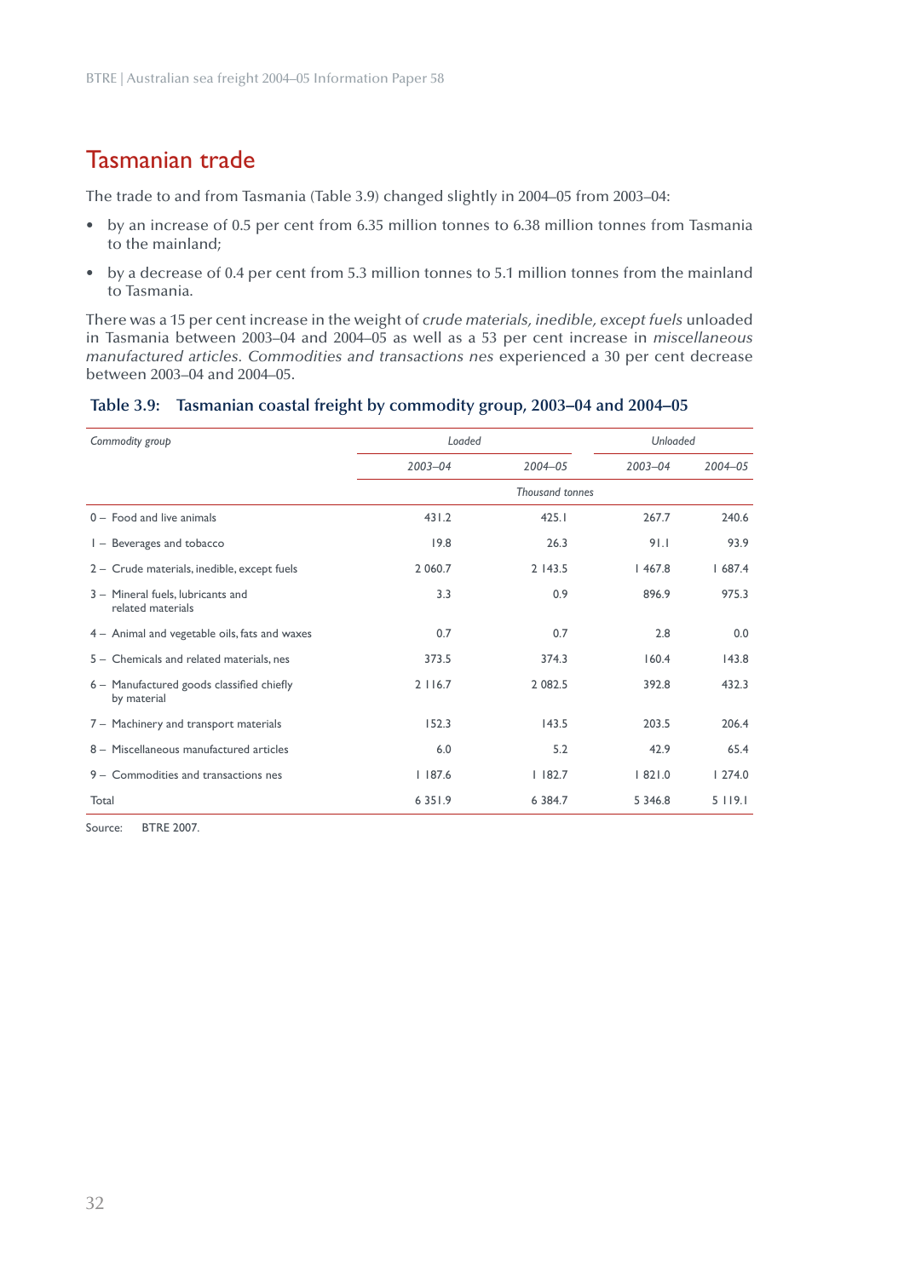## Tasmanian trade

The trade to and from Tasmania (Table 3.9) changed slightly in 2004–05 from 2003–04:

- by an increase of 0.5 per cent from 6.35 million tonnes to 6.38 million tonnes from Tasmania to the mainland;
- by a decrease of 0.4 per cent from 5.3 million tonnes to 5.1 million tonnes from the mainland to Tasmania.

There was a 15 per cent increase in the weight of *crude materials, inedible, except fuels* unloaded in Tasmania between 2003–04 and 2004–05 as well as a 53 per cent increase in *miscellaneous manufactured articles. Commodities and transactions nes* experienced a 30 per cent decrease between 2003–04 and 2004–05.

#### **Table 3.9: Tasmanian coastal freight by commodity group, 2003–04 and 2004–05**

| Commodity group                                          |            | Loaded                 | <b>Unloaded</b> |             |
|----------------------------------------------------------|------------|------------------------|-----------------|-------------|
|                                                          | 2003-04    | $2004 - 05$            | $2003 - 04$     | $2004 - 05$ |
|                                                          |            | <b>Thousand tonnes</b> |                 |             |
| $0 -$ Food and live animals                              | 431.2      | 425.1                  | 267.7           | 240.6       |
| I - Beverages and tobacco                                | 19.8       | 26.3                   | 91.1            | 93.9        |
| 2 - Crude materials, inedible, except fuels              | 2 0 6 0.7  | 2143.5                 | 1467.8          | 1687.4      |
| 3 - Mineral fuels, lubricants and<br>related materials   | 3.3        | 0.9                    | 896.9           | 975.3       |
| 4 - Animal and vegetable oils, fats and waxes            | 0.7        | 0.7                    | 2.8             | 0.0         |
| 5 - Chemicals and related materials, nes                 | 373.5      | 374.3                  | 160.4           | 143.8       |
| 6 - Manufactured goods classified chiefly<br>by material | 2116.7     | 2 082.5                | 392.8           | 432.3       |
| 7 - Machinery and transport materials                    | 152.3      | 143.5                  | 203.5           | 206.4       |
| 8 - Miscellaneous manufactured articles                  | 6.0        | 5.2                    | 42.9            | 65.4        |
| 9 - Commodities and transactions nes                     | 1187.6     | 1182.7                 | 1821.0          | 1274.0      |
| Total                                                    | 6 3 5 1 .9 | 6 3 8 4 .7             | 5 3 4 6 .8      | 5119.1      |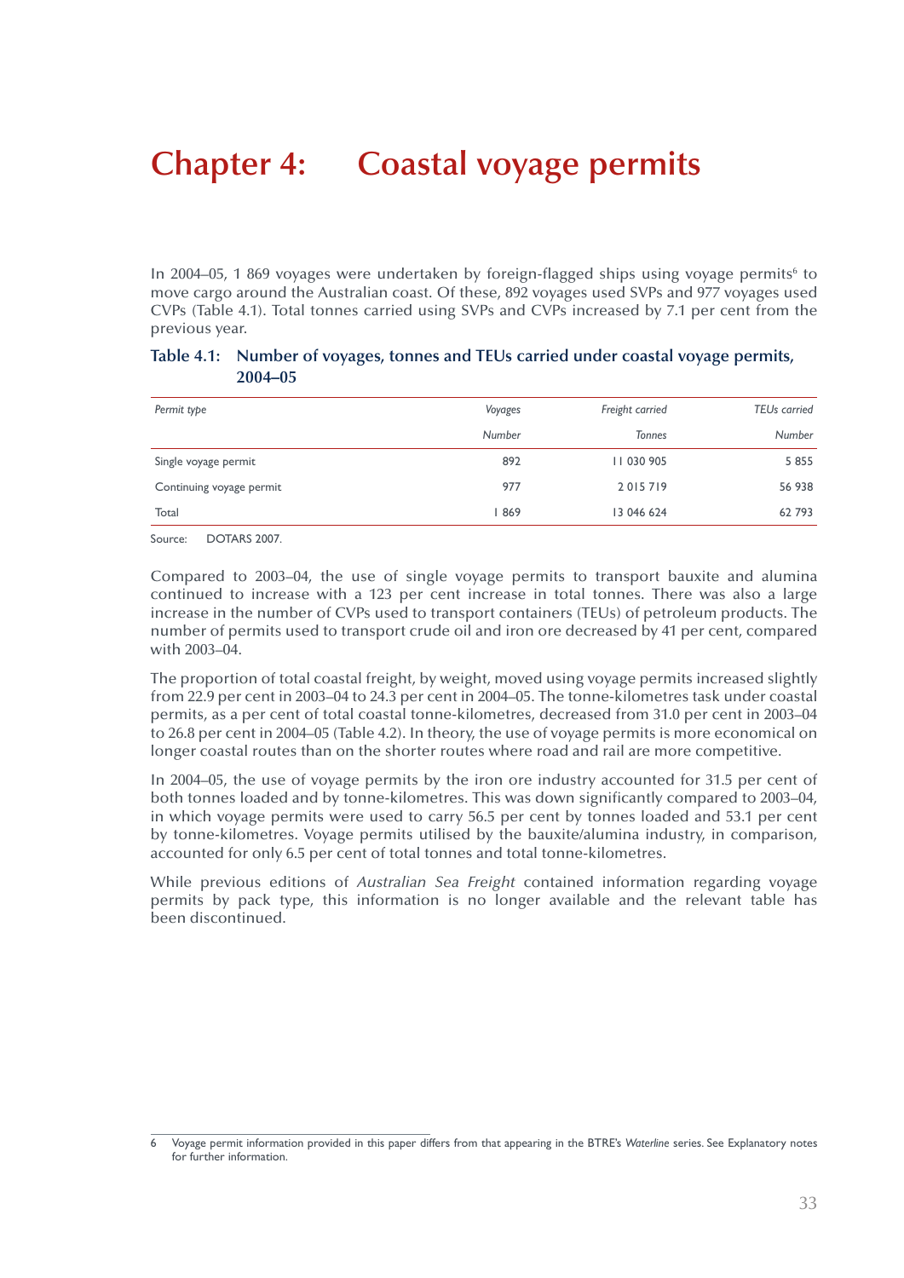# **Chapter 4: Coastal voyage permits**

In 2004–05, 1 869 voyages were undertaken by foreign-flagged ships using voyage permits<sup>6</sup> to move cargo around the Australian coast. Of these, 892 voyages used SVPs and 977 voyages used CVPs (Table 4.1). Total tonnes carried using SVPs and CVPs increased by 7.1 per cent from the previous year.

#### **Table 4.1: Number of voyages, tonnes and TEUs carried under coastal voyage permits, 2004–05**

| Permit type              | Voyages       | Freight carried | <b>TEUs carried</b> |
|--------------------------|---------------|-----------------|---------------------|
|                          | <b>Number</b> | <b>Tonnes</b>   | <b>Number</b>       |
| Single voyage permit     | 892           | 11 030 905      | 5 8 5 5             |
| Continuing voyage permit | 977           | 2015719         | 56 938              |
| Total                    | 869           | 13 046 624      | 62 793              |

Source: DOTARS 2007.

Compared to 2003–04, the use of single voyage permits to transport bauxite and alumina continued to increase with a 123 per cent increase in total tonnes. There was also a large increase in the number of CVPs used to transport containers (TEUs) of petroleum products. The number of permits used to transport crude oil and iron ore decreased by 41 per cent, compared with 2003–04.

The proportion of total coastal freight, by weight, moved using voyage permits increased slightly from 22.9 per cent in 2003–04 to 24.3 per cent in 2004–05. The tonne-kilometres task under coastal permits, as a per cent of total coastal tonne-kilometres, decreased from 31.0 per cent in 2003–04 to 26.8 per cent in 2004–05 (Table 4.2). In theory, the use of voyage permits is more economical on longer coastal routes than on the shorter routes where road and rail are more competitive.

In 2004–05, the use of voyage permits by the iron ore industry accounted for 31.5 per cent of both tonnes loaded and by tonne-kilometres. This was down significantly compared to 2003–04, in which voyage permits were used to carry 56.5 per cent by tonnes loaded and 53.1 per cent by tonne-kilometres. Voyage permits utilised by the bauxite/alumina industry, in comparison, accounted for only 6.5 per cent of total tonnes and total tonne-kilometres.

While previous editions of *Australian Sea Freight* contained information regarding voyage permits by pack type, this information is no longer available and the relevant table has been discontinued.

<sup>6</sup> Voyage permit information provided in this paper differs from that appearing in the BTRE's *Waterline* series. See Explanatory notes for further information.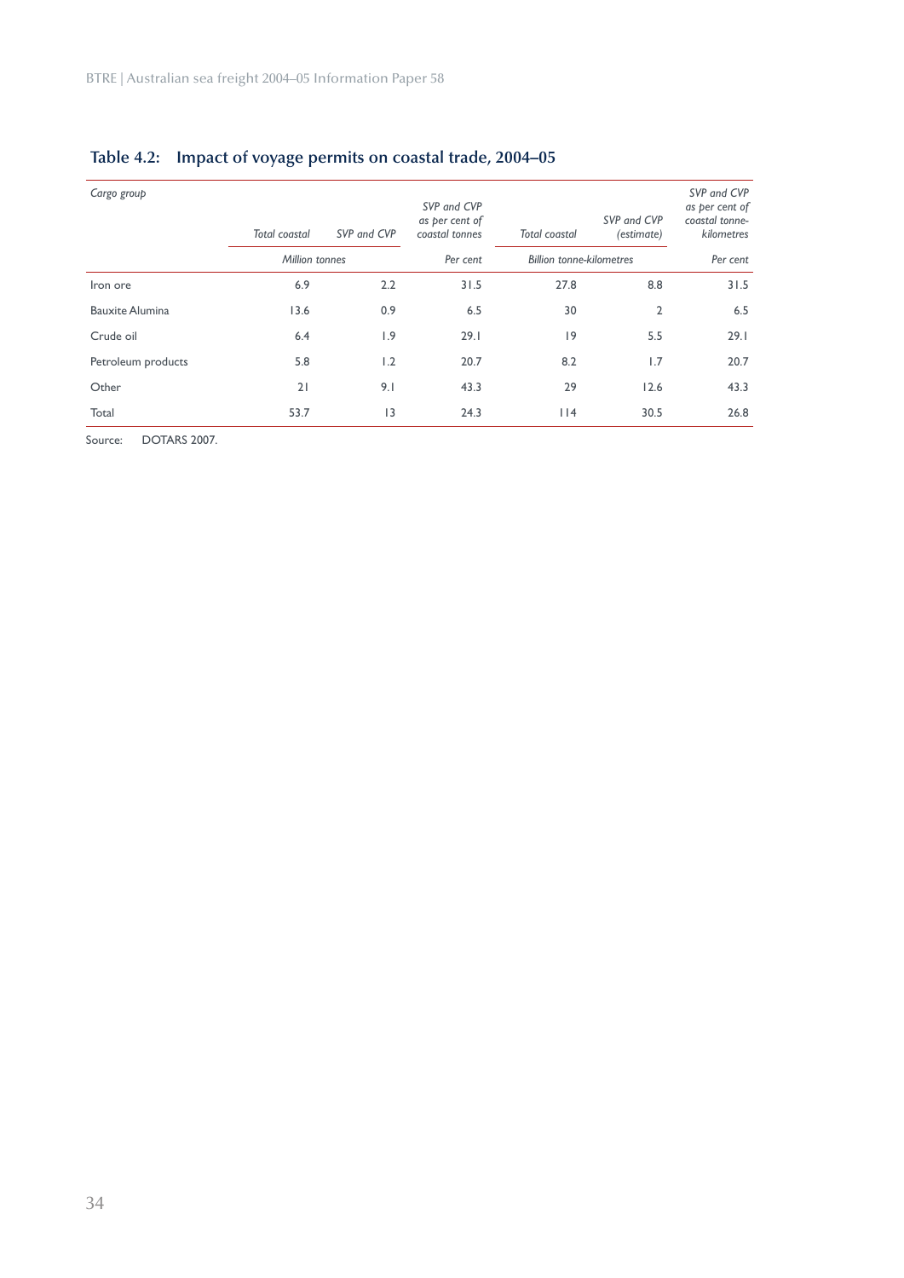| Cargo group            | Total coastal  | SVP and CVP | SVP and CVP<br>as per cent of<br>coastal tonnes | Total coastal                   | SVP and CVP<br>(estimate) | SVP and CVP<br>as per cent of<br>coastal tonne-<br>kilometres |
|------------------------|----------------|-------------|-------------------------------------------------|---------------------------------|---------------------------|---------------------------------------------------------------|
|                        | Million tonnes |             | Per cent                                        | <b>Billion tonne-kilometres</b> |                           | Per cent                                                      |
| Iron ore               | 6.9            | 2.2         | 31.5                                            | 27.8                            | 8.8                       | 31.5                                                          |
| <b>Bauxite Alumina</b> | 13.6           | 0.9         | 6.5                                             | 30                              | $\overline{2}$            | 6.5                                                           |
| Crude oil              | 6.4            | 1.9         | 29.1                                            | 9                               | 5.5                       | 29.1                                                          |
| Petroleum products     | 5.8            | 1.2         | 20.7                                            | 8.2                             | 1.7                       | 20.7                                                          |
| Other                  | 21             | 9.1         | 43.3                                            | 29                              | 12.6                      | 43.3                                                          |
| Total                  | 53.7           | 3           | 24.3                                            | $ $   4                         | 30.5                      | 26.8                                                          |

## **Table 4.2: Impact of voyage permits on coastal trade, 2004–05**

Source: DOTARS 2007.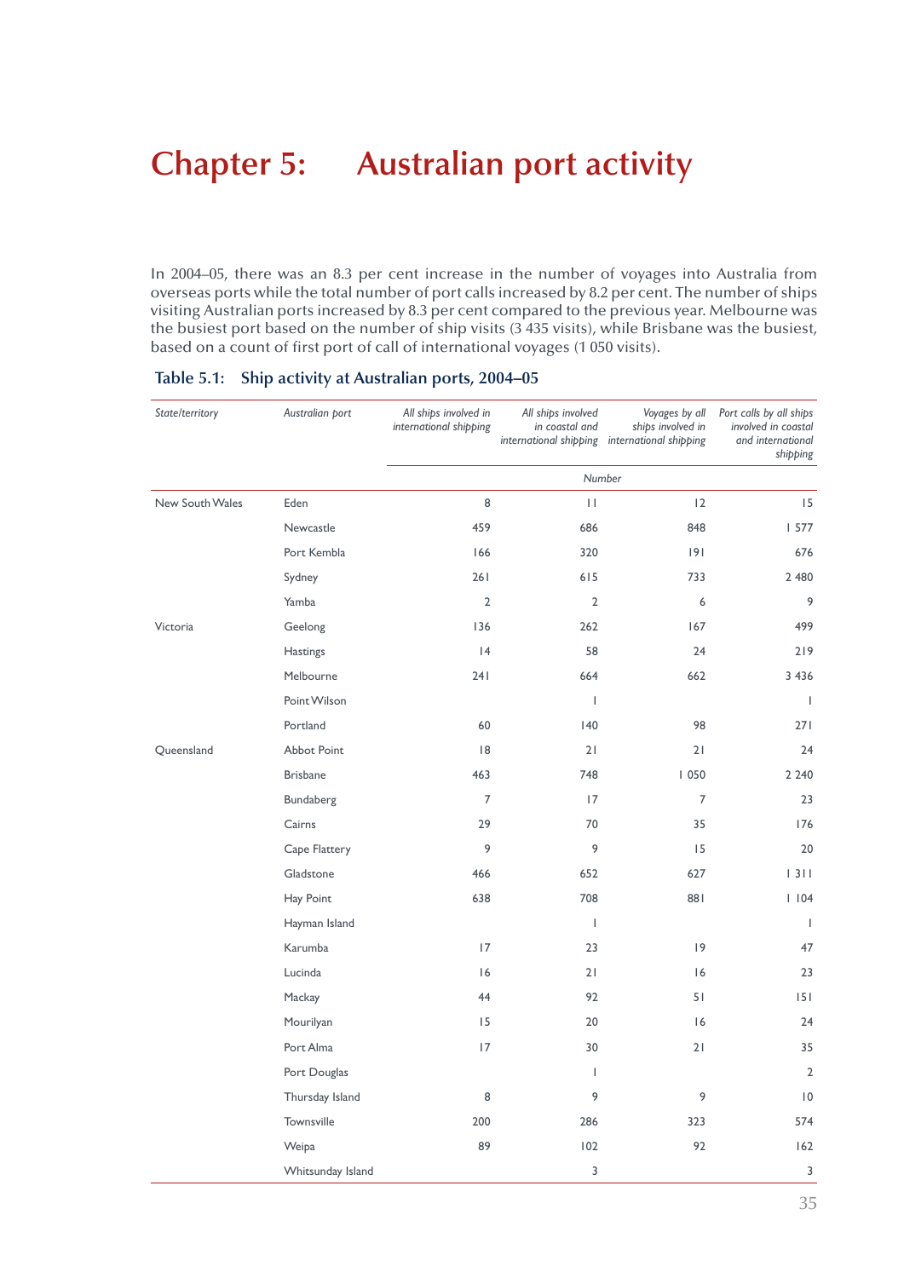# **Chapter 5: Australian port activity**

In 2004–05, there was an 8.3 per cent increase in the number of voyages into Australia from overseas ports while the total number of port calls increased by 8.2 per cent. The number of ships visiting Australian ports increased by 8.3 per cent compared to the previous year. Melbourne was the busiest port based on the number of ship visits (3 435 visits), while Brisbane was the busiest, based on a count of first port of call of international voyages (1 050 visits).

| State/territory | Australian port    | All ships involved in<br>international shipping | All ships involved<br>in coastal and | Voyages by all<br>ships involved in<br>international shipping international shipping | Port calls by all ships<br>involved in coastal<br>and international<br>shipping |
|-----------------|--------------------|-------------------------------------------------|--------------------------------------|--------------------------------------------------------------------------------------|---------------------------------------------------------------------------------|
|                 |                    |                                                 |                                      | Number                                                                               |                                                                                 |
| New South Wales | Eden               | 8                                               | $\mathbf{H}$                         | 12                                                                                   | 15                                                                              |
|                 | Newcastle          | 459                                             | 686                                  | 848                                                                                  | 577                                                                             |
|                 | Port Kembla        | 166                                             | 320                                  | 9                                                                                    | 676                                                                             |
|                 | Sydney             | 261                                             | 615                                  | 733                                                                                  | 2 4 8 0                                                                         |
|                 | Yamba              | $\overline{2}$                                  | $\overline{2}$                       | 6                                                                                    | 9                                                                               |
| Victoria        | Geelong            | 136                                             | 262                                  | 167                                                                                  | 499                                                                             |
|                 | <b>Hastings</b>    | 4                                               | 58                                   | 24                                                                                   | 219                                                                             |
|                 | Melbourne          | 241                                             | 664                                  | 662                                                                                  | 3 4 3 6                                                                         |
|                 | Point Wilson       |                                                 | I                                    |                                                                                      | $\mathbf{I}$                                                                    |
|                 | Portland           | 60                                              | 40                                   | 98                                                                                   | 271                                                                             |
| Queensland      | <b>Abbot Point</b> | 8                                               | 21                                   | 21                                                                                   | 24                                                                              |
|                 | <b>Brisbane</b>    | 463                                             | 748                                  | 1050                                                                                 | 2 2 4 0                                                                         |
|                 | <b>Bundaberg</b>   | $\overline{7}$                                  | 17                                   | 7                                                                                    | 23                                                                              |
|                 | Cairns             | 29                                              | 70                                   | 35                                                                                   | 176                                                                             |
|                 | Cape Flattery      | 9                                               | 9                                    | 15                                                                                   | 20                                                                              |
|                 | Gladstone          | 466                                             | 652                                  | 627                                                                                  | 1311                                                                            |
|                 | Hay Point          | 638                                             | 708                                  | 881                                                                                  | 1104                                                                            |
|                 | Hayman Island      |                                                 | $\mathbf{I}$                         |                                                                                      | $\mathbf{I}$                                                                    |
|                 | Karumba            | 17                                              | 23                                   | 9                                                                                    | 47                                                                              |
|                 | Lucinda            | 16                                              | 21                                   | 16                                                                                   | 23                                                                              |
|                 | Mackay             | 44                                              | 92                                   | 51                                                                                   | 151                                                                             |
|                 | Mourilyan          | 15                                              | 20                                   | 6                                                                                    | 24                                                                              |
|                 | Port Alma          | 17                                              | 30                                   | 21                                                                                   | 35                                                                              |
|                 | Port Douglas       |                                                 | I                                    |                                                                                      | $\overline{2}$                                                                  |
|                 | Thursday Island    | 8                                               | 9                                    | 9                                                                                    | 10                                                                              |
|                 | Townsville         | 200                                             | 286                                  | 323                                                                                  | 574                                                                             |
|                 | Weipa              | 89                                              | 102                                  | 92                                                                                   | 162                                                                             |
|                 | Whitsunday Island  |                                                 | 3                                    |                                                                                      | 3                                                                               |

#### **Table 5.1: Ship activity at Australian ports, 2004–05**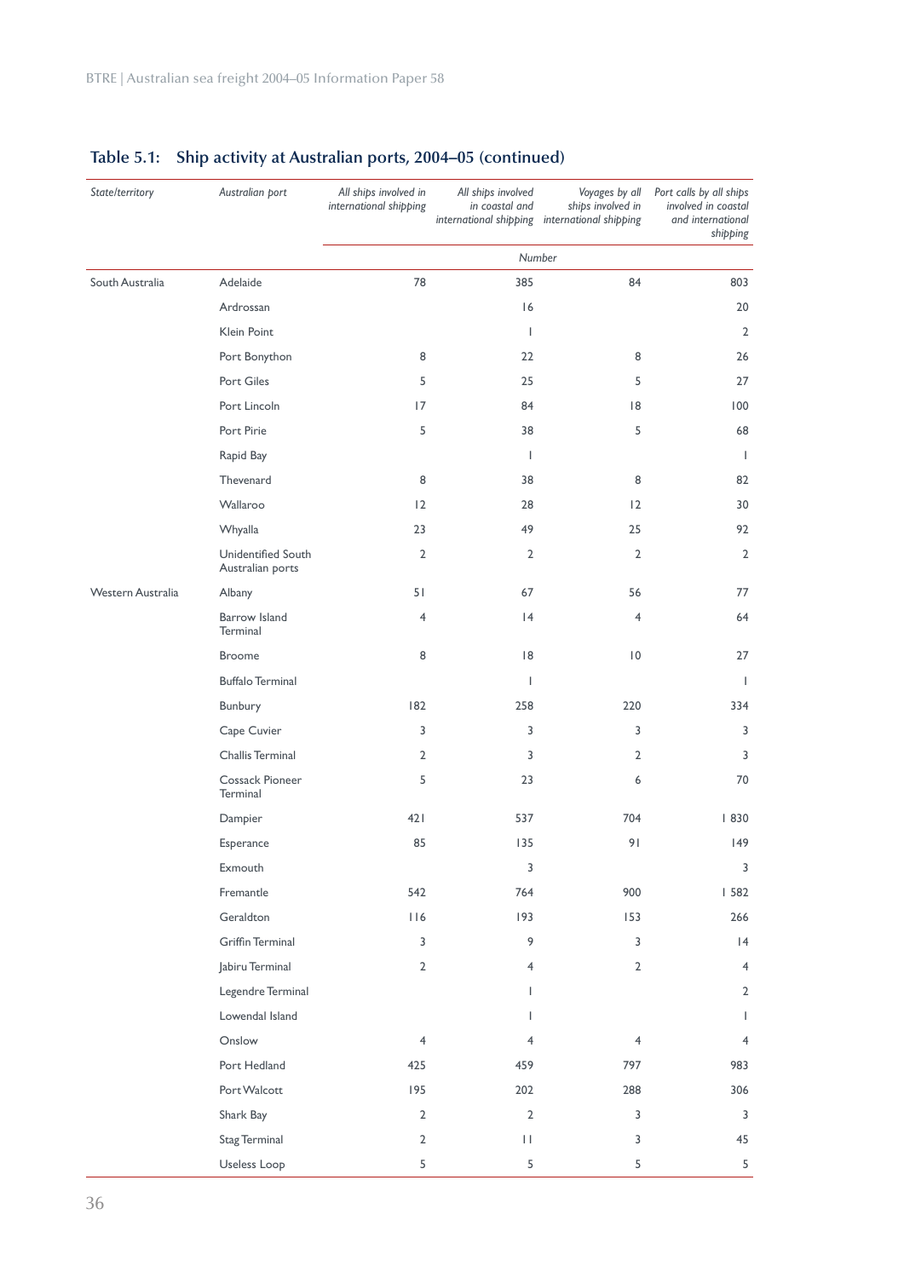| State/territory   | Australian port                        | All ships involved in<br>international shipping | All ships involved<br>in coastal and                             | Voyages by all<br>ships involved in<br>international shipping international shipping | Port calls by all ships<br>involved in coastal<br>and international<br>shipping |
|-------------------|----------------------------------------|-------------------------------------------------|------------------------------------------------------------------|--------------------------------------------------------------------------------------|---------------------------------------------------------------------------------|
|                   |                                        |                                                 |                                                                  | Number                                                                               |                                                                                 |
| South Australia   | Adelaide                               | 78                                              | 385                                                              | 84                                                                                   | 803                                                                             |
|                   | Ardrossan                              |                                                 | 16                                                               |                                                                                      | 20                                                                              |
|                   | Klein Point                            |                                                 | $\overline{1}$                                                   |                                                                                      | $\overline{2}$                                                                  |
|                   | Port Bonython                          | 8                                               | 22                                                               | 8                                                                                    | 26                                                                              |
|                   | Port Giles                             | 5                                               | 25                                                               | 5                                                                                    | 27                                                                              |
|                   | Port Lincoln                           | 17                                              | 84                                                               | 18                                                                                   | 100                                                                             |
|                   | Port Pirie                             | 5                                               | 38                                                               | 5                                                                                    | 68                                                                              |
|                   | Rapid Bay                              |                                                 | J.                                                               |                                                                                      | Τ.                                                                              |
|                   | Thevenard                              | 8                                               | 38                                                               | 8                                                                                    | 82                                                                              |
|                   | Wallaroo                               | 2                                               | 28                                                               | 12                                                                                   | 30                                                                              |
|                   | Whyalla                                | 23                                              | 49                                                               | 25                                                                                   | 92                                                                              |
|                   | Unidentified South<br>Australian ports | 2                                               | $\overline{2}$                                                   | $\overline{2}$                                                                       | $\overline{2}$                                                                  |
| Western Australia | Albany                                 | 51                                              | 67                                                               | 56                                                                                   | 77                                                                              |
|                   | <b>Barrow Island</b><br>Terminal       | 4                                               | 4                                                                | 4                                                                                    | 64                                                                              |
|                   | <b>Broome</b>                          | 8                                               | 8                                                                | $\vert 0$                                                                            | 27                                                                              |
|                   | <b>Buffalo Terminal</b>                |                                                 | -1                                                               |                                                                                      | т.                                                                              |
|                   | Bunbury                                | 182                                             | 258                                                              | 220                                                                                  | 334                                                                             |
|                   | Cape Cuvier                            | 3                                               | 3                                                                | 3                                                                                    | 3                                                                               |
|                   | Challis Terminal                       | 2                                               | 3                                                                | 2                                                                                    | 3                                                                               |
|                   | Cossack Pioneer<br>Terminal            | 5                                               | 23                                                               | 6                                                                                    | 70                                                                              |
|                   | Dampier                                | 421                                             | 537                                                              | 704                                                                                  | 830                                                                             |
|                   | Esperance                              | 85                                              | 135                                                              | 9 <sub>1</sub>                                                                       | 49                                                                              |
|                   | Exmouth                                |                                                 | 3                                                                |                                                                                      | 3                                                                               |
|                   | Fremantle                              | 542                                             | 764                                                              | 900                                                                                  | 1582                                                                            |
|                   | Geraldton                              | 116                                             | 193                                                              | 153                                                                                  | 266                                                                             |
|                   | <b>Griffin Terminal</b>                | 3                                               | 9                                                                | 3                                                                                    | 4                                                                               |
|                   | Jabiru Terminal                        | $\overline{2}$                                  | 4                                                                | $\overline{2}$                                                                       | $\overline{4}$                                                                  |
|                   | Legendre Terminal                      |                                                 | $\mathbf{L}$                                                     |                                                                                      | $\overline{2}$                                                                  |
|                   | Lowendal Island                        |                                                 | I.                                                               |                                                                                      | T                                                                               |
|                   | Onslow                                 | $\overline{4}$                                  | 4                                                                | 4                                                                                    | 4                                                                               |
|                   | Port Hedland                           | 425                                             | 459                                                              | 797                                                                                  | 983                                                                             |
|                   | Port Walcott                           | 195                                             | 202                                                              | 288                                                                                  | 306                                                                             |
|                   | Shark Bay                              | $\overline{2}$                                  | $\overline{2}$                                                   | 3                                                                                    | 3                                                                               |
|                   | Stag Terminal                          | $\overline{2}$                                  | $\mathsf{H}% _{T}=\mathsf{H}_{T}\left( \mathcal{M}_{T}\right) ,$ | 3                                                                                    | 45                                                                              |
|                   | Useless Loop                           | 5                                               | 5                                                                | 5                                                                                    | 5                                                                               |

## **Table 5.1: Ship activity at Australian ports, 2004–05 (continued)**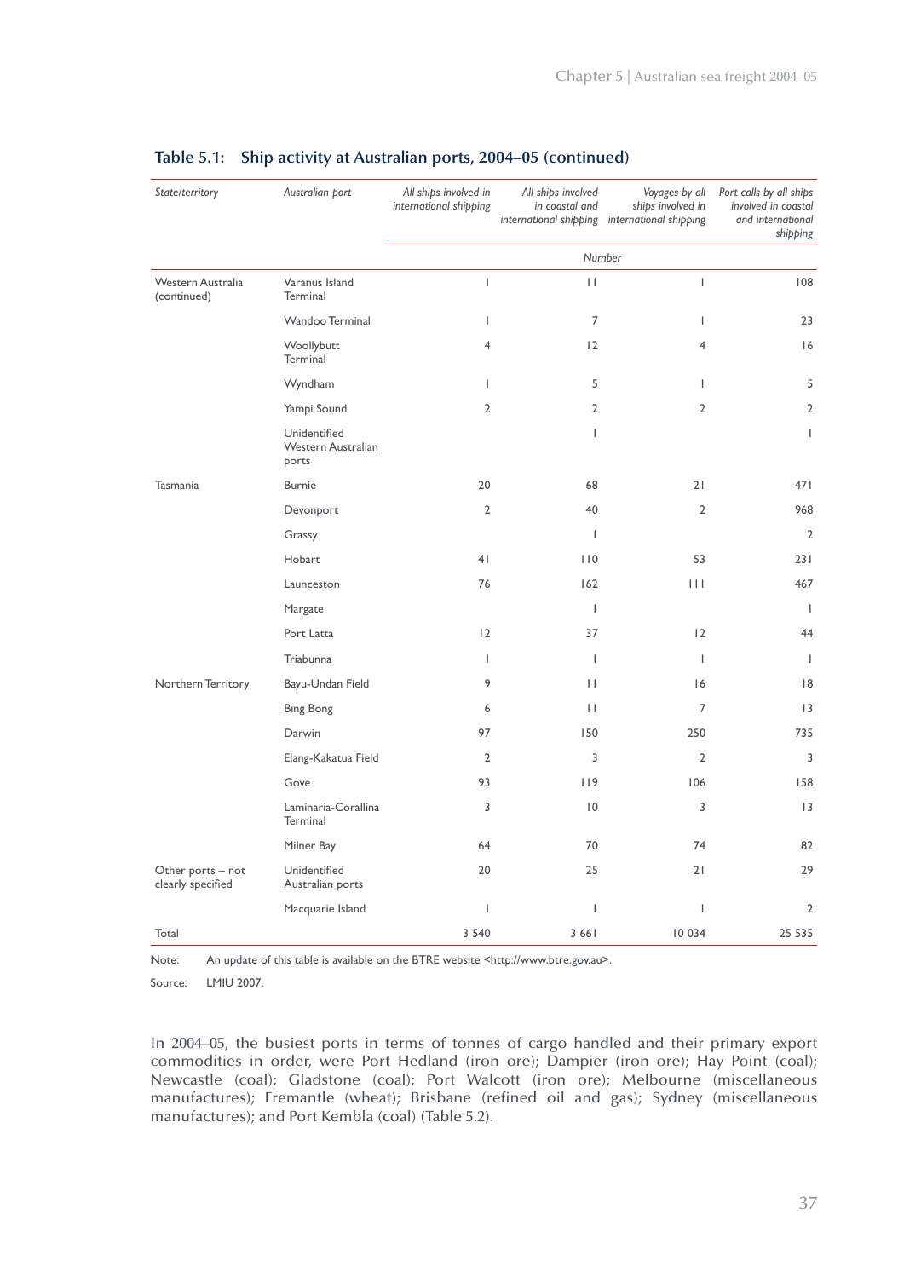| State/territory                          | Australian port                             | All ships involved in<br>international shipping | All ships involved<br>in coastal and | Voyages by all<br>ships involved in<br>international shipping international shipping | Port calls by all ships<br>involved in coastal<br>and international<br>shipping |
|------------------------------------------|---------------------------------------------|-------------------------------------------------|--------------------------------------|--------------------------------------------------------------------------------------|---------------------------------------------------------------------------------|
|                                          |                                             |                                                 |                                      | Number                                                                               |                                                                                 |
| Western Australia<br>(continued)         | Varanus Island<br>Terminal                  | T                                               | $\mathbf{H}$                         | T                                                                                    | 108                                                                             |
|                                          | <b>Wandoo Terminal</b>                      | Т                                               | 7                                    | $\mathbf{I}$                                                                         | 23                                                                              |
|                                          | Woollybutt<br>Terminal                      | 4                                               | 12                                   | $\overline{4}$                                                                       | 16                                                                              |
|                                          | Wyndham                                     | T                                               | 5                                    | $\mathbf{I}$                                                                         | 5                                                                               |
|                                          | Yampi Sound                                 | $\overline{2}$                                  | $\overline{2}$                       | $\overline{2}$                                                                       | $\overline{2}$                                                                  |
|                                          | Unidentified<br>Western Australian<br>ports |                                                 | T                                    |                                                                                      | T                                                                               |
| Tasmania                                 | <b>Burnie</b>                               | 20                                              | 68                                   | 21                                                                                   | 471                                                                             |
|                                          | Devonport                                   | $\overline{2}$                                  | 40                                   | $\overline{2}$                                                                       | 968                                                                             |
|                                          | Grassy                                      |                                                 | T                                    |                                                                                      | $\overline{2}$                                                                  |
|                                          | Hobart                                      | 4 <sub>1</sub>                                  | 110                                  | 53                                                                                   | 231                                                                             |
|                                          | Launceston                                  | 76                                              | 162                                  | $\mathbf{1}$                                                                         | 467                                                                             |
|                                          | Margate                                     |                                                 | T                                    |                                                                                      | $\mathbf{I}$                                                                    |
|                                          | Port Latta                                  | 12                                              | 37                                   | 12                                                                                   | 44                                                                              |
|                                          | Triabunna                                   | T                                               | $\mathbf{I}$                         | $\mathbf{I}$                                                                         | $\mathbf{I}$                                                                    |
| Northern Territory                       | Bayu-Undan Field                            | 9                                               | $\mathbf{H}$                         | 16                                                                                   | 8                                                                               |
|                                          | <b>Bing Bong</b>                            | 6                                               | $\perp$                              | 7                                                                                    | 13                                                                              |
|                                          | Darwin                                      | 97                                              | 150                                  | 250                                                                                  | 735                                                                             |
|                                          | Elang-Kakatua Field                         | $\overline{2}$                                  | 3                                    | $\overline{2}$                                                                       | 3                                                                               |
|                                          | Gove                                        | 93                                              | 119                                  | 106                                                                                  | 158                                                                             |
|                                          | Laminaria-Corallina<br>Terminal             | 3                                               | $\overline{0}$                       | 3                                                                                    | 3                                                                               |
|                                          | Milner Bay                                  | 64                                              | 70                                   | 74                                                                                   | 82                                                                              |
| Other ports $-$ not<br>clearly specified | Unidentified<br>Australian ports            | 20                                              | 25                                   | 21                                                                                   | 29                                                                              |
|                                          | Macquarie Island                            | J.                                              | J.                                   | T                                                                                    | $\overline{2}$                                                                  |
| Total                                    |                                             | 3 5 4 0                                         | 3 6 6 1                              | 10 034                                                                               | 25 5 35                                                                         |

#### **Table 5.1: Ship activity at Australian ports, 2004–05 (continued)**

Note: An update of this table is available on the BTRE website <http://www.btre.gov.au>.

Source: LMIU 2007.

In 2004–05, the busiest ports in terms of tonnes of cargo handled and their primary export commodities in order, were Port Hedland (iron ore); Dampier (iron ore); Hay Point (coal); Newcastle (coal); Gladstone (coal); Port Walcott (iron ore); Melbourne (miscellaneous manufactures); Fremantle (wheat); Brisbane (refined oil and gas); Sydney (miscellaneous manufactures); and Port Kembla (coal) (Table 5.2).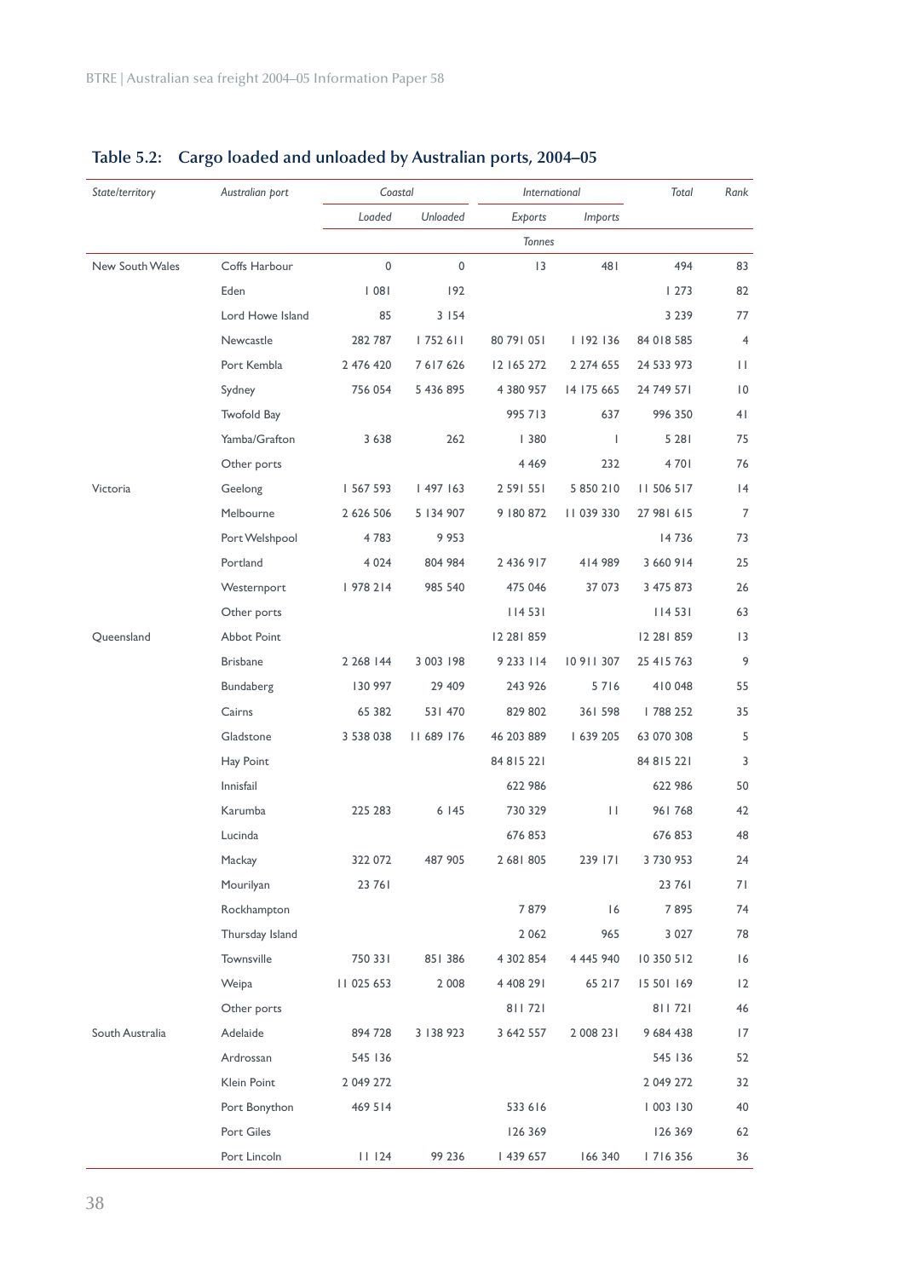| State/territory | Australian port    | Coastal     |                 | International |                | Total       | Rank            |
|-----------------|--------------------|-------------|-----------------|---------------|----------------|-------------|-----------------|
|                 |                    | Loaded      | <b>Unloaded</b> | Exports       | <i>Imports</i> |             |                 |
|                 |                    |             |                 | <b>Tonnes</b> |                |             |                 |
| New South Wales | Coffs Harbour      | $\mathbf 0$ | $\mathbf 0$     | 13            | 481            | 494         | 83              |
|                 | Eden               | 1081        | 192             |               |                | 1273        | 82              |
|                 | Lord Howe Island   | 85          | 3 1 5 4         |               |                | 3 2 3 9     | 77              |
|                 | Newcastle          | 282 787     | 1752611         | 80 791 051    | 192 136        | 84 018 585  | $\overline{4}$  |
|                 | Port Kembla        | 2 476 420   | 7 617 626       | 12 165 272    | 2 274 655      | 24 533 973  | $\perp$         |
|                 | Sydney             | 756 054     | 5 436 895       | 4 380 957     | 14 175 665     | 24 749 571  | $\overline{10}$ |
|                 | <b>Twofold Bay</b> |             |                 | 995 713       | 637            | 996 350     | 4 <sub>1</sub>  |
|                 | Yamba/Grafton      | 3 6 3 8     | 262             | 380           | T              | 5 2 8 1     | 75              |
|                 | Other ports        |             |                 | 4 4 6 9       | 232            | 4701        | 76              |
| Victoria        | Geelong            | 567 593     | 1497163         | 2 59 55 1     | 5 850 210      | 11 506 517  | 4               |
|                 | Melbourne          | 2 626 506   | 5 134 907       | 9 180 872     | 11 039 330     | 27 981 615  | $\overline{7}$  |
|                 | Port Welshpool     | 4 7 8 3     | 9953            |               |                | 14736       | 73              |
|                 | Portland           | 4 0 24      | 804 984         | 2 436 917     | 414 989        | 3 660 914   | 25              |
|                 | Westernport        | 978 214     | 985 540         | 475 046       | 37 073         | 3 475 873   | 26              |
|                 | Other ports        |             |                 | 114531        |                | 114531      | 63              |
| Queensland      | <b>Abbot Point</b> |             |                 | 12 28 1 859   |                | 12 28 1 859 | 13              |
|                 | <b>Brisbane</b>    | 2 2 68 144  | 3 003 198       | 9 2 3 1 1 4   | 10 911 307     | 25 415 763  | 9               |
|                 | <b>Bundaberg</b>   | 130 997     | 29 409          | 243 926       | 5716           | 410 048     | 55              |
|                 | Cairns             | 65 382      | 531 470         | 829 802       | 361 598        | 788 252     | 35              |
|                 | Gladstone          | 3 538 038   | II 689 176      | 46 203 889    | 639 205        | 63 070 308  | 5               |
|                 | Hay Point          |             |                 | 84 815 221    |                | 84 815 221  | 3               |
|                 | Innisfail          |             |                 | 622 986       |                | 622 986     | 50              |
|                 | Karumba            | 225 283     | 6 1 4 5         | 730 329       | $\mathbf{H}$   | 961768      | 42              |
|                 | Lucinda            |             |                 | 676 853       |                | 676 853     | 48              |
|                 | Mackay             | 322 072     | 487 905         | 2 681 805     | 239 171        | 3 730 953   | 24              |
|                 | Mourilyan          | 23 76 1     |                 |               |                | 23 76 1     | 71              |
|                 | Rockhampton        |             |                 | 7879          | 16             | 7895        | 74              |
|                 | Thursday Island    |             |                 | 2 0 6 2       | 965            | 3 0 2 7     | 78              |
|                 | Townsville         | 750 331     | 851 386         | 4 302 854     | 4 445 940      | 10 350 512  | 16              |
|                 | Weipa              | II 025 653  | 2 0 0 8         | 4 408 291     | 65 217         | 15 501 169  | 2               |
|                 | Other ports        |             |                 | 811721        |                | 811721      | 46              |
| South Australia | Adelaide           | 894 728     | 3 138 923       | 3 642 557     | 2 008 231      | 9 684 438   | 17              |
|                 | Ardrossan          | 545 136     |                 |               |                | 545 136     | 52              |
|                 | Klein Point        | 2 049 272   |                 |               |                | 2 049 272   | 32              |
|                 | Port Bonython      | 469 514     |                 | 533 616       |                | 003   30    | 40              |
|                 | Port Giles         |             |                 | 126 369       |                | 126 369     | 62              |
|                 | Port Lincoln       | 11124       | 99 236          | 439 657       | 166 340        | 1716356     | 36              |

## **Table 5.2: Cargo loaded and unloaded by Australian ports, 2004–05**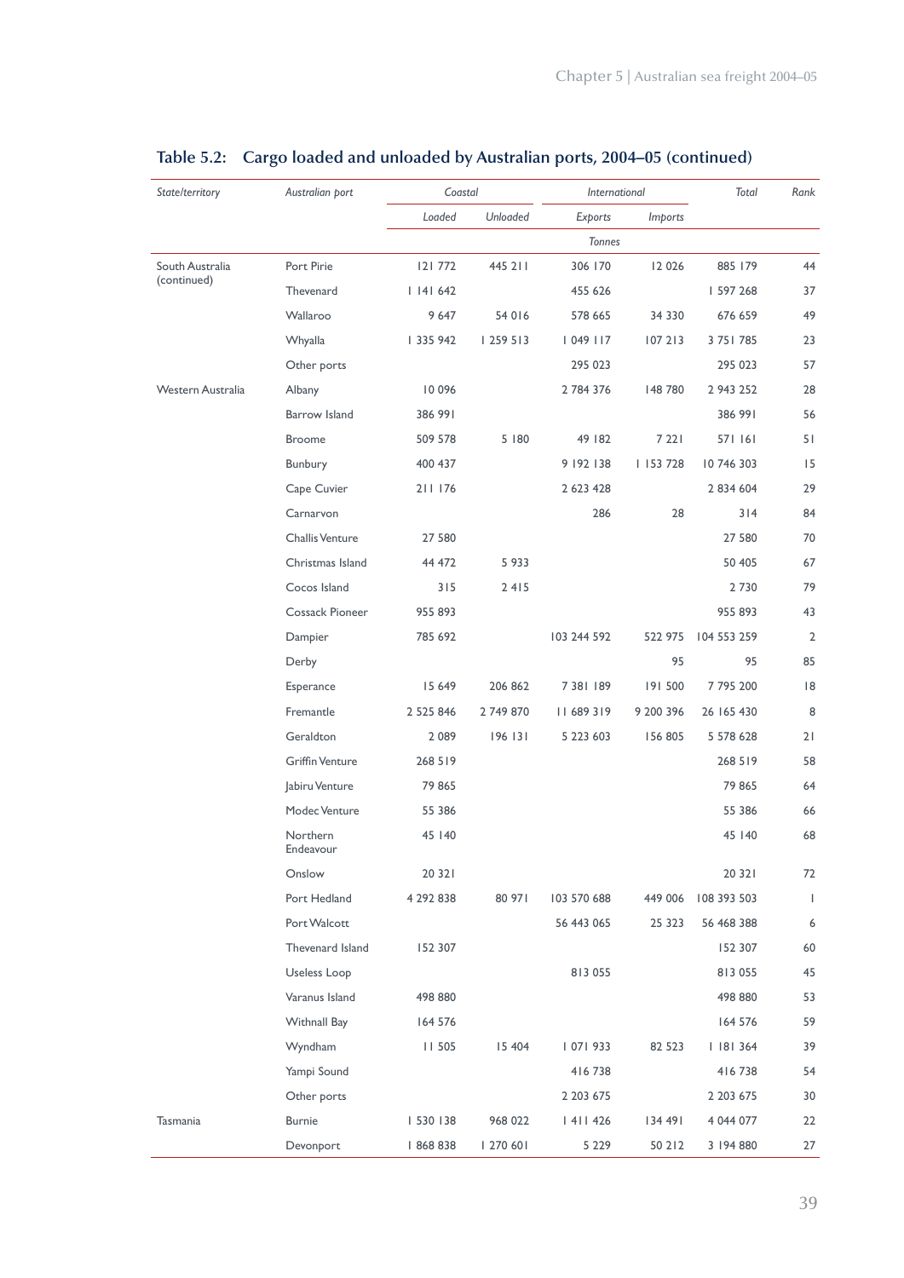| State/territory   | Australian port        | Coastal       |           | International |                | Total         | Rank             |
|-------------------|------------------------|---------------|-----------|---------------|----------------|---------------|------------------|
|                   |                        | Loaded        | Unloaded  | Exports       | <i>Imports</i> |               |                  |
|                   |                        |               |           | <b>Tonnes</b> |                |               |                  |
| South Australia   | Port Pirie             | 121772        | 445 211   | 306 170       | 12 0 26        | 885 179       | 44               |
| (continued)       | Thevenard              | 1141642       |           | 455 626       |                | 597 268       | 37               |
|                   | Wallaroo               | 9647          | 54 016    | 578 665       | 34 330         | 676 659       | 49               |
|                   | Whyalla                | 335 942       | 259 513   | 1049117       | 107213         | 3751785       | 23               |
|                   | Other ports            |               |           | 295 023       |                | 295 023       | 57               |
| Western Australia | Albany                 | 10 0 96       |           | 2 784 376     | 148 780        | 2 943 252     | 28               |
|                   | <b>Barrow Island</b>   | 386 991       |           |               |                | 386 991       | 56               |
|                   | <b>Broome</b>          | 509 578       | 5 180     | 49 182        | 7 2 2 1        | 571 161       | 51               |
|                   | Bunbury                | 400 437       |           | 9 192 138     | 153 728        | 10 746 303    | 15               |
|                   | Cape Cuvier            | 211 176       |           | 2 623 428     |                | 2 834 604     | 29               |
|                   | Carnarvon              |               |           | 286           | 28             | 314           | 84               |
|                   | <b>Challis Venture</b> | 27 580        |           |               |                | 27 580        | 70               |
|                   | Christmas Island       | 44 472        | 5933      |               |                | 50 405        | 67               |
|                   | Cocos Island           | 315           | 2415      |               |                | 2730          | 79               |
|                   | Cossack Pioneer        | 955 893       |           |               |                | 955 893       | 43               |
|                   | Dampier                | 785 692       |           | 103 244 592   | 522 975        | 104 553 259   | $\overline{2}$   |
|                   | Derby                  |               |           |               | 95             | 95            | 85               |
|                   | Esperance              | 15 649        | 206 862   | 7 381 189     | 191 500        | 7 795 200     | 8                |
|                   | Fremantle              | 2 5 2 5 8 4 6 | 2 749 870 | 11 689 319    | 9 200 396      | 26 165 430    | 8                |
|                   | Geraldton              | 2 0 8 9       | 196 131   | 5 223 603     | 156 805        | 5 578 628     | 21               |
|                   | <b>Griffin Venture</b> | 268 519       |           |               |                | 268 519       | 58               |
|                   | Jabiru Venture         | 79 865        |           |               |                | 79 865        | 64               |
|                   | Modec Venture          | 55 386        |           |               |                | 55 386        | 66               |
|                   | Northern<br>Endeavour  | 45 140        |           |               |                | 45   40       | 68               |
|                   | Onslow                 | 20 32 1       |           |               |                | 20 32 1       | 72               |
|                   | Port Hedland           | 4 292 838     | 80 971    | 103 570 688   | 449 006        | 108 393 503   | $\mathbf{I}$     |
|                   | Port Walcott           |               |           | 56 443 065    | 25 323         | 56 468 388    | $\boldsymbol{6}$ |
|                   | Thevenard Island       | 152 307       |           |               |                | 152 307       | 60               |
|                   | Useless Loop           |               |           | 813 055       |                | 813 055       | 45               |
|                   | Varanus Island         | 498 880       |           |               |                | 498 880       | 53               |
|                   | Withnall Bay           | 164 576       |           |               |                | 164 576       | 59               |
|                   | Wyndham                | <b>II 505</b> | 15 404    | 07  933       | 82 523         | 181 364       | 39               |
|                   | Yampi Sound            |               |           | 416738        |                | 416738        | 54               |
|                   | Other ports            |               |           | 2 2 0 3 6 7 5 |                | 2 2 0 3 6 7 5 | 30               |
| Tasmania          | <b>Burnie</b>          | 530 138       | 968 022   | 1411426       | 134 491        | 4 044 077     | 22               |
|                   | Devonport              | 868 838       | 270 60    | 5 2 2 9       | 50 212         | 3 194 880     | 27               |

## **Table 5.2: Cargo loaded and unloaded by Australian ports, 2004–05 (continued)**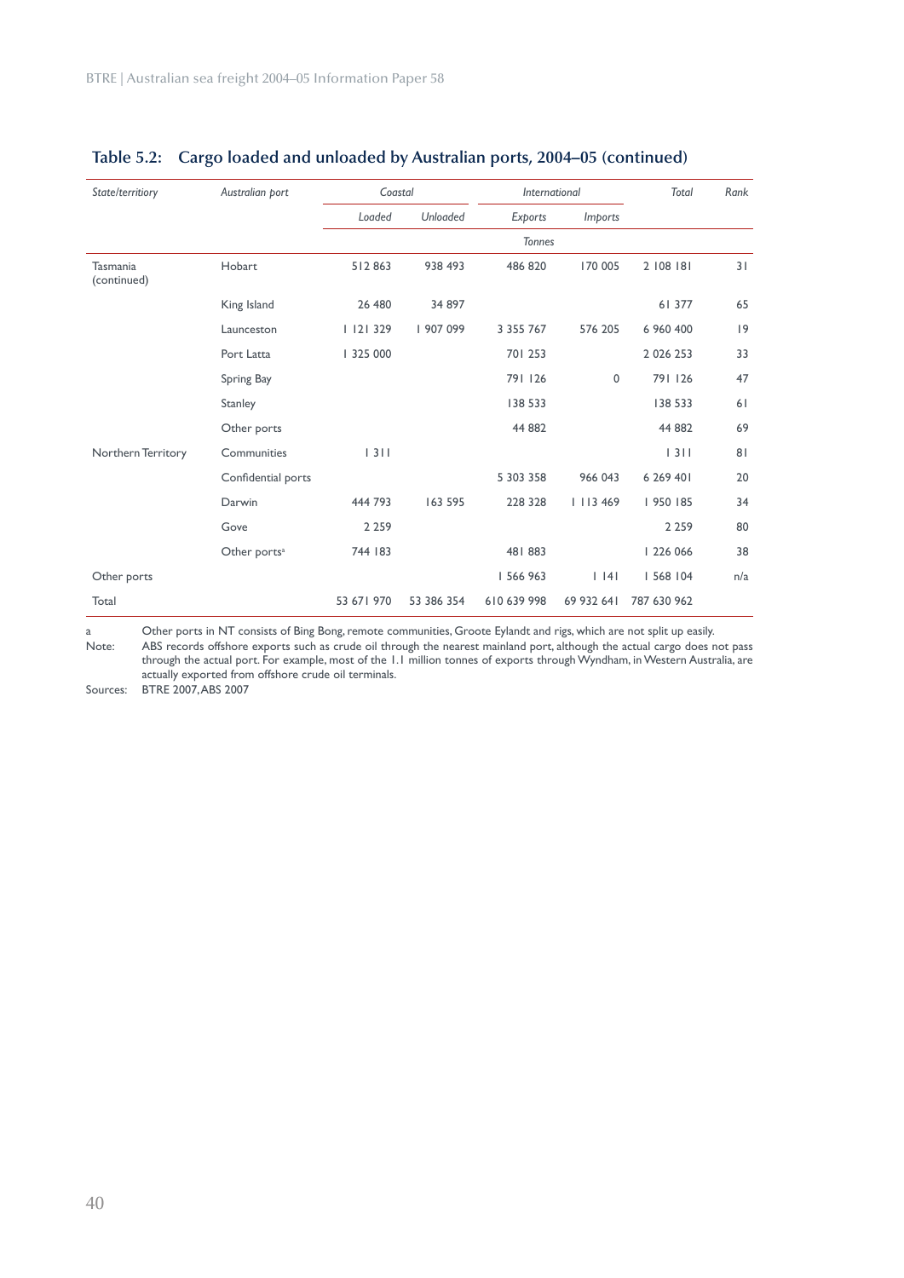| State/territiory               | Australian port<br>Coastal |            |                 | International |                 | Total         | Rank           |
|--------------------------------|----------------------------|------------|-----------------|---------------|-----------------|---------------|----------------|
|                                |                            | Loaded     | <b>Unloaded</b> | Exports       | <i>Imports</i>  |               |                |
|                                |                            |            |                 | <b>Tonnes</b> |                 |               |                |
| <b>Tasmania</b><br>(continued) | Hobart                     | 512863     | 938 493         | 486 820       | 170 005         | 2   08   8    | 31             |
|                                | King Island                | 26 480     | 34 897          |               |                 | 61 377        | 65             |
|                                | Launceston                 | 1121329    | 907 099         | 3 3 5 7 6 7   | 576 205         | 6 960 400     | 9              |
|                                | Port Latta                 | 325 000    |                 | 701 253       |                 | 2 0 2 6 2 5 3 | 33             |
|                                | Spring Bay                 |            |                 | 791 126       | $\mathbf{0}$    | 791 126       | 47             |
|                                | Stanley                    |            |                 | 138 533       |                 | 138 533       | 61             |
|                                | Other ports                |            |                 | 44 882        |                 | 44 882        | 69             |
| Northern Territory             | Communities                | 311        |                 |               |                 | 1311          | 8 <sub>1</sub> |
|                                | Confidential ports         |            |                 | 5 303 358     | 966 043         | 6 269 401     | 20             |
|                                | Darwin                     | 444 793    | 163 595         | 228 328       | 1113469         | 950   85      | 34             |
|                                | Gove                       | 2 2 5 9    |                 |               |                 | 2 2 5 9       | 80             |
|                                | Other ports <sup>a</sup>   | 744 183    |                 | 481883        |                 | 226 066       | 38             |
| Other ports                    |                            |            |                 | 566 963       | $ $ $ $ $ $ $ $ | 568 104       | n/a            |
| Total                          |                            | 53 671 970 | 53 386 354      | 610 639 998   | 69 932 641      | 787 630 962   |                |

### **Table 5.2: Cargo loaded and unloaded by Australian ports, 2004–05 (continued)**

a Other ports in NT consists of Bing Bong, remote communities, Groote Eylandt and rigs, which are not split up easily.

Note: ABS records offshore exports such as crude oil through the nearest mainland port, although the actual cargo does not pass through the actual port. For example, most of the 1.1 million tonnes of exports through Wyndham, in Western Australia, are actually exported from offshore crude oil terminals.

Sources: BTRE 2007, ABS 2007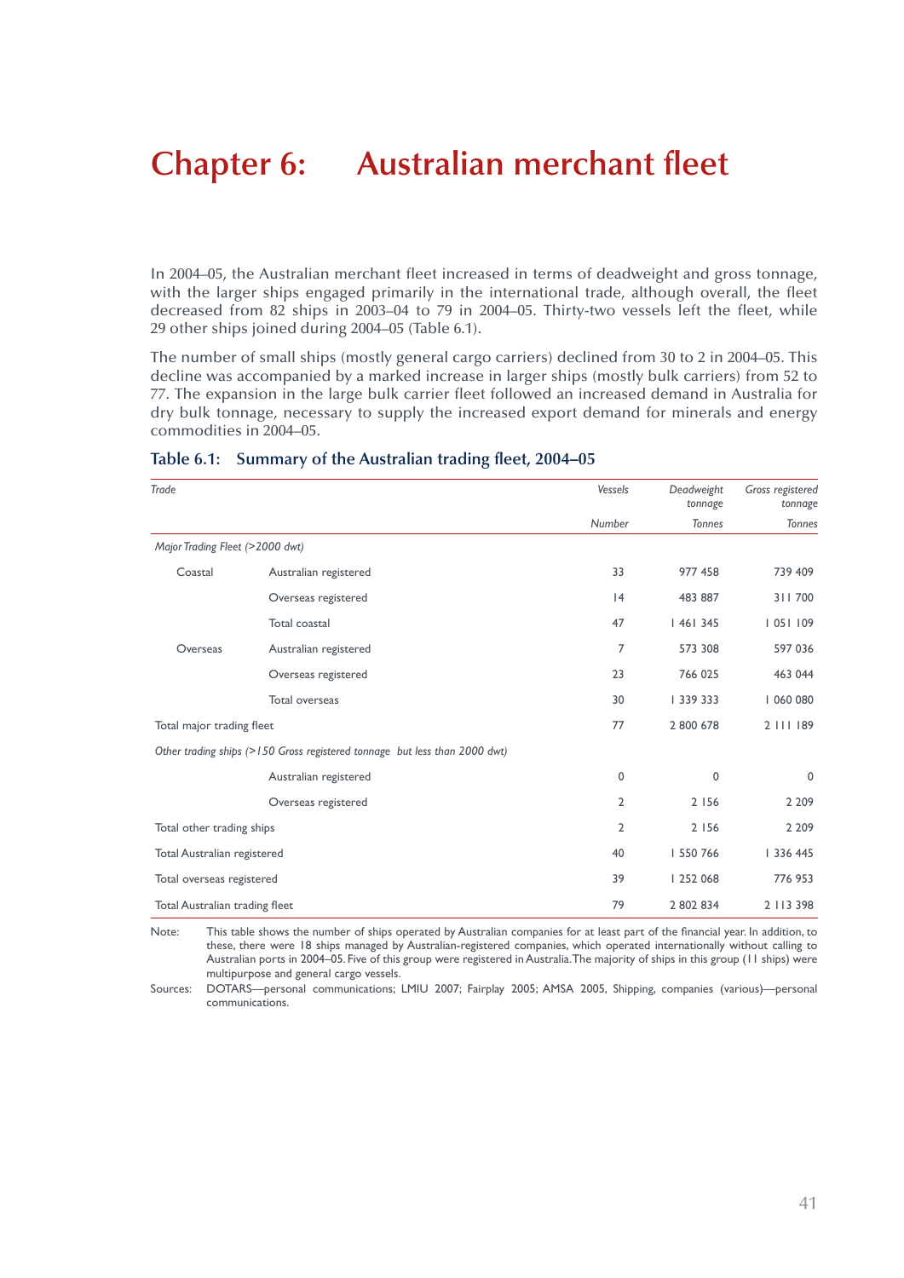## **Chapter 6:** Australian merchant fleet

In 2004–05, the Australian merchant fleet increased in terms of deadweight and gross tonnage, with the larger ships engaged primarily in the international trade, although overall, the fleet decreased from 82 ships in 2003–04 to 79 in 2004–05. Thirty-two vessels left the fleet, while 29 other ships joined during 2004–05 (Table 6.1).

The number of small ships (mostly general cargo carriers) declined from 30 to 2 in 2004–05. This decline was accompanied by a marked increase in larger ships (mostly bulk carriers) from 52 to 77. The expansion in the large bulk carrier fleet followed an increased demand in Australia for dry bulk tonnage, necessary to supply the increased export demand for minerals and energy commodities in 2004–05.

| Trade                              |                                                                            | Vessels        | Deadweight<br>tonnage | Gross registered<br>tonnage |
|------------------------------------|----------------------------------------------------------------------------|----------------|-----------------------|-----------------------------|
|                                    |                                                                            | Number         | <b>Tonnes</b>         | <b>Tonnes</b>               |
| Major Trading Fleet (>2000 dwt)    |                                                                            |                |                       |                             |
| Coastal                            | Australian registered                                                      | 33             | 977 458               | 739 409                     |
|                                    | Overseas registered                                                        | 4              | 483 887               | 311700                      |
|                                    | <b>Total</b> coastal                                                       | 47             | 46  345               | 05  109                     |
| Overseas                           | Australian registered                                                      | 7              | 573 308               | 597 036                     |
|                                    | Overseas registered                                                        | 23             | 766 025               | 463 044                     |
|                                    | Total overseas                                                             | 30             | 339 333               | 060 080                     |
| Total major trading fleet          |                                                                            | 77             | 2 800 678             | 2 111 189                   |
|                                    | Other trading ships (>150 Gross registered tonnage but less than 2000 dwt) |                |                       |                             |
|                                    | Australian registered                                                      | $\mathbf 0$    | 0                     | 0                           |
|                                    | Overseas registered                                                        | $\overline{2}$ | 2 156                 | 2 2 0 9                     |
| Total other trading ships          |                                                                            | $\overline{2}$ | 2 156                 | 2 2 0 9                     |
| <b>Total Australian registered</b> |                                                                            | 40             | 550 766               | 336 445                     |
| Total overseas registered          |                                                                            | 39             | 252 068               | 776 953                     |
| Total Australian trading fleet     |                                                                            | 79             | 2 802 834             | 2 113 398                   |

#### Table 6.1: Summary of the Australian trading fleet, 2004–05

Note: This table shows the number of ships operated by Australian companies for at least part of the financial year. In addition, to these, there were 18 ships managed by Australian-registered companies, which operated internationally without calling to Australian ports in 2004–05. Five of this group were registered in Australia. The majority of ships in this group (11 ships) were multipurpose and general cargo vessels.

Sources: DOTARS—personal communications; LMIU 2007; Fairplay 2005; AMSA 2005, Shipping, companies (various)—personal communications.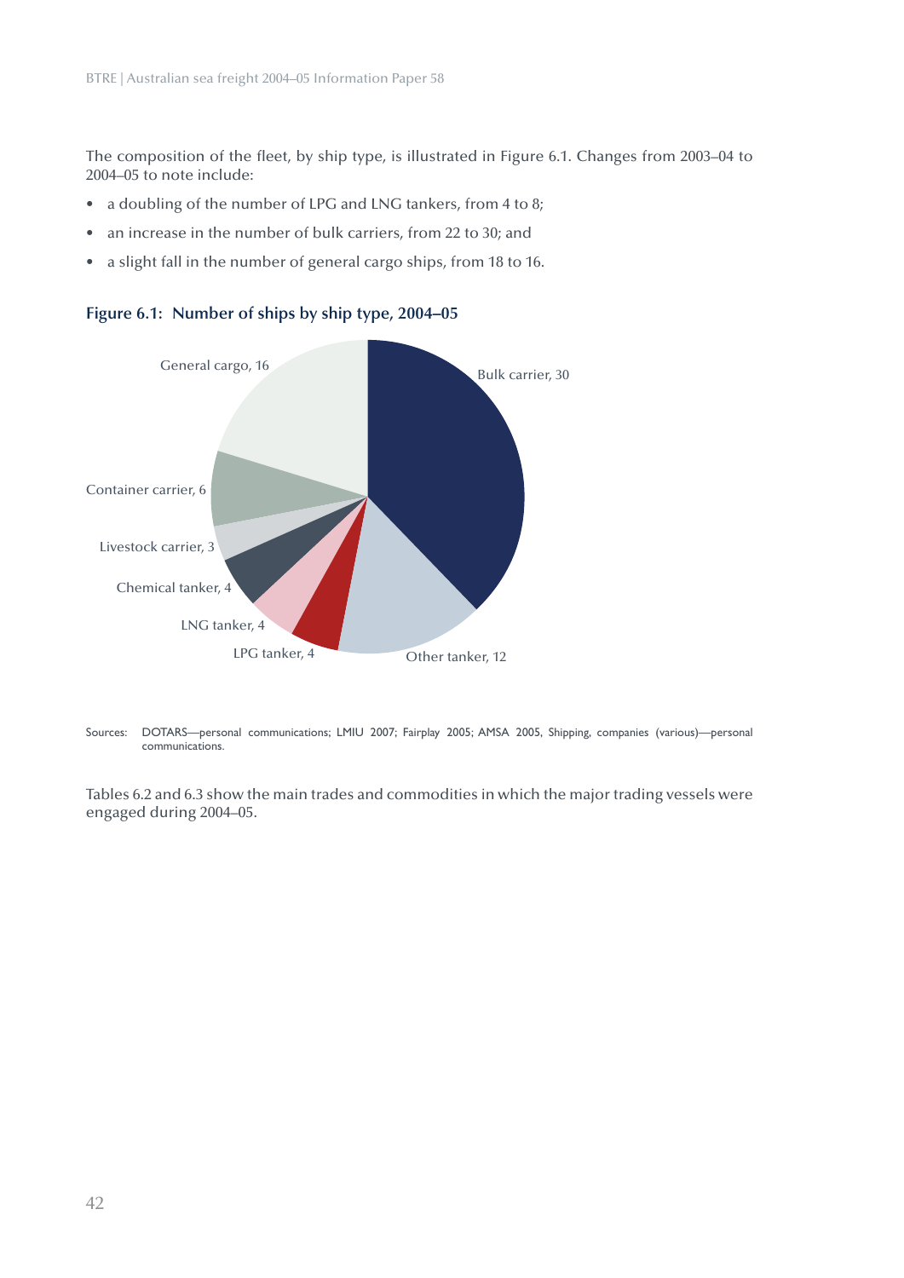The composition of the fleet, by ship type, is illustrated in Figure 6.1. Changes from 2003-04 to 2004–05 to note include:

- a doubling of the number of LPG and LNG tankers, from 4 to 8;
- an increase in the number of bulk carriers, from 22 to 30; and •
- a slight fall in the number of general cargo ships, from 18 to 16. •



#### **Figure 6.1: Number of ships by ship type, 2004–05**

Sources: DOTARS—personal communications; LMIU 2007; Fairplay 2005; AMSA 2005, Shipping, companies (various)—personal communications.

Tables 6.2 and 6.3 show the main trades and commodities in which the major trading vessels were engaged during 2004–05.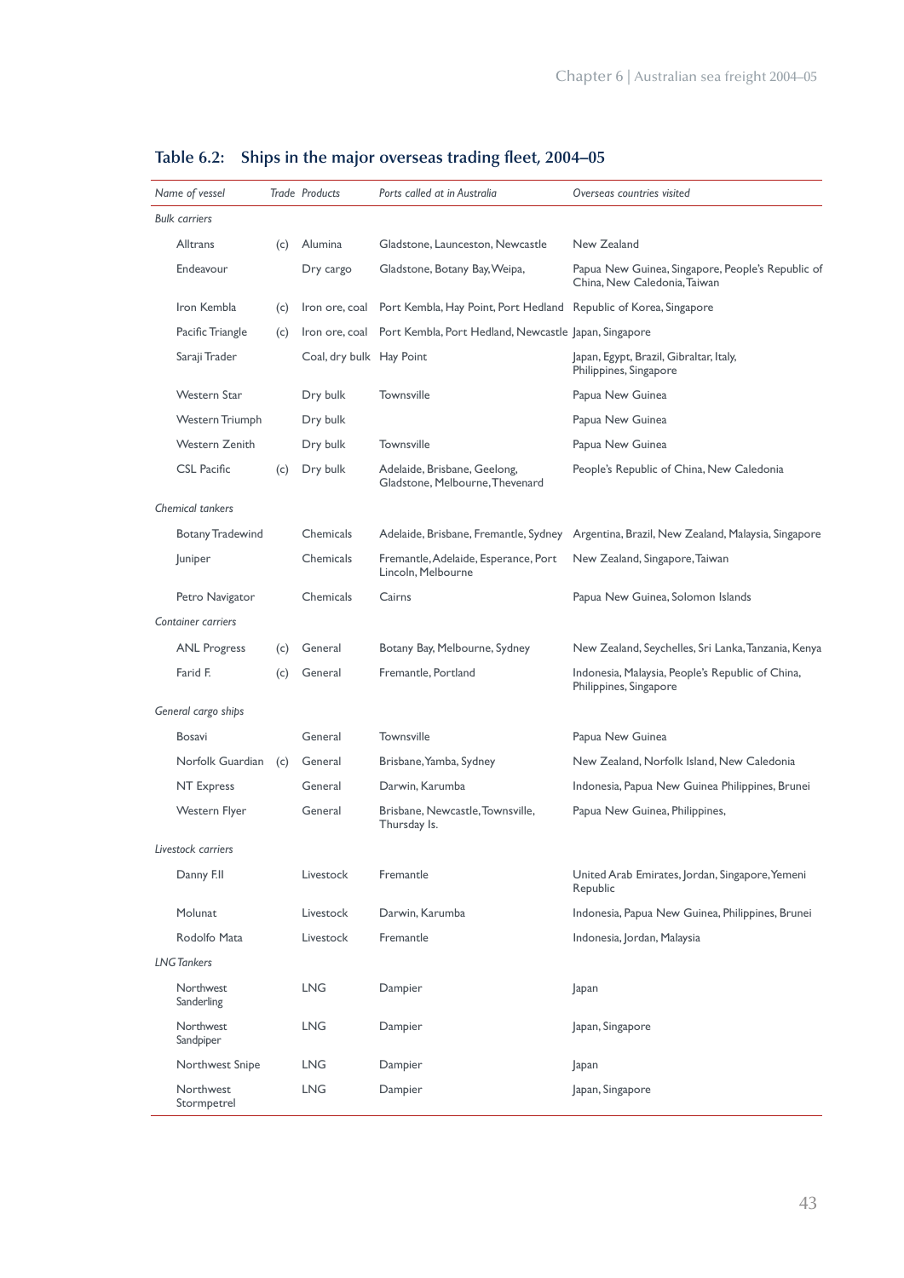| Name of vessel                |     | Trade Products           | Ports called at in Australia                                                     | Overseas countries visited                                                        |
|-------------------------------|-----|--------------------------|----------------------------------------------------------------------------------|-----------------------------------------------------------------------------------|
| <b>Bulk carriers</b>          |     |                          |                                                                                  |                                                                                   |
| Alltrans                      | (c) | Alumina                  | Gladstone, Launceston, Newcastle                                                 | New Zealand                                                                       |
| Endeavour                     |     | Dry cargo                | Gladstone, Botany Bay, Weipa,                                                    | Papua New Guinea, Singapore, People's Republic of<br>China, New Caledonia, Taiwan |
| Iron Kembla                   | (c) |                          | Iron ore, coal Port Kembla, Hay Point, Port Hedland Republic of Korea, Singapore |                                                                                   |
| Pacific Triangle              | (c) |                          | Iron ore, coal Port Kembla, Port Hedland, Newcastle Japan, Singapore             |                                                                                   |
| Saraji Trader                 |     | Coal, dry bulk Hay Point |                                                                                  | Japan, Egypt, Brazil, Gibraltar, Italy,<br>Philippines, Singapore                 |
| Western Star                  |     | Dry bulk                 | Townsville                                                                       | Papua New Guinea                                                                  |
| Western Triumph               |     | Dry bulk                 |                                                                                  | Papua New Guinea                                                                  |
| Western Zenith                |     | Dry bulk                 | Townsville                                                                       | Papua New Guinea                                                                  |
| <b>CSL Pacific</b>            | (c) | Dry bulk                 | Adelaide, Brisbane, Geelong,<br>Gladstone, Melbourne, Thevenard                  | People's Republic of China, New Caledonia                                         |
| Chemical tankers              |     |                          |                                                                                  |                                                                                   |
| <b>Botany Tradewind</b>       |     | Chemicals                | Adelaide, Brisbane, Fremantle, Sydney                                            | Argentina, Brazil, New Zealand, Malaysia, Singapore                               |
| Juniper                       |     | Chemicals                | Fremantle, Adelaide, Esperance, Port<br>Lincoln, Melbourne                       | New Zealand, Singapore, Taiwan                                                    |
| Petro Navigator               |     | Chemicals                | Cairns                                                                           | Papua New Guinea, Solomon Islands                                                 |
| Container carriers            |     |                          |                                                                                  |                                                                                   |
| <b>ANL Progress</b>           | (c) | General                  | Botany Bay, Melbourne, Sydney                                                    | New Zealand, Seychelles, Sri Lanka, Tanzania, Kenya                               |
| Farid F.                      | (c) | General                  | Fremantle, Portland                                                              | Indonesia, Malaysia, People's Republic of China,<br>Philippines, Singapore        |
| General cargo ships           |     |                          |                                                                                  |                                                                                   |
| <b>Bosavi</b>                 |     | General                  | Townsville                                                                       | Papua New Guinea                                                                  |
| Norfolk Guardian              | (c) | General                  | Brisbane, Yamba, Sydney                                                          | New Zealand, Norfolk Island, New Caledonia                                        |
| NT Express                    |     | General                  | Darwin, Karumba                                                                  | Indonesia, Papua New Guinea Philippines, Brunei                                   |
| <b>Western Flyer</b>          |     | General                  | Brisbane, Newcastle, Townsville,<br>Thursday Is.                                 | Papua New Guinea, Philippines,                                                    |
| Livestock carriers            |     |                          |                                                                                  |                                                                                   |
| Danny F.II                    |     | Livestock                | Fremantle                                                                        | United Arab Emirates, Jordan, Singapore, Yemeni<br>Republic                       |
| Molunat                       |     | Livestock                | Darwin, Karumba                                                                  | Indonesia, Papua New Guinea, Philippines, Brunei                                  |
| Rodolfo Mata                  |     | Livestock                | Fremantle                                                                        | Indonesia, Jordan, Malaysia                                                       |
| <b>LNG Tankers</b>            |     |                          |                                                                                  |                                                                                   |
| Northwest<br>Sanderling       |     | <b>LNG</b>               | Dampier                                                                          | Japan                                                                             |
| <b>Northwest</b><br>Sandpiper |     | <b>LNG</b>               | Dampier                                                                          | Japan, Singapore                                                                  |
| Northwest Snipe               |     | <b>LNG</b>               | Dampier                                                                          | Japan                                                                             |
| Northwest<br>Stormpetrel      |     | <b>LNG</b>               | Dampier                                                                          | Japan, Singapore                                                                  |

## Table 6.2: Ships in the major overseas trading fleet, 2004–05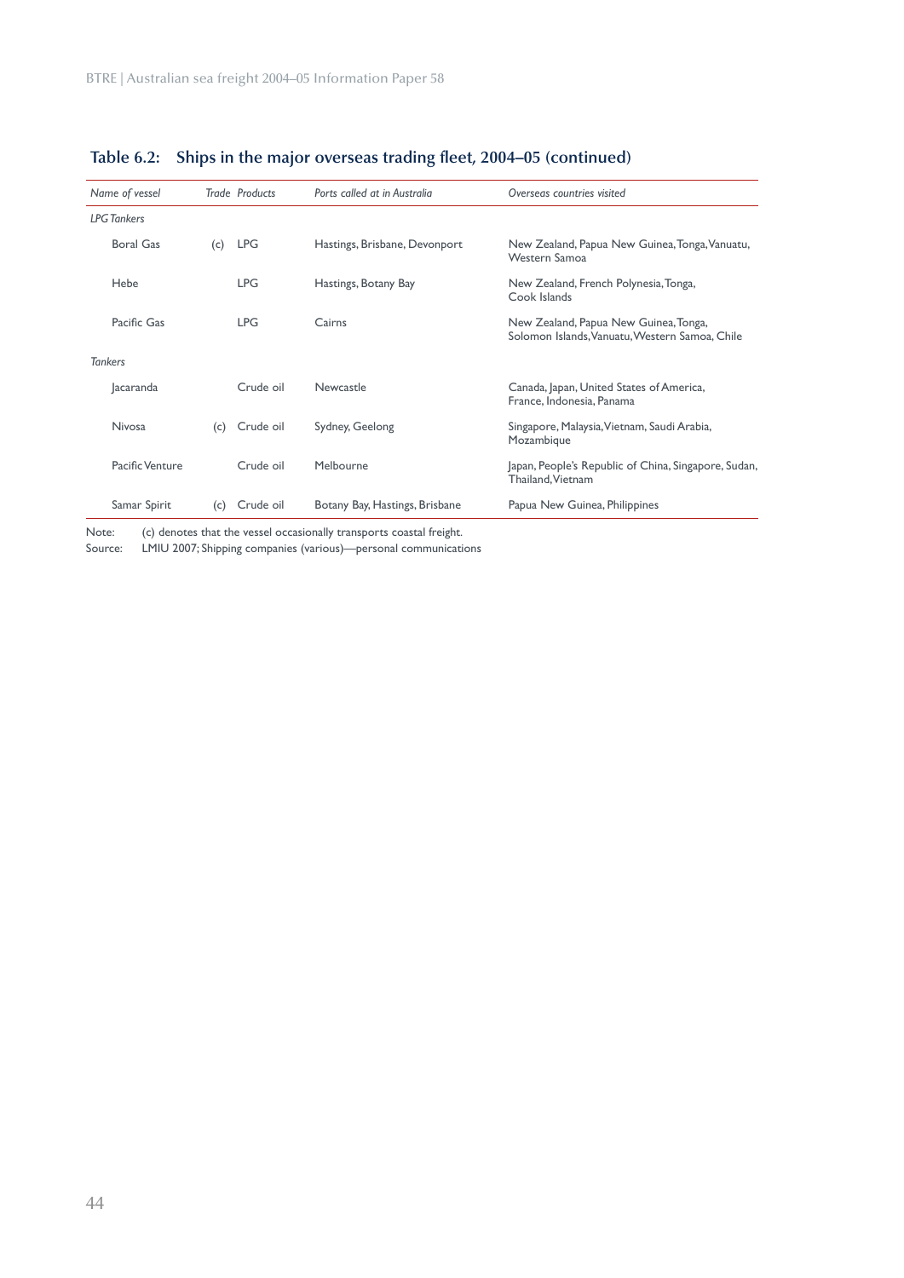| Name of vessel     |     | Trade Products | Ports called at in Australia   | Overseas countries visited                                                              |
|--------------------|-----|----------------|--------------------------------|-----------------------------------------------------------------------------------------|
| <b>LPG Tankers</b> |     |                |                                |                                                                                         |
| <b>Boral Gas</b>   | (c) | <b>LPG</b>     | Hastings, Brisbane, Devonport  | New Zealand, Papua New Guinea, Tonga, Vanuatu,<br>Western Samoa                         |
| Hebe               |     | <b>LPG</b>     | Hastings, Botany Bay           | New Zealand, French Polynesia, Tonga,<br>Cook Islands                                   |
| Pacific Gas        |     | <b>LPG</b>     | Cairns                         | New Zealand, Papua New Guinea, Tonga,<br>Solomon Islands, Vanuatu, Western Samoa, Chile |
| <b>Tankers</b>     |     |                |                                |                                                                                         |
| <b>Jacaranda</b>   |     | Crude oil      | Newcastle                      | Canada, Japan, United States of America,<br>France, Indonesia, Panama                   |
| <b>Nivosa</b>      | (c) | Crude oil      | Sydney, Geelong                | Singapore, Malaysia, Vietnam, Saudi Arabia,<br>Mozambique                               |
| Pacific Venture    |     | Crude oil      | Melhourne                      | Japan, People's Republic of China, Singapore, Sudan,<br>Thailand, Vietnam               |
| Samar Spirit       | (c) | Crude oil      | Botany Bay, Hastings, Brisbane | Papua New Guinea, Philippines                                                           |

Table 6.2: Ships in the major overseas trading fleet, 2004–05 (continued)

Note: (c) denotes that the vessel occasionally transports coastal freight.

Source: LMIU 2007; Shipping companies (various)—personal communications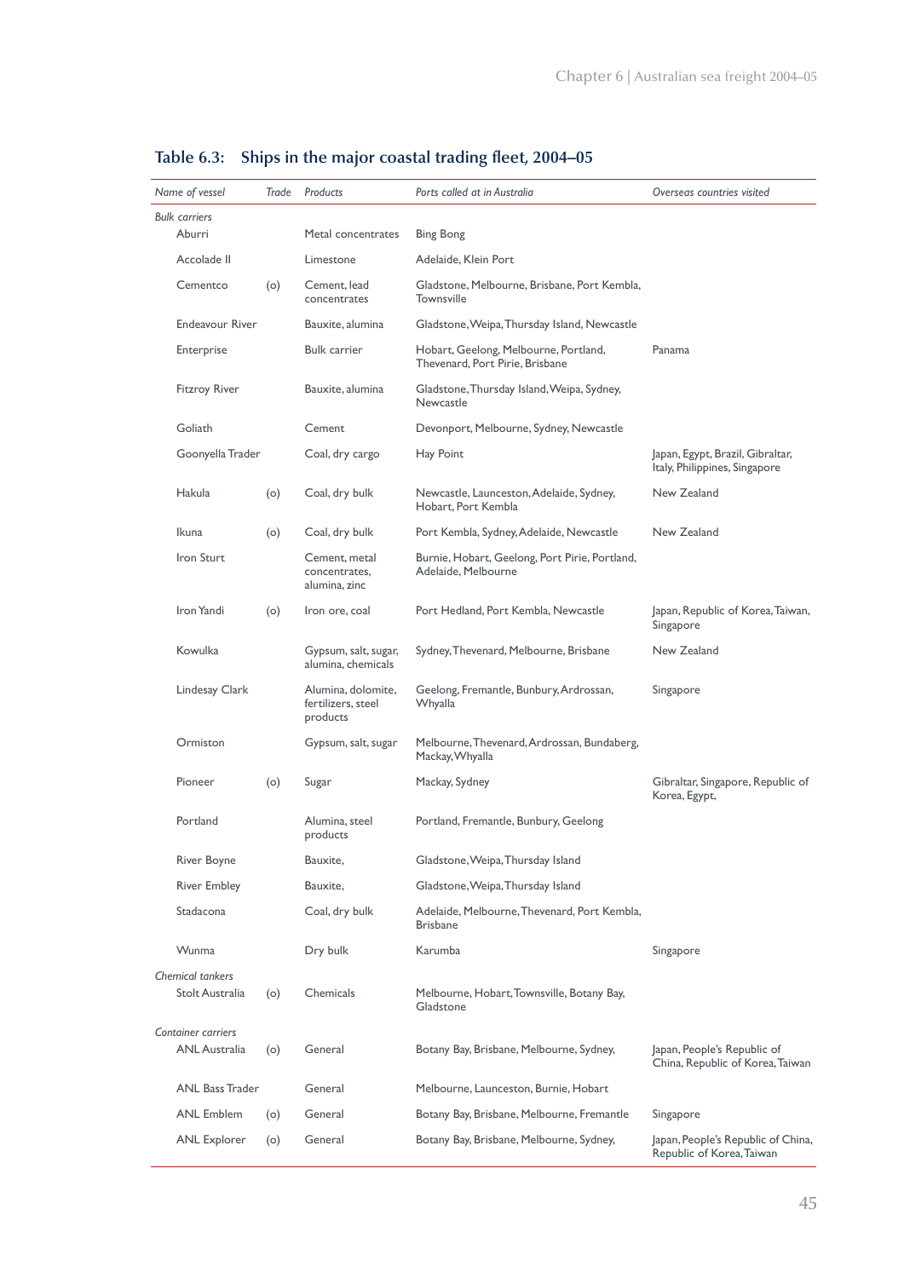| Name of vessel                      | Trade | Products                                             | Ports called at in Australia                                             | Overseas countries visited                                        |
|-------------------------------------|-------|------------------------------------------------------|--------------------------------------------------------------------------|-------------------------------------------------------------------|
| <b>Bulk carriers</b>                |       |                                                      |                                                                          |                                                                   |
| Aburri                              |       | Metal concentrates                                   | <b>Bing Bong</b>                                                         |                                                                   |
| Accolade II                         |       | Limestone                                            | Adelaide, Klein Port                                                     |                                                                   |
| Cementco                            | (o)   | Cement, lead<br>concentrates                         | Gladstone, Melbourne, Brisbane, Port Kembla,<br><b>Townsville</b>        |                                                                   |
| <b>Endeavour River</b>              |       | Bauxite, alumina                                     | Gladstone, Weipa, Thursday Island, Newcastle                             |                                                                   |
| Enterprise                          |       | <b>Bulk carrier</b>                                  | Hobart, Geelong, Melbourne, Portland,<br>Thevenard, Port Pirie, Brisbane | Panama                                                            |
| <b>Fitzroy River</b>                |       | Bauxite, alumina                                     | Gladstone, Thursday Island, Weipa, Sydney,<br>Newcastle                  |                                                                   |
| Goliath                             |       | Cement                                               | Devonport, Melbourne, Sydney, Newcastle                                  |                                                                   |
| Goonyella Trader                    |       | Coal, dry cargo                                      | Hay Point                                                                | Japan, Egypt, Brazil, Gibraltar,<br>Italy, Philippines, Singapore |
| Hakula                              | (o)   | Coal, dry bulk                                       | Newcastle, Launceston, Adelaide, Sydney,<br>Hobart, Port Kembla          | New Zealand                                                       |
| <b>Ikuna</b>                        | (o)   | Coal, dry bulk                                       | Port Kembla, Sydney, Adelaide, Newcastle                                 | New Zealand                                                       |
| <b>Iron Sturt</b>                   |       | Cement, metal<br>concentrates,<br>alumina, zinc      | Burnie, Hobart, Geelong, Port Pirie, Portland,<br>Adelaide, Melbourne    |                                                                   |
| Iron Yandi                          | (o)   | Iron ore, coal                                       | Port Hedland, Port Kembla, Newcastle                                     | Japan, Republic of Korea, Taiwan,<br>Singapore                    |
| Kowulka                             |       | Gypsum, salt, sugar,<br>alumina, chemicals           | Sydney, Thevenard, Melbourne, Brisbane                                   | New Zealand                                                       |
| Lindesay Clark                      |       | Alumina, dolomite,<br>fertilizers, steel<br>products | Geelong, Fremantle, Bunbury, Ardrossan,<br>Whyalla                       | Singapore                                                         |
| Ormiston                            |       | Gypsum, salt, sugar                                  | Melbourne, Thevenard, Ardrossan, Bundaberg,<br>Mackay, Whyalla           |                                                                   |
| Pioneer                             | (o)   | Sugar                                                | Mackay, Sydney                                                           | Gibraltar, Singapore, Republic of<br>Korea, Egypt,                |
| Portland                            |       | Alumina, steel<br>products                           | Portland, Fremantle, Bunbury, Geelong                                    |                                                                   |
| <b>River Boyne</b>                  |       | Bauxite,                                             | Gladstone, Weipa, Thursday Island                                        |                                                                   |
| <b>River Embley</b>                 |       | Bauxite,                                             | Gladstone, Weipa, Thursday Island                                        |                                                                   |
| Stadacona                           |       | Coal, dry bulk                                       | Adelaide, Melbourne, Thevenard, Port Kembla,<br>Brisbane                 |                                                                   |
| Wunma                               |       | Dry bulk                                             | Karumba                                                                  | Singapore                                                         |
| Chemical tankers<br>Stolt Australia | (o)   | Chemicals                                            | Melbourne, Hobart, Townsville, Botany Bay,<br>Gladstone                  |                                                                   |
| Container carriers                  |       |                                                      |                                                                          |                                                                   |
| <b>ANL Australia</b>                | (o)   | General                                              | Botany Bay, Brisbane, Melbourne, Sydney,                                 | Japan, People's Republic of<br>China, Republic of Korea, Taiwan   |
| <b>ANL Bass Trader</b>              |       | General                                              | Melbourne, Launceston, Burnie, Hobart                                    |                                                                   |
| <b>ANL Emblem</b>                   | (o)   | General                                              | Botany Bay, Brisbane, Melbourne, Fremantle                               | Singapore                                                         |
| <b>ANL Explorer</b>                 | (o)   | General                                              | Botany Bay, Brisbane, Melbourne, Sydney,                                 | Japan, People's Republic of China,<br>Republic of Korea, Taiwan   |

## Table 6.3: Ships in the major coastal trading fleet, 2004–05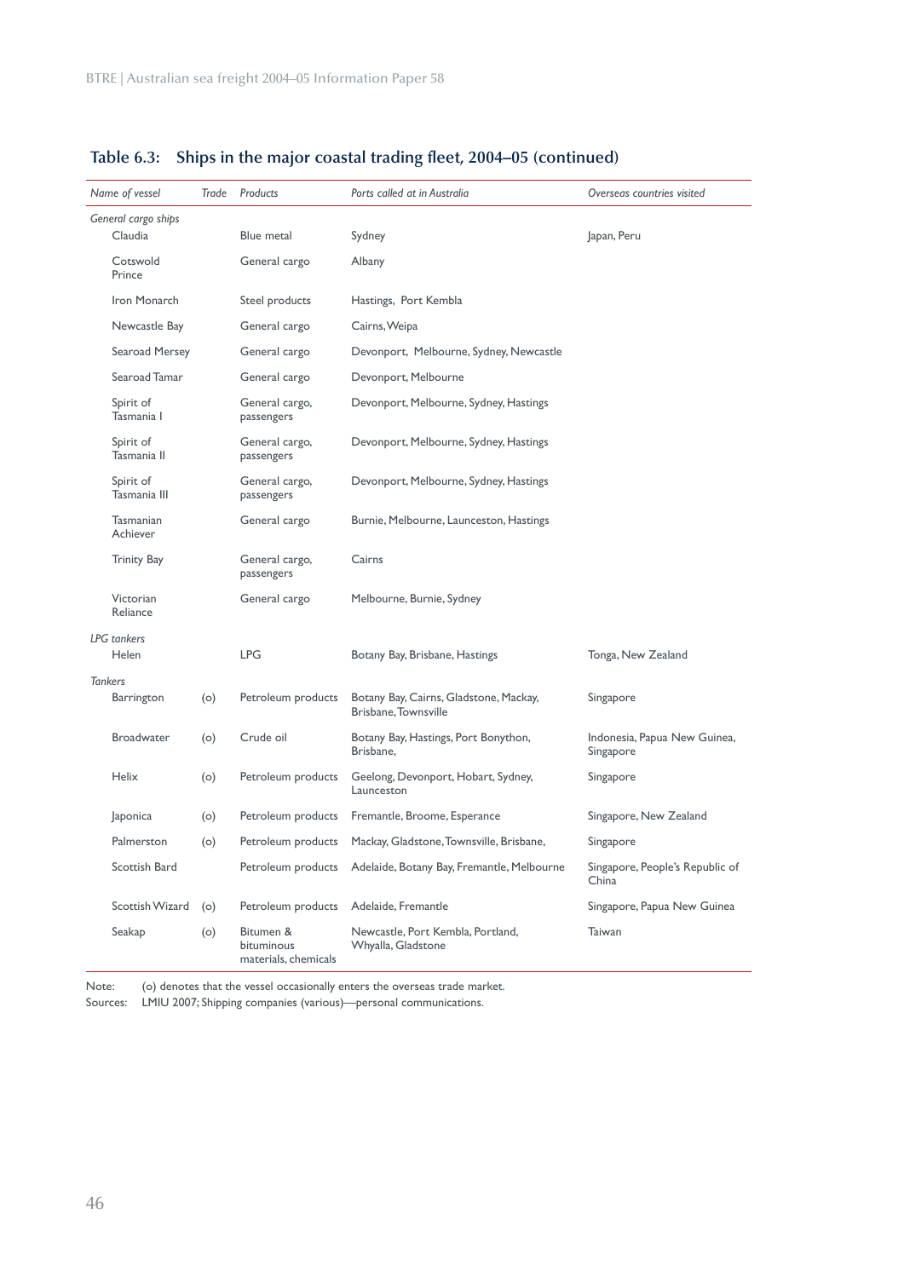| Name of vessel            | Trade | Products                                        | Ports called at in Australia                                   | Overseas countries visited                |
|---------------------------|-------|-------------------------------------------------|----------------------------------------------------------------|-------------------------------------------|
| General cargo ships       |       |                                                 |                                                                |                                           |
| Claudia                   |       | <b>Blue metal</b>                               | Sydney                                                         | Japan, Peru                               |
| Cotswold<br>Prince        |       | General cargo                                   | Albany                                                         |                                           |
| Iron Monarch              |       | Steel products                                  | Hastings, Port Kembla                                          |                                           |
| Newcastle Bay             |       | General cargo                                   | Cairns, Weipa                                                  |                                           |
| Searoad Mersey            |       | General cargo                                   | Devonport, Melbourne, Sydney, Newcastle                        |                                           |
| Searoad Tamar             |       | General cargo                                   | Devonport, Melbourne                                           |                                           |
| Spirit of<br>Tasmania I   |       | General cargo,<br>passengers                    | Devonport, Melbourne, Sydney, Hastings                         |                                           |
| Spirit of<br>Tasmania II  |       | General cargo,<br>passengers                    | Devonport, Melbourne, Sydney, Hastings                         |                                           |
| Spirit of<br>Tasmania III |       | General cargo,<br>passengers                    | Devonport, Melbourne, Sydney, Hastings                         |                                           |
| Tasmanian<br>Achiever     |       | General cargo                                   | Burnie, Melbourne, Launceston, Hastings                        |                                           |
| <b>Trinity Bay</b>        |       | General cargo,<br>passengers                    | Cairns                                                         |                                           |
| Victorian<br>Reliance     |       | General cargo                                   | Melbourne, Burnie, Sydney                                      |                                           |
| <b>LPG</b> tankers        |       |                                                 |                                                                |                                           |
| Helen                     |       | <b>LPG</b>                                      | Botany Bay, Brisbane, Hastings                                 | Tonga, New Zealand                        |
| <b>Tankers</b>            |       |                                                 |                                                                |                                           |
| Barrington                | (o)   | Petroleum products                              | Botany Bay, Cairns, Gladstone, Mackay,<br>Brisbane, Townsville | Singapore                                 |
| <b>Broadwater</b>         | (0)   | Crude oil                                       | Botany Bay, Hastings, Port Bonython,<br>Brisbane.              | Indonesia, Papua New Guinea,<br>Singapore |
| Helix                     | (o)   | Petroleum products                              | Geelong, Devonport, Hobart, Sydney,<br>Launceston              | Singapore                                 |
| Japonica                  | (o)   | Petroleum products                              | Fremantle, Broome, Esperance                                   | Singapore, New Zealand                    |
| Palmerston                | (o)   | Petroleum products                              | Mackay, Gladstone, Townsville, Brisbane,                       | Singapore                                 |
| Scottish Bard             |       | Petroleum products                              | Adelaide, Botany Bay, Fremantle, Melbourne                     | Singapore, People's Republic of<br>China  |
| Scottish Wizard           | (o)   | Petroleum products                              | Adelaide, Fremantle                                            | Singapore, Papua New Guinea               |
| Seakap                    | (o)   | Bitumen &<br>bituminous<br>materials, chemicals | Newcastle, Port Kembla, Portland,<br>Whyalla, Gladstone        | Taiwan                                    |

Table 6.3: Ships in the major coastal trading fleet, 2004–05 (continued)

Note: (o) denotes that the vessel occasionally enters the overseas trade market.

Sources: LMIU 2007; Shipping companies (various)—personal communications.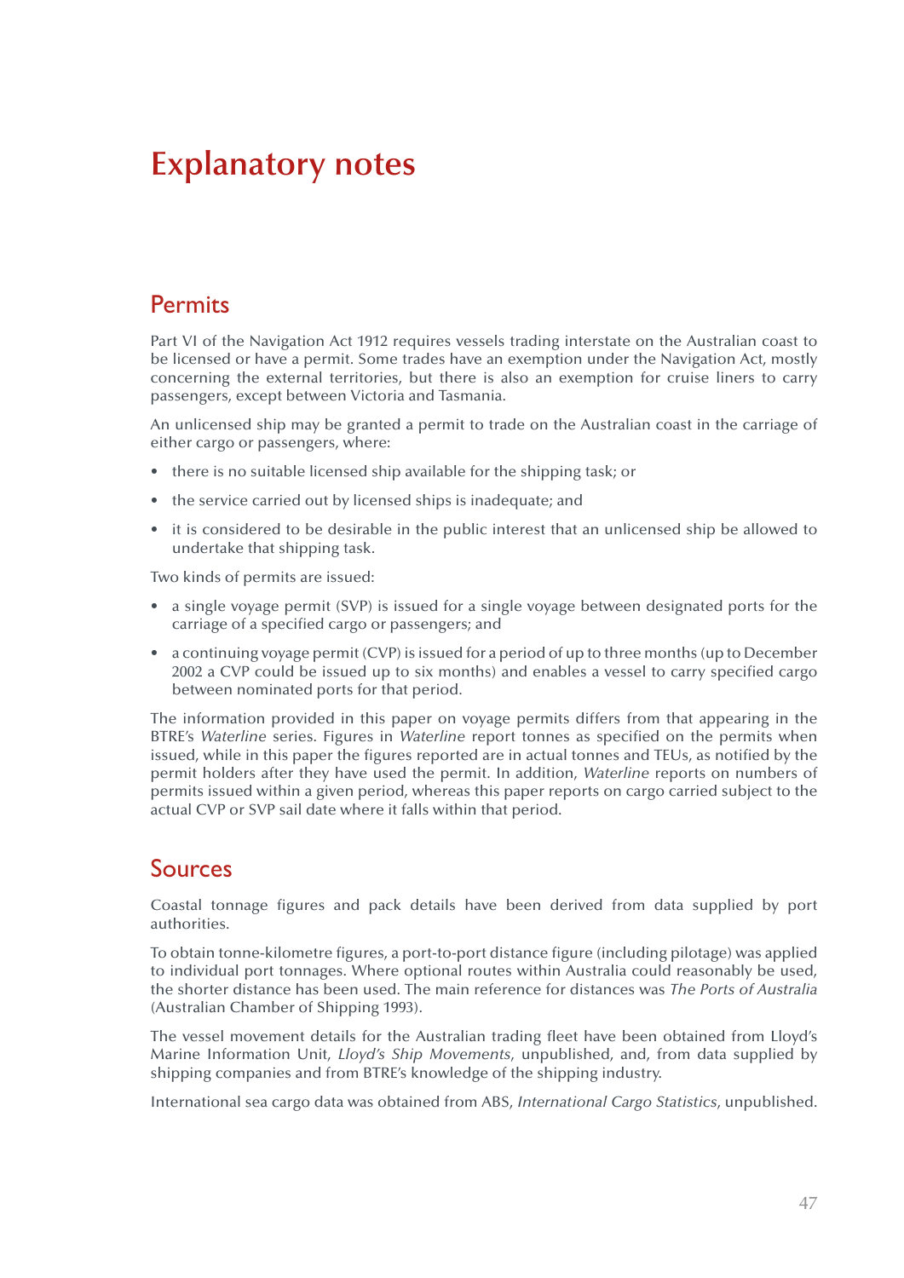## **Explanatory notes**

## **Permits**

Part VI of the Navigation Act 1912 requires vessels trading interstate on the Australian coast to be licensed or have a permit. Some trades have an exemption under the Navigation Act, mostly concerning the external territories, but there is also an exemption for cruise liners to carry passengers, except between Victoria and Tasmania.

An unlicensed ship may be granted a permit to trade on the Australian coast in the carriage of either cargo or passengers, where:

- there is no suitable licensed ship available for the shipping task; or
- the service carried out by licensed ships is inadequate; and
- it is considered to be desirable in the public interest that an unlicensed ship be allowed to undertake that shipping task.

Two kinds of permits are issued:

- a single voyage permit (SVP) is issued for a single voyage between designated ports for the carriage of a specified cargo or passengers; and
- a continuing voyage permit (CVP) is issued for a period of up to three months (up to December 2002 a CVP could be issued up to six months) and enables a vessel to carry specified cargo between nominated ports for that period.

The information provided in this paper on voyage permits differs from that appearing in the BTRE's *Waterline* series. Figures in *Waterline* report tonnes as specified on the permits when issued, while in this paper the figures reported are in actual tonnes and TEUs, as notified by the permit holders after they have used the permit. In addition, *Waterline* reports on numbers of permits issued within a given period, whereas this paper reports on cargo carried subject to the actual CVP or SVP sail date where it falls within that period.

## Sources

Coastal tonnage figures and pack details have been derived from data supplied by port authorities.

To obtain tonne-kilometre figures, a port-to-port distance figure (including pilotage) was applied to individual port tonnages. Where optional routes within Australia could reasonably be used, the shorter distance has been used. The main reference for distances was *The Ports of Australia*  (Australian Chamber of Shipping 1993).

The vessel movement details for the Australian trading fleet have been obtained from Lloyd's Marine Information Unit, *Lloyd's Ship Movements*, unpublished, and, from data supplied by shipping companies and from BTRE's knowledge of the shipping industry.

International sea cargo data was obtained from ABS, *International Cargo Statistics*, unpublished.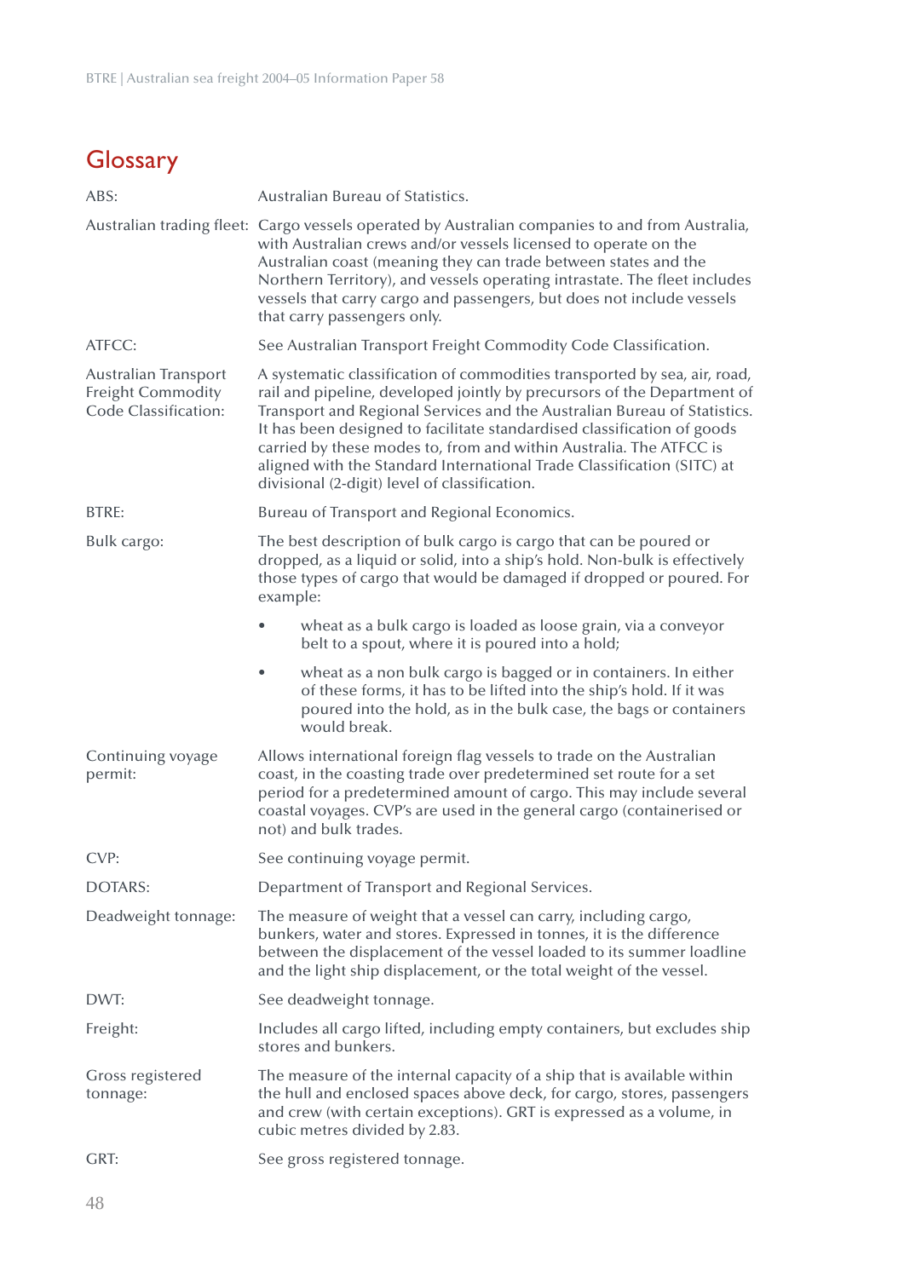## **Glossary**

| ABS:                                                                     | Australian Bureau of Statistics.                                                                                                                                                                                                                                                                                                                                                                                                                                                                             |
|--------------------------------------------------------------------------|--------------------------------------------------------------------------------------------------------------------------------------------------------------------------------------------------------------------------------------------------------------------------------------------------------------------------------------------------------------------------------------------------------------------------------------------------------------------------------------------------------------|
|                                                                          | Australian trading fleet: Cargo vessels operated by Australian companies to and from Australia,<br>with Australian crews and/or vessels licensed to operate on the<br>Australian coast (meaning they can trade between states and the<br>Northern Territory), and vessels operating intrastate. The fleet includes<br>vessels that carry cargo and passengers, but does not include vessels<br>that carry passengers only.                                                                                   |
| ATFCC:                                                                   | See Australian Transport Freight Commodity Code Classification.                                                                                                                                                                                                                                                                                                                                                                                                                                              |
| Australian Transport<br><b>Freight Commodity</b><br>Code Classification: | A systematic classification of commodities transported by sea, air, road,<br>rail and pipeline, developed jointly by precursors of the Department of<br>Transport and Regional Services and the Australian Bureau of Statistics.<br>It has been designed to facilitate standardised classification of goods<br>carried by these modes to, from and within Australia. The ATFCC is<br>aligned with the Standard International Trade Classification (SITC) at<br>divisional (2-digit) level of classification. |
| <b>BTRE:</b>                                                             | Bureau of Transport and Regional Economics.                                                                                                                                                                                                                                                                                                                                                                                                                                                                  |
| Bulk cargo:                                                              | The best description of bulk cargo is cargo that can be poured or<br>dropped, as a liquid or solid, into a ship's hold. Non-bulk is effectively<br>those types of cargo that would be damaged if dropped or poured. For<br>example:                                                                                                                                                                                                                                                                          |
|                                                                          | wheat as a bulk cargo is loaded as loose grain, via a conveyor<br>belt to a spout, where it is poured into a hold;                                                                                                                                                                                                                                                                                                                                                                                           |
|                                                                          | wheat as a non bulk cargo is bagged or in containers. In either<br>of these forms, it has to be lifted into the ship's hold. If it was<br>poured into the hold, as in the bulk case, the bags or containers<br>would break.                                                                                                                                                                                                                                                                                  |
| Continuing voyage<br>permit:                                             | Allows international foreign flag vessels to trade on the Australian<br>coast, in the coasting trade over predetermined set route for a set<br>period for a predetermined amount of cargo. This may include several<br>coastal voyages. CVP's are used in the general cargo (containerised or<br>not) and bulk trades.                                                                                                                                                                                       |
| CVP:                                                                     | See continuing voyage permit.                                                                                                                                                                                                                                                                                                                                                                                                                                                                                |
| <b>DOTARS:</b>                                                           | Department of Transport and Regional Services.                                                                                                                                                                                                                                                                                                                                                                                                                                                               |
| Deadweight tonnage:                                                      | The measure of weight that a vessel can carry, including cargo,<br>bunkers, water and stores. Expressed in tonnes, it is the difference<br>between the displacement of the vessel loaded to its summer loadline<br>and the light ship displacement, or the total weight of the vessel.                                                                                                                                                                                                                       |
| DWT:                                                                     | See deadweight tonnage.                                                                                                                                                                                                                                                                                                                                                                                                                                                                                      |
| Freight:                                                                 | Includes all cargo lifted, including empty containers, but excludes ship<br>stores and bunkers.                                                                                                                                                                                                                                                                                                                                                                                                              |
| Gross registered<br>tonnage:                                             | The measure of the internal capacity of a ship that is available within<br>the hull and enclosed spaces above deck, for cargo, stores, passengers<br>and crew (with certain exceptions). GRT is expressed as a volume, in<br>cubic metres divided by 2.83.                                                                                                                                                                                                                                                   |
| GRT:                                                                     | See gross registered tonnage.                                                                                                                                                                                                                                                                                                                                                                                                                                                                                |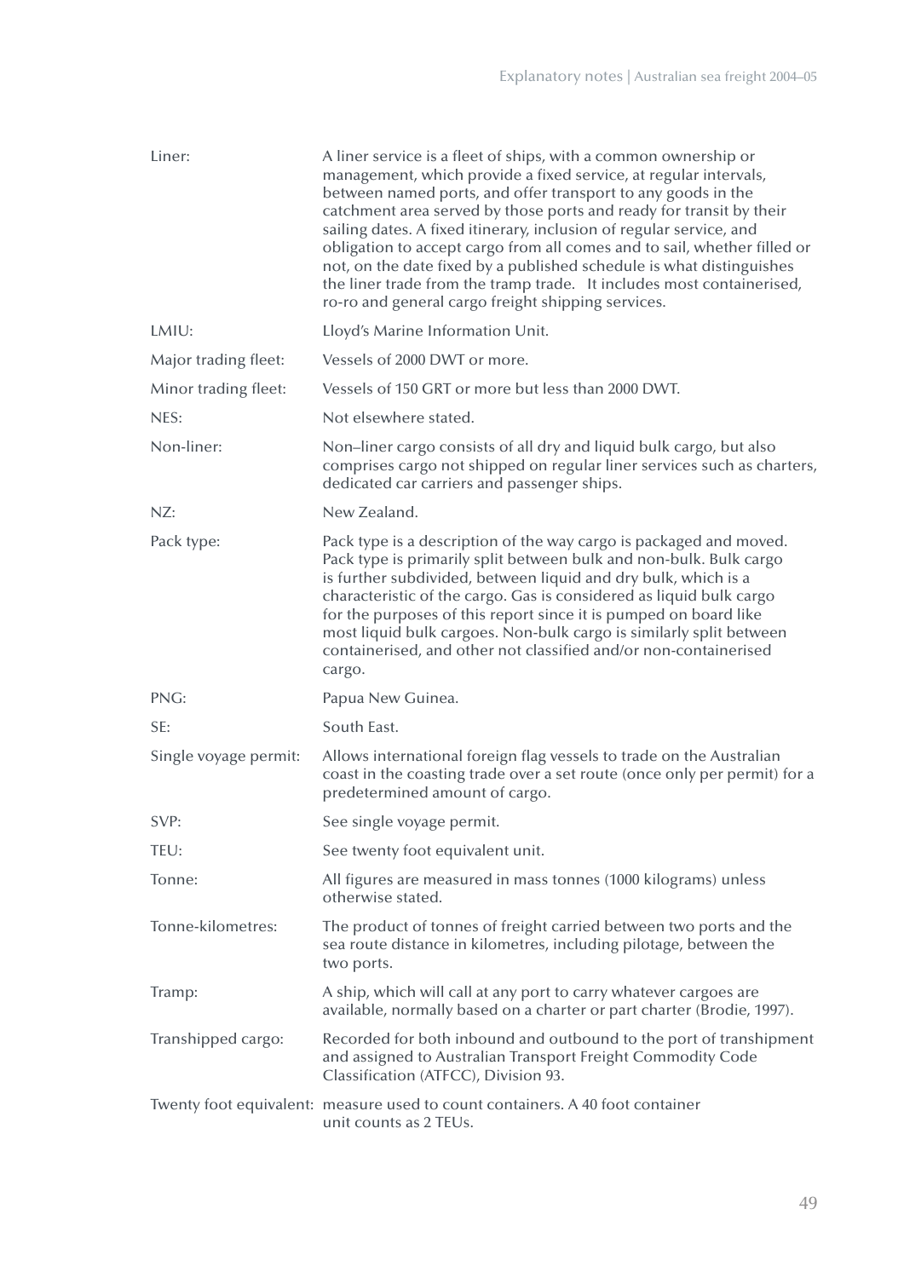| Liner:                | A liner service is a fleet of ships, with a common ownership or<br>management, which provide a fixed service, at regular intervals,<br>between named ports, and offer transport to any goods in the<br>catchment area served by those ports and ready for transit by their<br>sailing dates. A fixed itinerary, inclusion of regular service, and<br>obligation to accept cargo from all comes and to sail, whether filled or<br>not, on the date fixed by a published schedule is what distinguishes<br>the liner trade from the tramp trade. It includes most containerised,<br>ro-ro and general cargo freight shipping services. |
|-----------------------|--------------------------------------------------------------------------------------------------------------------------------------------------------------------------------------------------------------------------------------------------------------------------------------------------------------------------------------------------------------------------------------------------------------------------------------------------------------------------------------------------------------------------------------------------------------------------------------------------------------------------------------|
| LMIU:                 | Lloyd's Marine Information Unit.                                                                                                                                                                                                                                                                                                                                                                                                                                                                                                                                                                                                     |
| Major trading fleet:  | Vessels of 2000 DWT or more.                                                                                                                                                                                                                                                                                                                                                                                                                                                                                                                                                                                                         |
| Minor trading fleet:  | Vessels of 150 GRT or more but less than 2000 DWT.                                                                                                                                                                                                                                                                                                                                                                                                                                                                                                                                                                                   |
| NES:                  | Not elsewhere stated.                                                                                                                                                                                                                                                                                                                                                                                                                                                                                                                                                                                                                |
| Non-liner:            | Non-liner cargo consists of all dry and liquid bulk cargo, but also<br>comprises cargo not shipped on regular liner services such as charters,<br>dedicated car carriers and passenger ships.                                                                                                                                                                                                                                                                                                                                                                                                                                        |
| NZ:                   | New Zealand.                                                                                                                                                                                                                                                                                                                                                                                                                                                                                                                                                                                                                         |
| Pack type:            | Pack type is a description of the way cargo is packaged and moved.<br>Pack type is primarily split between bulk and non-bulk. Bulk cargo<br>is further subdivided, between liquid and dry bulk, which is a<br>characteristic of the cargo. Gas is considered as liquid bulk cargo<br>for the purposes of this report since it is pumped on board like<br>most liquid bulk cargoes. Non-bulk cargo is similarly split between<br>containerised, and other not classified and/or non-containerised<br>cargo.                                                                                                                           |
| PNG:                  | Papua New Guinea.                                                                                                                                                                                                                                                                                                                                                                                                                                                                                                                                                                                                                    |
| SE:                   | South East.                                                                                                                                                                                                                                                                                                                                                                                                                                                                                                                                                                                                                          |
| Single voyage permit: | Allows international foreign flag vessels to trade on the Australian<br>coast in the coasting trade over a set route (once only per permit) for a<br>predetermined amount of cargo.                                                                                                                                                                                                                                                                                                                                                                                                                                                  |
| SVP:                  | See single voyage permit.                                                                                                                                                                                                                                                                                                                                                                                                                                                                                                                                                                                                            |
| TEU:                  | See twenty foot equivalent unit.                                                                                                                                                                                                                                                                                                                                                                                                                                                                                                                                                                                                     |
| Tonne:                | All figures are measured in mass tonnes (1000 kilograms) unless<br>otherwise stated.                                                                                                                                                                                                                                                                                                                                                                                                                                                                                                                                                 |
| Tonne-kilometres:     | The product of tonnes of freight carried between two ports and the<br>sea route distance in kilometres, including pilotage, between the<br>two ports.                                                                                                                                                                                                                                                                                                                                                                                                                                                                                |
| Tramp:                | A ship, which will call at any port to carry whatever cargoes are<br>available, normally based on a charter or part charter (Brodie, 1997).                                                                                                                                                                                                                                                                                                                                                                                                                                                                                          |
| Transhipped cargo:    | Recorded for both inbound and outbound to the port of transhipment<br>and assigned to Australian Transport Freight Commodity Code<br>Classification (ATFCC), Division 93.                                                                                                                                                                                                                                                                                                                                                                                                                                                            |
|                       | Twenty foot equivalent: measure used to count containers. A 40 foot container<br>unit counts as 2 TEUs.                                                                                                                                                                                                                                                                                                                                                                                                                                                                                                                              |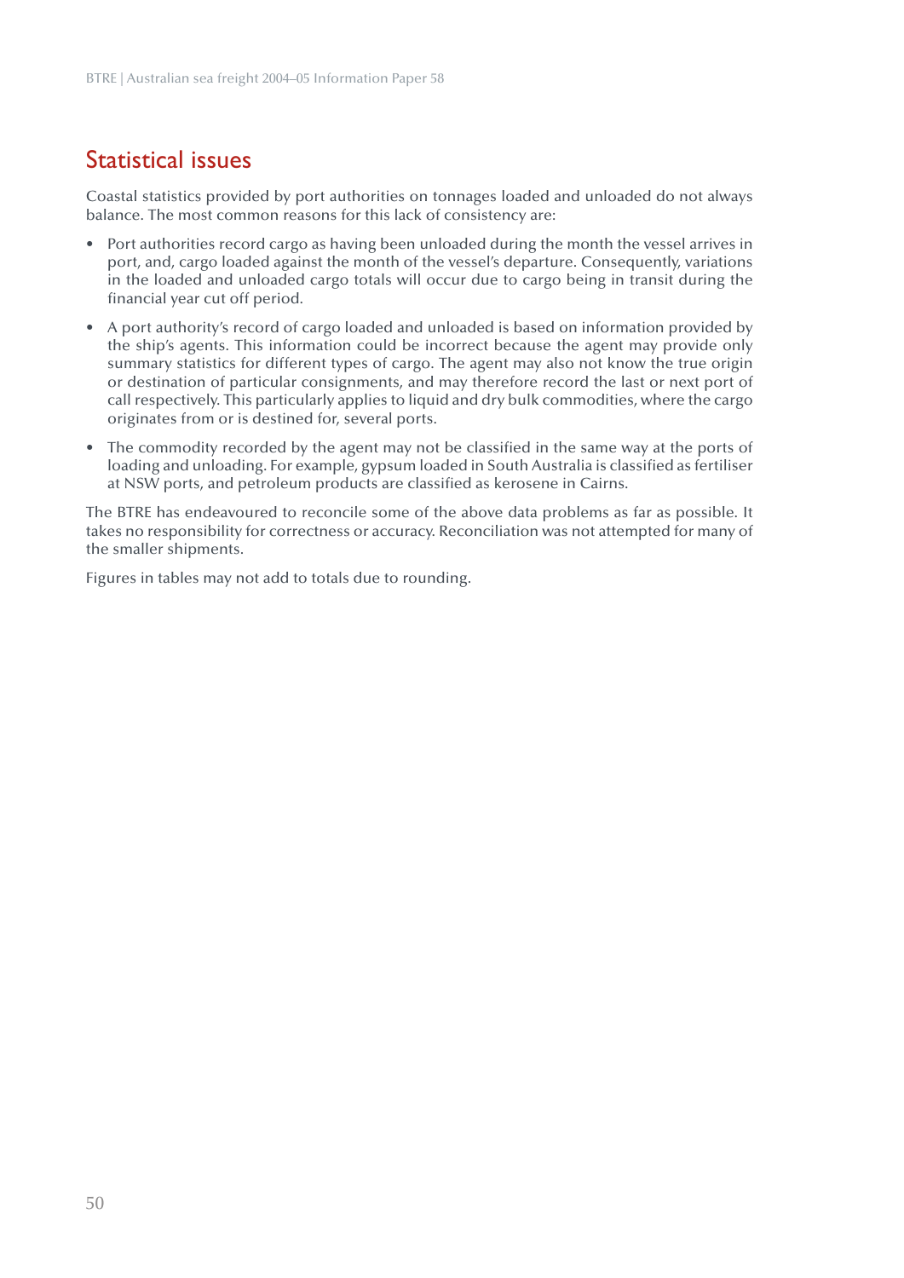## Statistical issues

Coastal statistics provided by port authorities on tonnages loaded and unloaded do not always balance. The most common reasons for this lack of consistency are:

- Port authorities record cargo as having been unloaded during the month the vessel arrives in port, and, cargo loaded against the month of the vessel's departure. Consequently, variations in the loaded and unloaded cargo totals will occur due to cargo being in transit during the financial year cut off period.
- A port authority's record of cargo loaded and unloaded is based on information provided by the ship's agents. This information could be incorrect because the agent may provide only summary statistics for different types of cargo. The agent may also not know the true origin or destination of particular consignments, and may therefore record the last or next port of call respectively. This particularly applies to liquid and dry bulk commodities, where the cargo originates from or is destined for, several ports.
- The commodity recorded by the agent may not be classified in the same way at the ports of loading and unloading. For example, gypsum loaded in South Australia is classified as fertiliser at NSW ports, and petroleum products are classified as kerosene in Cairns.

The BTRE has endeavoured to reconcile some of the above data problems as far as possible. It takes no responsibility for correctness or accuracy. Reconciliation was not attempted for many of the smaller shipments.

Figures in tables may not add to totals due to rounding.